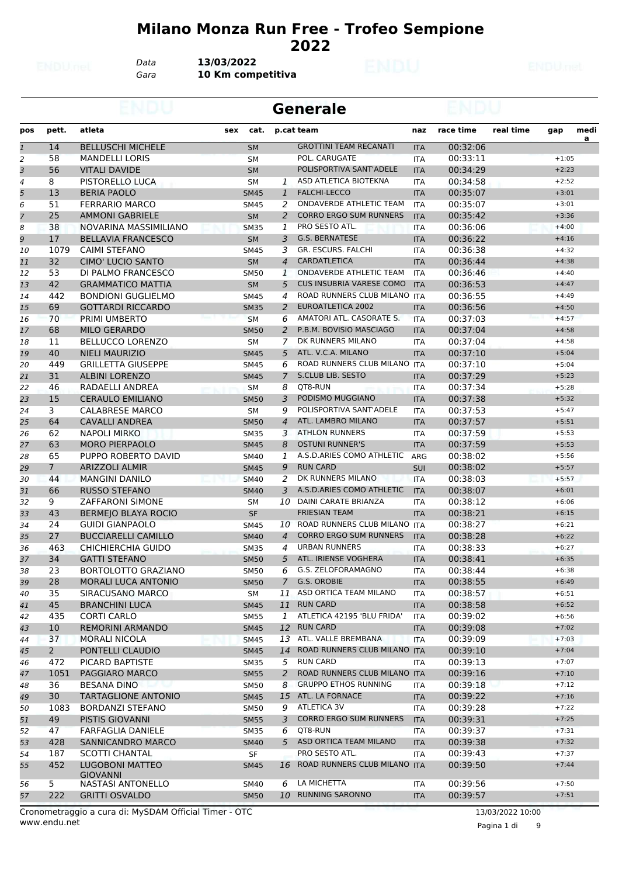#### **Milano Monza Run Free - Trofeo Sempione**

*Data* **13/03/2022**

*Gara* **10 Km competitiva**

|                |             |                                           |     |             |                 | <b>Generale</b>                 |            |           |           |         |           |
|----------------|-------------|-------------------------------------------|-----|-------------|-----------------|---------------------------------|------------|-----------|-----------|---------|-----------|
| pos            | pett.       | atleta                                    | sex | cat.        |                 | p.cat team                      | naz        | race time | real time | gap     | medi<br>a |
| $\overline{1}$ | 14          | <b>BELLUSCHI MICHELE</b>                  |     | <b>SM</b>   |                 | <b>GROTTINI TEAM RECANATI</b>   | <b>ITA</b> | 00:32:06  |           |         |           |
| 2              | 58          | <b>MANDELLI LORIS</b>                     |     | SM          |                 | POL. CARUGATE                   | <b>ITA</b> | 00:33:11  |           | $+1:05$ |           |
| 3              | 56          | <b>VITALI DAVIDE</b>                      |     | <b>SM</b>   |                 | POLISPORTIVA SANT'ADELE         | <b>ITA</b> | 00:34:29  |           | $+2:23$ |           |
| 4              | 8           | PISTORELLO LUCA                           |     | SМ          | 1               | ASD ATLETICA BIOTEKNA           | <b>ITA</b> | 00:34:58  |           | $+2:52$ |           |
| 5              | 13          | <b>BERIA PAOLO</b>                        |     | <b>SM45</b> | $\mathbf{1}$    | <b>FALCHI-LECCO</b>             | <b>ITA</b> | 00:35:07  |           | $+3:01$ |           |
| 6              | 51          | <b>FERRARIO MARCO</b>                     |     | SM45        | 2               | ONDAVERDE ATHLETIC TEAM         | ITA        | 00:35:07  |           | $+3:01$ |           |
| $\overline{7}$ | 25          | <b>AMMONI GABRIELE</b>                    |     | <b>SM</b>   | $\overline{2}$  | <b>CORRO ERGO SUM RUNNERS</b>   | <b>ITA</b> | 00:35:42  |           | $+3:36$ |           |
| 8              | 38          | NOVARINA MASSIMILIANO                     |     | <b>SM35</b> | 1               | PRO SESTO ATL.                  | <b>ITA</b> | 00:36:06  |           | $+4:00$ |           |
| 9              | 17          | <b>BELLAVIA FRANCESCO</b>                 |     | <b>SM</b>   | 3               | <b>G.S. BERNATESE</b>           | <b>ITA</b> | 00:36:22  |           | $+4:16$ |           |
| 10             | 1079        | <b>CAIMI STEFANO</b>                      |     | <b>SM45</b> | 3               | GR. ESCURS. FALCHI              | <b>ITA</b> | 00:36:38  |           | $+4:32$ |           |
| 11             | 32          | CIMO' LUCIO SANTO                         |     | <b>SM</b>   | $\overline{4}$  | <b>CARDATLETICA</b>             | <b>ITA</b> | 00:36:44  |           | $+4:38$ |           |
| 12             | 53          | DI PALMO FRANCESCO                        |     | <b>SM50</b> | $\mathbf{1}$    | ONDAVERDE ATHLETIC TEAM         | ITA        | 00:36:46  |           | $+4:40$ |           |
| 13             | 42          | <b>GRAMMATICO MATTIA</b>                  |     | <b>SM</b>   | 5               | <b>CUS INSUBRIA VARESE COMO</b> | <b>ITA</b> | 00:36:53  |           | $+4:47$ |           |
| 14             | 442         | <b>BONDIONI GUGLIELMO</b>                 |     | <b>SM45</b> | $\overline{4}$  | ROAD RUNNERS CLUB MILANO ITA    |            | 00:36:55  |           | $+4:49$ |           |
| 15             | 69          | <b>GOTTARDI RICCARDO</b>                  |     | <b>SM35</b> | 2               | <b>EUROATLETICA 2002</b>        | <b>ITA</b> | 00:36:56  |           | $+4:50$ |           |
| 16             | 70          | PRIMI UMBERTO                             |     | <b>SM</b>   | 6               | AMATORI ATL. CASORATE S.        | <b>ITA</b> | 00:37:03  |           | $+4:57$ |           |
| 17             | 68          | <b>MILO GERARDO</b>                       |     | <b>SM50</b> | 2               | P.B.M. BOVISIO MASCIAGO         | <b>ITA</b> | 00:37:04  |           | $+4:58$ |           |
| 18             | 11          | <b>BELLUCCO LORENZO</b>                   |     | SМ          | 7               | DK RUNNERS MILANO               | ITA        | 00:37:04  |           | $+4:58$ |           |
| 19             | 40          | <b>NIELI MAURIZIO</b>                     |     | <b>SM45</b> | 5               | ATL. V.C.A. MILANO              | <b>ITA</b> | 00:37:10  |           | $+5:04$ |           |
| 20             | 449         | <b>GRILLETTA GIUSEPPE</b>                 |     | <b>SM45</b> | 6               | ROAD RUNNERS CLUB MILANO ITA    |            | 00:37:10  |           | $+5:04$ |           |
|                | 31          |                                           |     |             | 7               | <b>S.CLUB LIB. SESTO</b>        |            | 00:37:29  |           | $+5:23$ |           |
| 21             |             | <b>ALBINI LORENZO</b>                     |     | <b>SM45</b> |                 | QT8-RUN                         | <b>ITA</b> | 00:37:34  |           | $+5:28$ |           |
| 22             | 46          | RADAELLI ANDREA                           |     | SM          | 8               |                                 | <b>ITA</b> |           |           |         |           |
| 23             | 15          | <b>CERAULO EMILIANO</b>                   |     | <b>SM50</b> | 3               | PODISMO MUGGIANO                | <b>ITA</b> | 00:37:38  |           | $+5:32$ |           |
| 24             | 3           | <b>CALABRESE MARCO</b>                    |     | SМ          | 9               | POLISPORTIVA SANT'ADELE         | <b>ITA</b> | 00:37:53  |           | $+5:47$ |           |
| 25             | 64          | <b>CAVALLI ANDREA</b>                     |     | <b>SM50</b> | $\overline{4}$  | ATL. LAMBRO MILANO              | <b>ITA</b> | 00:37:57  |           | $+5:51$ |           |
| 26             | 62          | <b>NAPOLI MIRKO</b>                       |     | <b>SM35</b> | 3               | <b>ATHLON RUNNERS</b>           | <b>ITA</b> | 00:37:59  |           | $+5:53$ |           |
| 27             | 63          | <b>MORO PIERPAOLO</b>                     |     | <b>SM45</b> | 8               | <b>OSTUNI RUNNER'S</b>          | <b>ITA</b> | 00:37:59  |           | $+5:53$ |           |
| 28             | 65          | PUPPO ROBERTO DAVID                       |     | <b>SM40</b> | 1               | A.S.D.ARIES COMO ATHLETIC       | ARG        | 00:38:02  |           | $+5:56$ |           |
| 29             | $7^{\circ}$ | <b>ARIZZOLI ALMIR</b>                     |     | <b>SM45</b> | 9               | <b>RUN CARD</b>                 | <b>SUI</b> | 00:38:02  |           | $+5:57$ |           |
| 30             | 44          | <b>MANGINI DANILO</b>                     |     | <b>SM40</b> | 2               | DK RUNNERS MILANO               | <b>ITA</b> | 00:38:03  |           | $+5:57$ |           |
| 31             | 66          | <b>RUSSO STEFANO</b>                      |     | <b>SM40</b> | 3               | A.S.D.ARIES COMO ATHLETIC       | <b>ITA</b> | 00:38:07  |           | $+6:01$ |           |
| 32             | 9           | <b>ZAFFARONI SIMONE</b>                   |     | SM          | 10              | DAINI CARATE BRIANZA            | <b>ITA</b> | 00:38:12  |           | $+6:06$ |           |
| 33             | 43          | <b>BERMEJO BLAYA ROCIO</b>                |     | <b>SF</b>   |                 | <b>FRIESIAN TEAM</b>            | <b>ITA</b> | 00:38:21  |           | $+6:15$ |           |
| 34             | 24          | <b>GUIDI GIANPAOLO</b>                    |     | <b>SM45</b> | 10              | ROAD RUNNERS CLUB MILANO ITA    |            | 00:38:27  |           | $+6:21$ |           |
| 35             | 27          | <b>BUCCIARELLI CAMILLO</b>                |     | <b>SM40</b> | $\overline{4}$  | <b>CORRO ERGO SUM RUNNERS</b>   | <b>ITA</b> | 00:38:28  |           | $+6:22$ |           |
| 36             | 463         | <b>CHICHIERCHIA GUIDO</b>                 |     | <b>SM35</b> | $\overline{4}$  | <b>URBAN RUNNERS</b>            | <b>ITA</b> | 00:38:33  |           | $+6:27$ |           |
| 37             | 34          | <b>GATTI STEFANO</b>                      |     | <b>SM50</b> |                 | 5 ATL. IRIENSE VOGHERA          | <b>ITA</b> | 00:38:41  |           | $+6:35$ |           |
| 38             | 23          | BORTOLOTTO GRAZIANO                       |     | <b>SM50</b> |                 | 6 G.S. ZELOFORAMAGNO            | <b>ITA</b> | 00:38:44  |           | $+6:38$ |           |
| 39             | 28          | MORALI LUCA ANTONIO                       |     | <b>SM50</b> | 7               | G.S. OROBIE                     | <b>ITA</b> | 00:38:55  |           | $+6:49$ |           |
| 40             | 35          | SIRACUSANO MARCO                          |     | SM          |                 | 11 ASD ORTICA TEAM MILANO       | ITA        | 00:38:57  |           | $+6:51$ |           |
| 41             | 45          | <b>BRANCHINI LUCA</b>                     |     | <b>SM45</b> | 11              | <b>RUN CARD</b>                 | <b>ITA</b> | 00:38:58  |           | $+6:52$ |           |
| 42             | 435         | <b>CORTI CARLO</b>                        |     | SM55        | 1               | ATLETICA 42195 'BLU FRIDA'      | ITA        | 00:39:02  |           | $+6:56$ |           |
| 43             | 10          | <b>REMORINI ARMANDO</b>                   |     | <b>SM45</b> | 12 <sup>7</sup> | <b>RUN CARD</b>                 | <b>ITA</b> | 00:39:08  |           | $+7:02$ |           |
| 44             | 37          | <b>MORALI NICOLA</b>                      |     | <b>SM45</b> |                 | 13 ATL. VALLE BREMBANA          | <b>ITA</b> | 00:39:09  |           | $+7:03$ |           |
| 45             | $2^{\circ}$ | PONTELLI CLAUDIO                          |     | <b>SM45</b> | 14              | ROAD RUNNERS CLUB MILANO ITA    |            | 00:39:10  |           | $+7:04$ |           |
| 46             | 472         | PICARD BAPTISTE                           |     | <b>SM35</b> | 5               | <b>RUN CARD</b>                 | ITA        | 00:39:13  |           | $+7:07$ |           |
| 47             | 1051        | PAGGIARO MARCO                            |     | <b>SM55</b> | 2               | ROAD RUNNERS CLUB MILANO ITA    |            | 00:39:16  |           | $+7:10$ |           |
| 48             | 36          | <b>BESANA DINO</b>                        |     | SM50        | 8               | <b>GRUPPO ETHOS RUNNING</b>     | ITA        | 00:39:18  |           | $+7:12$ |           |
| 49             | 30          | <b>TARTAGLIONE ANTONIO</b>                |     | <b>SM45</b> |                 | 15 ATL. LA FORNACE              | <b>ITA</b> | 00:39:22  |           | $+7:16$ |           |
| 50             | 1083        | <b>BORDANZI STEFANO</b>                   |     | <b>SM50</b> | 9               | ATLETICA 3V                     | ITA        | 00:39:28  |           | $+7:22$ |           |
|                |             |                                           |     |             |                 |                                 |            |           |           |         |           |
| 51             | 49          | PISTIS GIOVANNI                           |     | <b>SM55</b> | 3               | <b>CORRO ERGO SUM RUNNERS</b>   | <b>ITA</b> | 00:39:31  |           | $+7:25$ |           |
| 52             | 47          | <b>FARFAGLIA DANIELE</b>                  |     | <b>SM35</b> | 6               | QT8-RUN                         | <b>ITA</b> | 00:39:37  |           | $+7:31$ |           |
| 53             | 428         | SANNICANDRO MARCO                         |     | <b>SM40</b> |                 | 5 ASD ORTICA TEAM MILANO        | <b>ITA</b> | 00:39:38  |           | $+7:32$ |           |
| 54             | 187         | <b>SCOTTI CHANTAL</b>                     |     | SF          |                 | PRO SESTO ATL.                  | ITA        | 00:39:43  |           | $+7:37$ |           |
| 55             | 452         | <b>LUGOBONI MATTEO</b><br><b>GIOVANNI</b> |     | <b>SM45</b> | 16              | ROAD RUNNERS CLUB MILANO ITA    |            | 00:39:50  |           | $+7:44$ |           |
| 56             | 5           | NASTASI ANTONELLO                         |     | SM40        | 6               | LA MICHETTA                     | ITA        | 00:39:56  |           | $+7:50$ |           |
| 57             | 222         | <b>GRITTI OSVALDO</b>                     |     | <b>SM50</b> | 10              | <b>RUNNING SARONNO</b>          | <b>ITA</b> | 00:39:57  |           | $+7:51$ |           |

Pagina 1 di 9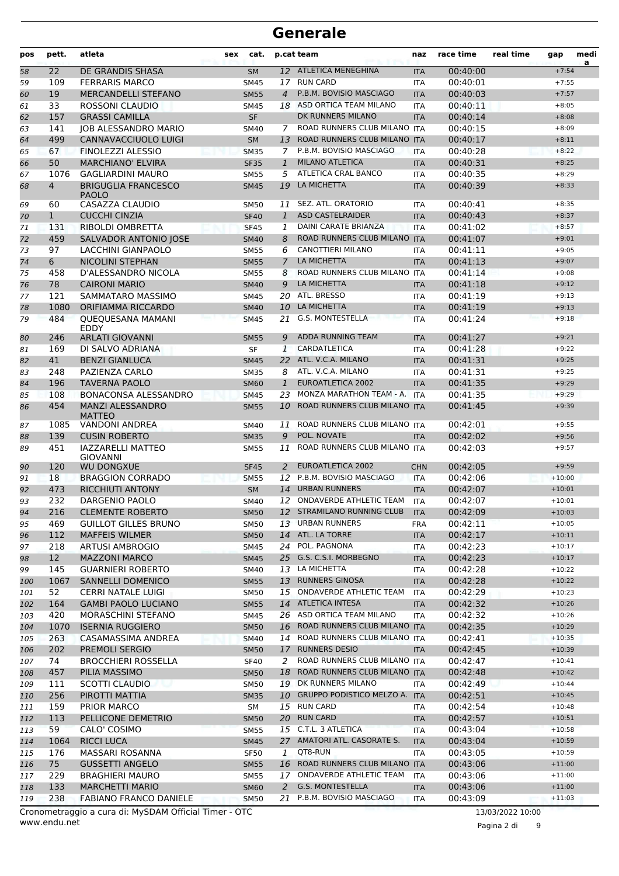| pos | pett.          | atleta                                      | <b>sex</b> | cat.        |                | p.cat team                       | naz        | race time | real time | gap      | medi<br>a |
|-----|----------------|---------------------------------------------|------------|-------------|----------------|----------------------------------|------------|-----------|-----------|----------|-----------|
| 58  | 22             | DE GRANDIS SHASA                            |            | <b>SM</b>   |                | 12 ATLETICA MENEGHINA            | <b>ITA</b> | 00:40:00  |           | $+7:54$  |           |
| 59  | 109            | <b>FERRARIS MARCO</b>                       |            | SM45        | 17             | <b>RUN CARD</b>                  | <b>ITA</b> | 00:40:01  |           | $+7:55$  |           |
| 60  | 19             | <b>MERCANDELLI STEFANO</b>                  |            | <b>SM55</b> | $\overline{4}$ | P.B.M. BOVISIO MASCIAGO          | <b>ITA</b> | 00:40:03  |           | $+7:57$  |           |
| 61  | 33             | ROSSONI CLAUDIO                             |            | <b>SM45</b> | 18             | ASD ORTICA TEAM MILANO           | <b>ITA</b> | 00:40:11  |           | $+8:05$  |           |
| 62  | 157            | <b>GRASSI CAMILLA</b>                       |            | <b>SF</b>   |                | DK RUNNERS MILANO                | <b>ITA</b> | 00:40:14  |           | $+8:08$  |           |
| 63  | 141            | <b>JOB ALESSANDRO MARIO</b>                 |            | <b>SM40</b> | 7              | ROAD RUNNERS CLUB MILANO ITA     |            | 00:40:15  |           | $+8:09$  |           |
| 64  | 499            | <b>CANNAVACCIUOLO LUIGI</b>                 |            | <b>SM</b>   | 13             | ROAD RUNNERS CLUB MILANO ITA     |            | 00:40:17  |           | $+8:11$  |           |
| 65  | 67             | FINOLEZZI ALESSIO                           |            | <b>SM35</b> | $\overline{7}$ | P.B.M. BOVISIO MASCIAGO          | <b>ITA</b> | 00:40:28  |           | $+8:22$  |           |
| 66  | 50             | <b>MARCHIANO' ELVIRA</b>                    |            | <b>SF35</b> | $\mathbf{1}$   | <b>MILANO ATLETICA</b>           | <b>ITA</b> | 00:40:31  |           | $+8:25$  |           |
| 67  | 1076           | <b>GAGLIARDINI MAURO</b>                    |            | <b>SM55</b> | 5              | ATLETICA CRAL BANCO              | <b>ITA</b> | 00:40:35  |           | $+8:29$  |           |
| 68  | $\overline{4}$ | <b>BRIGUGLIA FRANCESCO</b><br><b>PAOLO</b>  |            | <b>SM45</b> | 19             | LA MICHETTA                      | <b>ITA</b> | 00:40:39  |           | $+8:33$  |           |
| 69  | 60             | CASAZZA CLAUDIO                             |            | <b>SM50</b> | 11             | SEZ. ATL. ORATORIO               | <b>ITA</b> | 00:40:41  |           | $+8:35$  |           |
| 70  | $\mathbf{1}$   | <b>CUCCHI CINZIA</b>                        |            | <b>SF40</b> | $\mathbf{1}$   | <b>ASD CASTELRAIDER</b>          | <b>ITA</b> | 00:40:43  |           | $+8:37$  |           |
| 71  | 131            | RIBOLDI OMBRETTA                            |            | <b>SF45</b> | 1              | DAINI CARATE BRIANZA             | <b>ITA</b> | 00:41:02  |           | $+8:57$  |           |
| 72  | 459            | SALVADOR ANTONIO JOSE                       |            | <b>SM40</b> | 8              | ROAD RUNNERS CLUB MILANO ITA     |            | 00:41:07  |           | $+9:01$  |           |
| 73  | 97             | LACCHINI GIANPAOLO                          |            | <b>SM55</b> | 6              | <b>CANOTTIERI MILANO</b>         | <b>ITA</b> | 00:41:11  |           | $+9:05$  |           |
| 74  | 6              | <b>NICOLINI STEPHAN</b>                     |            | <b>SM55</b> | $\overline{7}$ | LA MICHETTA                      | <b>ITA</b> | 00:41:13  |           | $+9:07$  |           |
| 75  | 458            | D'ALESSANDRO NICOLA                         |            | <b>SM55</b> | 8              | ROAD RUNNERS CLUB MILANO         | <b>ITA</b> | 00:41:14  |           | $+9:08$  |           |
| 76  | 78             | <b>CAIRONI MARIO</b>                        |            | <b>SM40</b> | 9              | LA MICHETTA                      | <b>ITA</b> | 00:41:18  |           | $+9:12$  |           |
| 77  | 121            | SAMMATARO MASSIMO                           |            | SM45        | 20             | ATL. BRESSO                      | ITA        | 00:41:19  |           | $+9:13$  |           |
| 78  | 1080           | ORIFIAMMA RICCARDO                          |            | <b>SM40</b> |                | 10 LA MICHETTA                   | <b>ITA</b> | 00:41:19  |           | $+9:13$  |           |
| 79  | 484            | <b>QUEQUESANA MAMANI</b><br><b>EDDY</b>     |            | <b>SM45</b> | 21             | <b>G.S. MONTESTELLA</b>          | <b>ITA</b> | 00:41:24  |           | $+9:18$  |           |
| 80  | 246            | <b>ARLATI GIOVANNI</b>                      |            | <b>SM55</b> | 9              | <b>ADDA RUNNING TEAM</b>         | <b>ITA</b> | 00:41:27  |           | $+9:21$  |           |
| 81  | 169            | DI SALVO ADRIANA                            |            | SF          | 1              | CARDATLETICA                     | <b>ITA</b> | 00:41:28  |           | $+9:22$  |           |
| 82  | 41             | <b>BENZI GIANLUCA</b>                       |            | <b>SM45</b> | 22             | ATL. V.C.A. MILANO               | <b>ITA</b> | 00:41:31  |           | $+9:25$  |           |
| 83  | 248            | PAZIENZA CARLO                              |            | <b>SM35</b> | 8              | ATL. V.C.A. MILANO               | <b>ITA</b> | 00:41:31  |           | $+9:25$  |           |
| 84  | 196            | <b>TAVERNA PAOLO</b>                        |            | <b>SM60</b> | $\mathbf{1}$   | <b>EUROATLETICA 2002</b>         | <b>ITA</b> | 00:41:35  |           | $+9:29$  |           |
| 85  | 108            | BONACONSA ALESSANDRO                        |            | <b>SM45</b> | 23             | MONZA MARATHON TEAM - A.         | <b>ITA</b> | 00:41:35  |           | $+9:29$  |           |
| 86  | 454            | <b>MANZI ALESSANDRO</b><br><b>MATTEO</b>    |            | <b>SM55</b> | 10             | ROAD RUNNERS CLUB MILANO ITA     |            | 00:41:45  |           | $+9:39$  |           |
| 87  | 1085           | <b>VANDONI ANDREA</b>                       |            | <b>SM40</b> | 11             | ROAD RUNNERS CLUB MILANO ITA     |            | 00:42:01  |           | $+9:55$  |           |
| 88  | 139            | <b>CUSIN ROBERTO</b>                        |            | <b>SM35</b> | 9              | POL. NOVATE                      | <b>ITA</b> | 00:42:02  |           | $+9:56$  |           |
| 89  | 451            | <b>IAZZARELLI MATTEO</b><br><b>GIOVANNI</b> |            | <b>SM55</b> | 11             | ROAD RUNNERS CLUB MILANO ITA     |            | 00:42:03  |           | $+9:57$  |           |
| 90  | 120            | <b>WU DONGXUE</b>                           |            | <b>SF45</b> | 2              | <b>EUROATLETICA 2002</b>         | <b>CHN</b> | 00:42:05  |           | $+9:59$  |           |
| 91  | 18             | <b>BRAGGION CORRADO</b>                     |            | <b>SM55</b> | 12             | P.B.M. BOVISIO MASCIAGO          | <b>ITA</b> | 00:42:06  |           | $+10:00$ |           |
| 92  | 473            | <b>RICCHIUTI ANTONY</b>                     |            | <b>SM</b>   | 14             | <b>URBAN RUNNERS</b>             | <b>ITA</b> | 00:42:07  |           | $+10:01$ |           |
| 93  | 232            | DARGENIO PAOLO                              |            | SM40        |                | 12 ONDAVERDE ATHLETIC TEAM       | <b>ITA</b> | 00:42:07  |           | $+10:01$ |           |
| 94  | 216            | <b>CLEMENTE ROBERTO</b>                     |            | <b>SM50</b> |                | 12 STRAMILANO RUNNING CLUB       | <b>ITA</b> | 00:42:09  |           | $+10:03$ |           |
| 95  | 469            | <b>GUILLOT GILLES BRUNO</b>                 |            | SM50        |                | 13 URBAN RUNNERS                 | FRA        | 00:42:11  |           | $+10:05$ |           |
| 96  | 112            | <b>MAFFEIS WILMER</b>                       |            | <b>SM50</b> |                | 14 ATL. LA TORRE                 | <b>ITA</b> | 00:42:17  |           | $+10:11$ |           |
| 97  | 218            | <b>ARTUSI AMBROGIO</b>                      |            | SM45        |                | 24 POL. PAGNONA                  | ITA        | 00:42:23  |           | $+10:17$ |           |
| 98  | 12             | <b>MAZZONI MARCO</b>                        |            | <b>SM45</b> |                | 25 G.S. C.S.I. MORBEGNO          | <b>ITA</b> | 00:42:23  |           | $+10:17$ |           |
| 99  | 145            | <b>GUARNIERI ROBERTO</b>                    |            | SM40        |                | 13 LA MICHETTA                   | ITA        | 00:42:28  |           | $+10:22$ |           |
| 100 | 1067           | SANNELLI DOMENICO                           |            | <b>SM55</b> |                | 13 RUNNERS GINOSA                | <b>ITA</b> | 00:42:28  |           | $+10:22$ |           |
| 101 | 52             | CERRI NATALE LUIGI                          |            | <b>SM50</b> | 15             | ONDAVERDE ATHLETIC TEAM          | <b>ITA</b> | 00:42:29  |           | $+10:23$ |           |
| 102 | 164            | <b>GAMBI PAOLO LUCIANO</b>                  |            | <b>SM55</b> |                | 14 ATLETICA INTESA               | <b>ITA</b> | 00:42:32  |           | $+10:26$ |           |
| 103 | 420            | MORASCHINI STEFANO                          |            | SM45        |                | 26 ASD ORTICA TEAM MILANO        | ITA        | 00:42:32  |           | $+10:26$ |           |
| 104 | 1070           | <b>ISERNIA RUGGIERO</b>                     |            | <b>SM50</b> |                | 16 ROAD RUNNERS CLUB MILANO ITA  |            | 00:42:35  |           | $+10:29$ |           |
| 105 | 263            | CASAMASSIMA ANDREA                          |            | <b>SM40</b> |                | 14 ROAD RUNNERS CLUB MILANO ITA  |            | 00:42:41  |           | $+10:35$ |           |
| 106 | 202            | PREMOLI SERGIO                              |            | <b>SM50</b> |                | 17 RUNNERS DESIO                 | <b>ITA</b> | 00:42:45  |           | $+10:39$ |           |
| 107 | 74             | <b>BROCCHIERI ROSSELLA</b>                  |            | <b>SF40</b> | 2              | ROAD RUNNERS CLUB MILANO ITA     |            | 00:42:47  |           | $+10:41$ |           |
| 108 | 457            | PILIA MASSIMO                               |            | <b>SM50</b> |                | 18 ROAD RUNNERS CLUB MILANO ITA  |            | 00:42:48  |           | $+10:42$ |           |
| 109 | 111            | SCOTTI CLAUDIO                              |            | <b>SM50</b> |                | 19 DK RUNNERS MILANO             | <b>ITA</b> | 00:42:49  |           | $+10:44$ |           |
| 110 | 256            | PIROTTI MATTIA                              |            | <b>SM35</b> |                | 10 GRUPPO PODISTICO MELZO A. ITA |            | 00:42:51  |           | $+10:45$ |           |
| 111 | 159            | PRIOR MARCO                                 |            | SM          |                | 15 RUN CARD                      | ITA        | 00:42:54  |           | $+10:48$ |           |
| 112 | 113            | PELLICONE DEMETRIO                          |            | <b>SM50</b> |                | 20 RUN CARD                      | <b>ITA</b> | 00:42:57  |           | $+10:51$ |           |
| 113 | 59             | CALO' COSIMO                                |            | <b>SM55</b> |                | 15 C.T.L. 3 ATLETICA             | <b>ITA</b> | 00:43:04  |           | $+10:58$ |           |
| 114 | 1064           | <b>RICCI LUCA</b>                           |            | <b>SM45</b> |                | 27 AMATORI ATL. CASORATE S.      | <b>ITA</b> | 00:43:04  |           | $+10:59$ |           |
| 115 | 176            | MASSARI ROSANNA                             |            | <b>SF50</b> | 1              | QT8-RUN                          | ITA        | 00:43:05  |           | $+10:59$ |           |
| 116 | 75             | <b>GUSSETTI ANGELO</b>                      |            | <b>SM55</b> |                | 16 ROAD RUNNERS CLUB MILANO ITA  |            | 00:43:06  |           | $+11:00$ |           |
| 117 | 229            | <b>BRAGHIERI MAURO</b>                      |            | <b>SM55</b> |                | 17 ONDAVERDE ATHLETIC TEAM       | ITA        | 00:43:06  |           | $+11:00$ |           |
| 118 | 133            | <b>MARCHETTI MARIO</b>                      |            | <b>SM60</b> | 2              | G.S. MONTESTELLA                 | <b>ITA</b> | 00:43:06  |           | $+11:00$ |           |
| 119 | 238            | FABIANO FRANCO DANIELE                      |            | <b>SM50</b> |                | 21 P.B.M. BOVISIO MASCIAGO       | <b>ITA</b> | 00:43:09  |           | $+11:03$ |           |

www.endu.net Cronometraggio a cura di: MySDAM Official Timer - OTC 13/03/2022 10:00

Pagina 2 di 9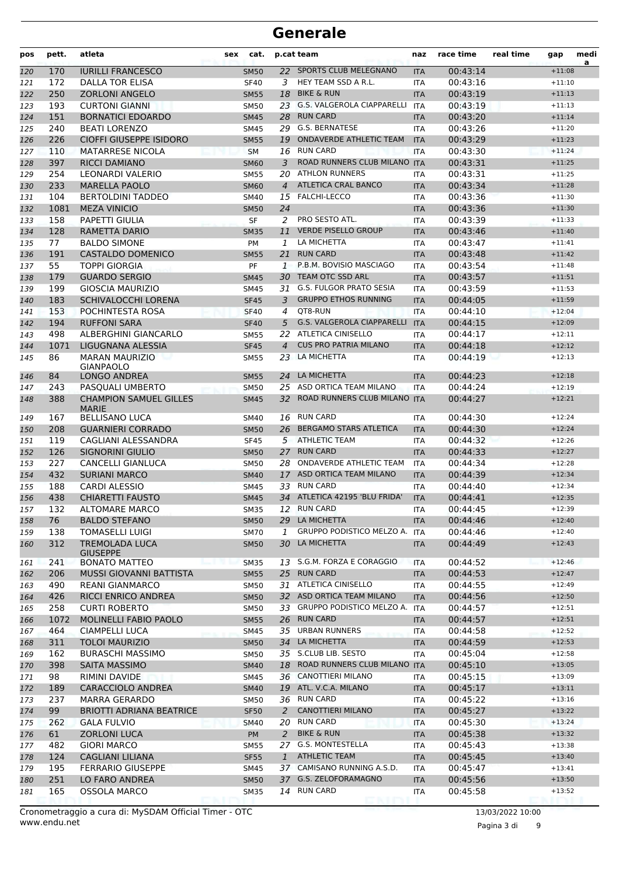| pos        | pett.     | atleta                                                | sex | cat.        |                | p.cat team                        | naz        | race time            | real time | gap                  | medi<br>a |
|------------|-----------|-------------------------------------------------------|-----|-------------|----------------|-----------------------------------|------------|----------------------|-----------|----------------------|-----------|
| 120        | 170       | <b>IURILLI FRANCESCO</b>                              |     | <b>SM50</b> |                | 22 SPORTS CLUB MELEGNANO          | <b>ITA</b> | 00:43:14             |           | $+11:08$             |           |
| 121        | 172       | <b>DALLA TOR ELISA</b>                                |     | <b>SF40</b> | 3              | HEY TEAM SSD A R.L.               | <b>ITA</b> | 00:43:16             |           | $+11:10$             |           |
| 122        | 250       | <b>ZORLONI ANGELO</b>                                 |     | <b>SM55</b> | 18             | <b>BIKE &amp; RUN</b>             | <b>ITA</b> | 00:43:19             |           | $+11:13$             |           |
| 123        | 193       | <b>CURTONI GIANNI</b>                                 |     | <b>SM50</b> |                | 23 G.S. VALGEROLA CIAPPARELLI     | <b>ITA</b> | 00:43:19             |           | $+11:13$             |           |
| 124        | 151       | <b>BORNATICI EDOARDO</b>                              |     | <b>SM45</b> | 28             | <b>RUN CARD</b>                   | <b>ITA</b> | 00:43:20             |           | $+11:14$             |           |
| 125        | 240       | <b>BEATI LORENZO</b>                                  |     | <b>SM45</b> |                | 29 G.S. BERNATESE                 | <b>ITA</b> | 00:43:26             |           | $+11:20$             |           |
| 126        | 226       | CIOFFI GIUSEPPE ISIDORO                               |     | <b>SM55</b> | 19             | <b>ONDAVERDE ATHLETIC TEAM</b>    | <b>ITA</b> | 00:43:29             |           | $+11:23$             |           |
| 127        | 110       | <b>MATARRESE NICOLA</b>                               |     | <b>SM</b>   |                | 16 RUN CARD                       | <b>ITA</b> | 00:43:30             |           | $+11:24$             |           |
| 128        | 397       | <b>RICCI DAMIANO</b>                                  |     | <b>SM60</b> | 3              | ROAD RUNNERS CLUB MILANO ITA      |            | 00:43:31             |           | $+11:25$             |           |
| 129        | 254       | LEONARDI VALERIO                                      |     | <b>SM55</b> | 20             | <b>ATHLON RUNNERS</b>             | <b>ITA</b> | 00:43:31             |           | $+11:25$             |           |
| 130        | 233       | <b>MARELLA PAOLO</b>                                  |     | <b>SM60</b> | $\overline{4}$ | ATLETICA CRAL BANCO               | <b>ITA</b> | 00:43:34             |           | $+11:28$             |           |
| 131        | 104       | <b>BERTOLDINI TADDEO</b>                              |     | <b>SM40</b> |                | 15 FALCHI-LECCO                   | ITA        | 00:43:36             |           | $+11:30$             |           |
| 132        | 1081      | <b>MEZA VINICIO</b>                                   |     | <b>SM50</b> | 24             |                                   | <b>ITA</b> | 00:43:36             |           | $+11:30$             |           |
| 133        | 158       | PAPETTI GIULIA                                        |     | <b>SF</b>   | 2              | PRO SESTO ATL.                    | <b>ITA</b> | 00:43:39             |           | $+11:33$             |           |
| 134        | 128       | RAMETTA DARIO                                         |     | <b>SM35</b> | 11             | <b>VERDE PISELLO GROUP</b>        | <b>ITA</b> | 00:43:46             |           | $+11:40$             |           |
| 135        | 77        | <b>BALDO SIMONE</b>                                   |     | <b>PM</b>   | 1              | LA MICHETTA                       | <b>ITA</b> | 00:43:47             |           | $+11:41$             |           |
| 136        | 191       | <b>CASTALDO DOMENICO</b>                              |     | <b>SM55</b> | 21             | <b>RUN CARD</b>                   | <b>ITA</b> | 00:43:48             |           | $+11:42$             |           |
| 137        | 55        | <b>TOPPI GIORGIA</b>                                  |     | PF          | 1              | P.B.M. BOVISIO MASCIAGO           | <b>ITA</b> | 00:43:54             |           | $+11:48$             |           |
| 138        | 179       | <b>GUARDO SERGIO</b>                                  |     | <b>SM45</b> |                | 30 TEAM OTC SSD ARL               | <b>ITA</b> | 00:43:57             |           | $+11:51$             |           |
| 139        | 199       | <b>GIOSCIA MAURIZIO</b>                               |     | <b>SM45</b> |                | 31 G.S. FULGOR PRATO SESIA        | <b>ITA</b> | 00:43:59             |           | $+11:53$             |           |
| 140        | 183       | SCHIVALOCCHI LORENA                                   |     | <b>SF45</b> | 3              | <b>GRUPPO ETHOS RUNNING</b>       | <b>ITA</b> | 00:44:05             |           | $+11:59$             |           |
| 141        | 153       | POCHINTESTA ROSA                                      |     | <b>SF40</b> | 4              | QT8-RUN                           | <b>ITA</b> | 00:44:10             |           | $+12:04$             |           |
| 142        | 194       | <b>RUFFONI SARA</b>                                   |     | <b>SF40</b> | 5              | <b>G.S. VALGEROLA CIAPPARELLI</b> | <b>ITA</b> | 00:44:15             |           | $+12:09$             |           |
| 143        | 498       | ALBERGHINI GIANCARLO                                  |     | <b>SM55</b> |                | 22 ATLETICA CINISELLO             | <b>ITA</b> | 00:44:17             |           | $+12:11$             |           |
| 144        | 1071      | LIGUGNANA ALESSIA                                     |     | <b>SF45</b> | $\overline{4}$ | <b>CUS PRO PATRIA MILANO</b>      | <b>ITA</b> | 00:44:18             |           | $+12:12$             |           |
| 145        | 86        | <b>MARAN MAURIZIO</b>                                 |     | <b>SM55</b> |                | 23 LA MICHETTA                    | <b>ITA</b> | 00:44:19             |           | $+12:13$             |           |
|            |           | <b>GIANPAOLO</b>                                      |     |             |                |                                   |            |                      |           |                      |           |
| 146        | 84        | <b>LONGO ANDREA</b>                                   |     | <b>SM55</b> | 24             | LA MICHETTA                       | <b>ITA</b> | 00:44:23             |           | $+12:18$             |           |
| 147        | 243       | PASQUALI UMBERTO                                      |     | <b>SM50</b> | 25             | ASD ORTICA TEAM MILANO            | <b>ITA</b> | 00:44:24             |           | $+12:19$             |           |
| 148        | 388       | <b>CHAMPION SAMUEL GILLES</b><br><b>MARIE</b>         |     | <b>SM45</b> | 32             | ROAD RUNNERS CLUB MILANO ITA      |            | 00:44:27             |           | $+12:21$             |           |
| 149        | 167       | <b>BELLISANO LUCA</b>                                 |     | <b>SM40</b> |                | 16 RUN CARD                       | <b>ITA</b> | 00:44:30             |           | $+12:24$             |           |
| 150        | 208       | <b>GUARNIERI CORRADO</b>                              |     | <b>SM50</b> | 26             | <b>BERGAMO STARS ATLETICA</b>     | <b>ITA</b> | 00:44:30             |           | $+12:24$             |           |
| 151        | 119       | CAGLIANI ALESSANDRA                                   |     | <b>SF45</b> |                | 5 ATHLETIC TEAM                   | <b>ITA</b> | 00:44:32             |           | $+12:26$             |           |
| 152        | 126       | SIGNORINI GIULIO                                      |     | <b>SM50</b> |                | 27 RUN CARD                       | <b>ITA</b> | 00:44:33             |           | $+12:27$             |           |
| 153        | 227       | <b>CANCELLI GIANLUCA</b>                              |     | <b>SM50</b> |                | 28 ONDAVERDE ATHLETIC TEAM        | <b>ITA</b> | 00:44:34             |           | $+12:28$             |           |
| 154        | 432       | <b>SURIANI MARCO</b>                                  |     | <b>SM40</b> | 17             | ASD ORTICA TEAM MILANO            | <b>ITA</b> | 00:44:39             |           | $+12:34$             |           |
| 155        | 188       | <b>CARDI ALESSIO</b>                                  |     | SM45        | 33             | <b>RUN CARD</b>                   | <b>ITA</b> | 00:44:40             |           | $+12:34$             |           |
| 156        | 438       | <b>CHIARETTI FAUSTO</b>                               |     | <b>SM45</b> |                | 34 ATLETICA 42195 'BLU FRIDA'     | <b>ITA</b> | 00:44:41             |           | $+12:35$             |           |
| 157        | 132       | <b>ALTOMARE MARCO</b>                                 |     | <b>SM35</b> |                | 12 RUN CARD                       | <b>ITA</b> | 00:44:45             |           | $+12:39$             |           |
| 158        | 76        | <b>BALDO STEFANO</b>                                  |     | <b>SM50</b> |                | 29 LA MICHETTA                    | <b>ITA</b> | 00:44:46             |           | $+12:40$             |           |
| 159        | 138       | <b>TOMASELLI LUIGI</b>                                |     | <b>SM70</b> | 1              | GRUPPO PODISTICO MELZO A. ITA     |            | 00:44:46             |           | $+12:40$             |           |
| 160        | 312       | <b>TREMOLADA LUCA</b>                                 |     | <b>SM50</b> | 30             | LA MICHETTA                       | <b>ITA</b> | 00:44:49             |           | $+12:43$             |           |
| 161        | 241       | <b>GIUSEPPE</b><br><b>BONATO MATTEO</b>               |     | <b>SM35</b> | 13             | S.G.M. FORZA E CORAGGIO           | <b>ITA</b> | 00:44:52             |           | $+12:46$             |           |
| 162        | 206       | MUSSI GIOVANNI BATTISTA                               |     | <b>SM55</b> | 25             | <b>RUN CARD</b>                   | <b>ITA</b> | 00:44:53             |           | $+12:47$             |           |
| 163        | 490       | <b>REANI GIANMARCO</b>                                |     | SM50        |                | 31 ATLETICA CINISELLO             | ITA        | 00:44:55             |           | $+12:49$             |           |
| 164        | 426       | <b>RICCI ENRICO ANDREA</b>                            |     | <b>SM50</b> |                | 32 ASD ORTICA TEAM MILANO         | <b>ITA</b> | 00:44:56             |           | $+12:50$             |           |
| 165        | 258       | <b>CURTI ROBERTO</b>                                  |     | <b>SM50</b> |                | 33 GRUPPO PODISTICO MELZO A. ITA  |            | 00:44:57             |           | $+12:51$             |           |
| 166        | 1072      | MOLINELLI FABIO PAOLO                                 |     | <b>SM55</b> |                | 26 RUN CARD                       | <b>ITA</b> | 00:44:57             |           | $+12:51$             |           |
| 167        | 464       | CIAMPELLI LUCA                                        |     | <b>SM45</b> | 35             | <b>URBAN RUNNERS</b>              | ITA        | 00:44:58             |           | $+12:52$             |           |
| 168        | 311       | <b>TOLOI MAURIZIO</b>                                 |     | <b>SM50</b> |                | 34 LA MICHETTA                    | <b>ITA</b> | 00:44:59             |           | $+12:53$             |           |
| 169        | 162       | <b>BURASCHI MASSIMO</b>                               |     | SM50        |                | 35 S.CLUB LIB. SESTO              | ITA        | 00:45:04             |           | $+12:58$             |           |
| 170        | 398       | SAITA MASSIMO                                         |     | <b>SM40</b> | 18             | ROAD RUNNERS CLUB MILANO ITA      |            | 00:45:10             |           | $+13:05$             |           |
| 171        | 98        | RIMINI DAVIDE                                         |     | SM45        |                | 36 CANOTTIERI MILANO              | ITA        | 00:45:15             |           | $+13:09$             |           |
|            | 189       | <b>CARACCIOLO ANDREA</b>                              |     | <b>SM40</b> |                | 19 ATL. V.C.A. MILANO             | <b>ITA</b> | 00:45:17             |           | $+13:11$             |           |
| 172<br>173 | 237       | <b>MARRA GERARDO</b>                                  |     | SM50        |                | 36 RUN CARD                       | ITA        | 00:45:22             |           | $+13:16$             |           |
|            |           |                                                       |     |             |                | <b>CANOTTIERI MILANO</b>          |            |                      |           |                      |           |
| 174        | 99<br>262 | <b>BRIOTTI ADRIANA BEATRICE</b><br><b>GALA FULVIO</b> |     | <b>SF50</b> | 2              | 20 RUN CARD                       | <b>ITA</b> | 00:45:27<br>00:45:30 |           | $+13:22$<br>$+13:24$ |           |
| 175        |           |                                                       |     | <b>SM40</b> |                | <b>BIKE &amp; RUN</b>             | ITA        |                      |           | $+13:32$             |           |
| 176        | 61<br>482 | <b>ZORLONI LUCA</b>                                   |     | PM          | $\overline{2}$ | 27 G.S. MONTESTELLA               | <b>ITA</b> | 00:45:38             |           |                      |           |
| 177        |           | <b>GIORI MARCO</b>                                    |     | <b>SM55</b> | $\mathbf{1}$   | <b>ATHLETIC TEAM</b>              | ITA        | 00:45:43             |           | $+13:38$<br>$+13:40$ |           |
| 178        | 124       | <b>CAGLIANI LILIANA</b>                               |     | <b>SF55</b> |                | 37 CAMISANO RUNNING A.S.D.        | <b>ITA</b> | 00:45:45             |           |                      |           |
| 179        | 195       | <b>FERRARIO GIUSEPPE</b>                              |     | SM45        |                |                                   | ITA        | 00:45:47             |           | $+13:41$             |           |
| 180        | 251       | LO FARO ANDREA                                        |     | <b>SM50</b> | 37             | G.S. ZELOFORAMAGNO                | <b>ITA</b> | 00:45:56             |           | $+13:50$             |           |
| 181        | 165       | <b>OSSOLA MARCO</b>                                   |     | SM35        |                | 14 RUN CARD                       | ITA        | 00:45:58             |           | $+13:52$             |           |

Pagina 3 di 9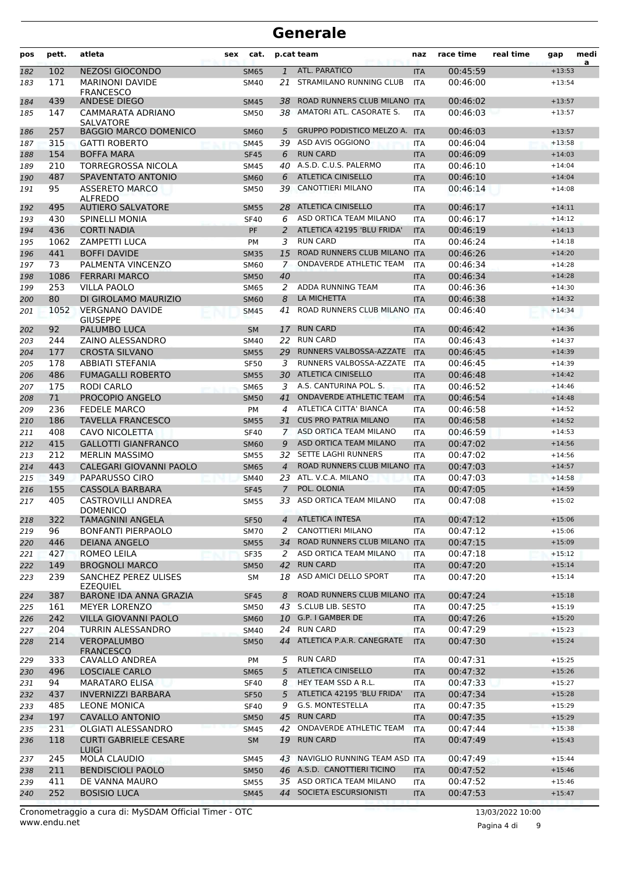| pos | pett. | atleta                                       | sex | cat.        |                | p.cat team                     | naz        | race time | real time | gap      | medi<br>a |
|-----|-------|----------------------------------------------|-----|-------------|----------------|--------------------------------|------------|-----------|-----------|----------|-----------|
| 182 | 102   | <b>NEZOSI GIOCONDO</b>                       |     | <b>SM65</b> | $\mathbf{1}$   | ATL. PARATICO                  | <b>ITA</b> | 00:45:59  |           | $+13:53$ |           |
| 183 | 171   | <b>MARINONI DAVIDE</b><br><b>FRANCESCO</b>   |     | SM40        | 21             | STRAMILANO RUNNING CLUB        | <b>ITA</b> | 00:46:00  |           | $+13:54$ |           |
| 184 | 439   | <b>ANDESE DIEGO</b>                          |     | <b>SM45</b> | 38             | ROAD RUNNERS CLUB MILANO ITA   |            | 00:46:02  |           | $+13:57$ |           |
| 185 | 147   | CAMMARATA ADRIANO<br><b>SALVATORE</b>        |     | <b>SM50</b> |                | 38 AMATORI ATL. CASORATE S.    | <b>ITA</b> | 00:46:03  |           | $+13:57$ |           |
| 186 | 257   | <b>BAGGIO MARCO DOMENICO</b>                 |     | <b>SM60</b> | 5              | GRUPPO PODISTICO MELZO A. ITA  |            | 00:46:03  |           | $+13:57$ |           |
| 187 | 315   | <b>GATTI ROBERTO</b>                         |     | <b>SM45</b> | 39             | ASD AVIS OGGIONO               | <b>ITA</b> | 00:46:04  |           | $+13:58$ |           |
| 188 | 154   | <b>BOFFA MARA</b>                            |     | <b>SF45</b> | 6              | <b>RUN CARD</b>                | <b>ITA</b> | 00:46:09  |           | $+14:03$ |           |
| 189 | 210   | TORREGROSSA NICOLA                           |     | <b>SM45</b> | 40             | A.S.D. C.U.S. PALERMO          | <b>ITA</b> | 00:46:10  |           | $+14:04$ |           |
| 190 | 487   | SPAVENTATO ANTONIO                           |     | <b>SM60</b> | 6              | <b>ATLETICA CINISELLO</b>      | <b>ITA</b> | 00:46:10  |           | $+14:04$ |           |
| 191 | 95    | <b>ASSERETO MARCO</b><br><b>ALFREDO</b>      |     | <b>SM50</b> | 39             | <b>CANOTTIERI MILANO</b>       | <b>ITA</b> | 00:46:14  |           | $+14:08$ |           |
| 192 | 495   | <b>AUTIERO SALVATORE</b>                     |     | <b>SM55</b> | 28             | <b>ATLETICA CINISELLO</b>      | <b>ITA</b> | 00:46:17  |           | $+14:11$ |           |
| 193 | 430   | <b>SPINELLI MONIA</b>                        |     | <b>SF40</b> | 6              | ASD ORTICA TEAM MILANO         | <b>ITA</b> | 00:46:17  |           | $+14:12$ |           |
| 194 | 436   | <b>CORTI NADIA</b>                           |     | <b>PF</b>   | 2              | ATLETICA 42195 'BLU FRIDA'     | <b>ITA</b> | 00:46:19  |           | $+14:13$ |           |
| 195 | 1062  | <b>ZAMPETTI LUCA</b>                         |     | <b>PM</b>   | 3              | <b>RUN CARD</b>                | <b>ITA</b> | 00:46:24  |           | $+14:18$ |           |
| 196 | 441   | <b>BOFFI DAVIDE</b>                          |     | <b>SM35</b> | 15             | ROAD RUNNERS CLUB MILANO ITA   |            | 00:46:26  |           | $+14:20$ |           |
| 197 | 73    | PALMENTA VINCENZO                            |     | <b>SM60</b> | 7              | ONDAVERDE ATHLETIC TEAM        | <b>ITA</b> | 00:46:34  |           | $+14:28$ |           |
| 198 | 1086  | <b>FERRARI MARCO</b>                         |     | <b>SM50</b> | 40             |                                | <b>ITA</b> | 00:46:34  |           | $+14:28$ |           |
| 199 | 253   | <b>VILLA PAOLO</b>                           |     | <b>SM65</b> | 2              | ADDA RUNNING TEAM              | <b>ITA</b> | 00:46:36  |           | $+14:30$ |           |
| 200 | 80    | DI GIROLAMO MAURIZIO                         |     | <b>SM60</b> | 8              | LA MICHETTA                    | <b>ITA</b> | 00:46:38  |           | $+14:32$ |           |
| 201 | 1052  | <b>VERGNANO DAVIDE</b><br><b>GIUSEPPE</b>    |     | SM45        | 41             | ROAD RUNNERS CLUB MILANO ITA   |            | 00:46:40  |           | $+14:34$ |           |
| 202 | 92    | PALUMBO LUCA                                 |     | <b>SM</b>   | 17             | <b>RUN CARD</b>                | <b>ITA</b> | 00:46:42  |           | $+14:36$ |           |
| 203 | 244   | ZAINO ALESSANDRO                             |     | <b>SM40</b> | 22             | <b>RUN CARD</b>                | <b>ITA</b> | 00:46:43  |           | $+14:37$ |           |
| 204 | 177   | <b>CROSTA SILVANO</b>                        |     | <b>SM55</b> | 29             | RUNNERS VALBOSSA-AZZATE        | <b>ITA</b> | 00:46:45  |           | $+14:39$ |           |
| 205 | 178   | ABBIATI STEFANIA                             |     | <b>SF50</b> | 3              | RUNNERS VALBOSSA-AZZATE        | ITA        | 00:46:45  |           | $+14:39$ |           |
| 206 | 486   | <b>FUMAGALLI ROBERTO</b>                     |     | <b>SM55</b> |                | 30 ATLETICA CINISELLO          | <b>ITA</b> | 00:46:48  |           | $+14:42$ |           |
| 207 | 175   | <b>RODI CARLO</b>                            |     | <b>SM65</b> | 3              | A.S. CANTURINA POL. S.         | <b>ITA</b> | 00:46:52  |           | $+14:46$ |           |
| 208 | 71    | PROCOPIO ANGELO                              |     | <b>SM50</b> | 41             | <b>ONDAVERDE ATHLETIC TEAM</b> | <b>ITA</b> | 00:46:54  |           | $+14:48$ |           |
| 209 | 236   | <b>FEDELE MARCO</b>                          |     | PM          | 4              | ATLETICA CITTA' BIANCA         | <b>ITA</b> | 00:46:58  |           | $+14:52$ |           |
| 210 | 186   | <b>TAVELLA FRANCESCO</b>                     |     | <b>SM55</b> | 31             | <b>CUS PRO PATRIA MILANO</b>   | <b>ITA</b> | 00:46:58  |           | $+14:52$ |           |
| 211 | 408   | CAVO NICOLETTA                               |     | <b>SF40</b> | $\mathcal{I}$  | ASD ORTICA TEAM MILANO         | <b>ITA</b> | 00:46:59  |           | $+14:53$ |           |
| 212 | 415   | <b>GALLOTTI GIANFRANCO</b>                   |     | <b>SM60</b> | 9              | ASD ORTICA TEAM MILANO         | <b>ITA</b> | 00:47:02  |           | $+14:56$ |           |
| 213 | 212   | <b>MERLIN MASSIMO</b>                        |     | <b>SM55</b> | 32             | SETTE LAGHI RUNNERS            | <b>ITA</b> | 00:47:02  |           | $+14:56$ |           |
| 214 | 443   | CALEGARI GIOVANNI PAOLO                      |     | <b>SM65</b> | 4              | ROAD RUNNERS CLUB MILANO ITA   |            | 00:47:03  |           | $+14:57$ |           |
| 215 | 349   | <b>PAPARUSSO CIRO</b>                        |     | <b>SM40</b> | 23             | ATL, V.C.A. MILANO             | <b>ITA</b> | 00:47:03  |           | $+14:58$ |           |
| 216 | 155   | <b>CASSOLA BARBARA</b>                       |     | <b>SF45</b> | $\overline{7}$ | POL. OLONIA                    | <b>ITA</b> | 00:47:05  |           | $+14:59$ |           |
| 217 | 405   | <b>CASTROVILLI ANDREA</b><br><b>DOMENICO</b> |     | <b>SM55</b> |                | 33 ASD ORTICA TEAM MILANO      | <b>ITA</b> | 00:47:08  |           | $+15:02$ |           |
| 218 | 322   | <b>TAMAGNINI ANGELA</b>                      |     | <b>SF50</b> | 4              | <b>ATLETICA INTESA</b>         | <b>ITA</b> | 00:47:12  |           | $+15:06$ |           |
| 219 | 96    | <b>BONFANTI PIERPAOLO</b>                    |     | <b>SM70</b> | $\overline{2}$ | CANOTTIERI MILANO              | <b>ITA</b> | 00:47:12  |           | $+15:06$ |           |
| 220 | 446   | <b>DEIANA ANGELO</b>                         |     | <b>SM55</b> | 34             | ROAD RUNNERS CLUB MILANO ITA   |            | 00:47:15  |           | $+15:09$ |           |
| 221 | 427   | ROMEO LEILA                                  |     | <b>SF35</b> | 2              | ASD ORTICA TEAM MILANO         | ITA        | 00:47:18  |           | $+15:12$ |           |
| 222 | 149   | <b>BROGNOLI MARCO</b>                        |     | <b>SM50</b> | 42             | <b>RUN CARD</b>                | <b>ITA</b> | 00:47:20  |           | $+15:14$ |           |
| 223 | 239   | SANCHEZ PEREZ ULISES<br><b>EZEQUIEL</b>      |     | SM          |                | 18 ASD AMICI DELLO SPORT       | ITA        | 00:47:20  |           | $+15:14$ |           |
| 224 | 387   | BARONE IDA ANNA GRAZIA                       |     | <b>SF45</b> | 8              | ROAD RUNNERS CLUB MILANO ITA   |            | 00:47:24  |           | $+15:18$ |           |
| 225 | 161   | <b>MEYER LORENZO</b>                         |     | SM50        |                | 43 S.CLUB LIB. SESTO           | ITA        | 00:47:25  |           | $+15:19$ |           |
| 226 | 242   | <b>VILLA GIOVANNI PAOLO</b>                  |     | <b>SM60</b> |                | 10 G.P. I GAMBER DE            | <b>ITA</b> | 00:47:26  |           | $+15:20$ |           |
| 227 | 204   | TURRIN ALESSANDRO                            |     | SM40        |                | 24 RUN CARD                    | ITA        | 00:47:29  |           | $+15:23$ |           |
| 228 | 214   | <b>VEROPALUMBO</b><br><b>FRANCESCO</b>       |     | <b>SM50</b> |                | 44 ATLETICA P.A.R. CANEGRATE   | <b>ITA</b> | 00:47:30  |           | $+15:24$ |           |
| 229 | 333   | CAVALLO ANDREA                               |     | PM          | 5              | <b>RUN CARD</b>                | ITA        | 00:47:31  |           | $+15:25$ |           |
| 230 | 496   | <b>LOSCIALE CARLO</b>                        |     | <b>SM65</b> | 5              | <b>ATLETICA CINISELLO</b>      | <b>ITA</b> | 00:47:32  |           | $+15:26$ |           |
| 231 | 94    | <b>MARATARO ELISA</b>                        |     | <b>SF40</b> | 8              | HEY TEAM SSD A R.L.            | ITA        | 00:47:33  |           | $+15:27$ |           |
| 232 | 437   | <b>INVERNIZZI BARBARA</b>                    |     | <b>SF50</b> | 5              | ATLETICA 42195 'BLU FRIDA'     | <b>ITA</b> | 00:47:34  |           | $+15:28$ |           |
| 233 | 485   | <b>LEONE MONICA</b>                          |     | <b>SF40</b> | 9              | G.S. MONTESTELLA               | ITA        | 00:47:35  |           | $+15:29$ |           |
| 234 | 197   | <b>CAVALLO ANTONIO</b>                       |     | <b>SM50</b> | 45             | <b>RUN CARD</b>                | <b>ITA</b> | 00:47:35  |           | $+15:29$ |           |
| 235 | 231   | OLGIATI ALESSANDRO                           |     | SM45        | 42             | ONDAVERDE ATHLETIC TEAM        | <b>ITA</b> | 00:47:44  |           | $+15:38$ |           |
| 236 | 118   | <b>CURTI GABRIELE CESARE</b><br><b>LUIGI</b> |     | <b>SM</b>   | 19             | <b>RUN CARD</b>                | <b>ITA</b> | 00:47:49  |           | $+15:43$ |           |
| 237 | 245   | MOLA CLAUDIO                                 |     | SM45        | 43             | NAVIGLIO RUNNING TEAM ASD ITA  |            | 00:47:49  |           | $+15:44$ |           |
| 238 | 211   | <b>BENDISCIOLI PAOLO</b>                     |     | <b>SM50</b> |                | 46 A.S.D. CANOTTIERI TICINO    | <b>ITA</b> | 00:47:52  |           | $+15:46$ |           |
| 239 | 411   | DE VANNA MAURO                               |     | SM55        |                | 35 ASD ORTICA TEAM MILANO      | ITA        | 00:47:52  |           | $+15:46$ |           |
| 240 | 252   | <b>BOSISIO LUCA</b>                          |     | <b>SM45</b> |                | 44 SOCIETA ESCURSIONISTI       | <b>ITA</b> | 00:47:53  |           | $+15:47$ |           |

www.endu.net Cronometraggio a cura di: MySDAM Official Timer - OTC 13/03/2022 10:00

Pagina 4 di 9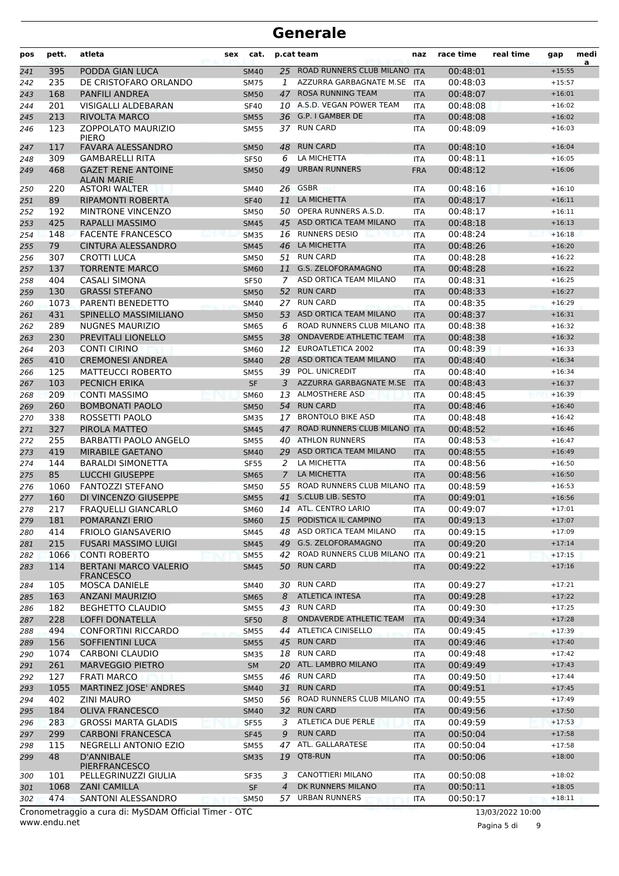| pos        | pett.      | atleta                                                     | sex | cat.                                             |                | p.cat team                                | naz                      | race time            | real time | gap                  | medi<br>a |
|------------|------------|------------------------------------------------------------|-----|--------------------------------------------------|----------------|-------------------------------------------|--------------------------|----------------------|-----------|----------------------|-----------|
| 241        | 395        | PODDA GIAN LUCA                                            |     | <b>SM40</b>                                      |                | 25 ROAD RUNNERS CLUB MILANO ITA           |                          | 00:48:01             |           | $+15:55$             |           |
| 242        | 235        | DE CRISTOFARO ORLANDO                                      |     | <b>SM75</b>                                      | 1              | AZZURRA GARBAGNATE M.SE                   | <b>ITA</b>               | 00:48:03             |           | $+15:57$             |           |
| 243        | 168        | PANFILI ANDREA                                             |     | <b>SM50</b>                                      | 47             | <b>ROSA RUNNING TEAM</b>                  | <b>ITA</b>               | 00:48:07             |           | $+16:01$             |           |
| 244        | 201        | <b>VISIGALLI ALDEBARAN</b>                                 |     | <b>SF40</b>                                      |                | 10 A.S.D. VEGAN POWER TEAM                | <b>ITA</b>               | 00:48:08             |           | $+16:02$             |           |
| 245        | 213        | <b>RIVOLTA MARCO</b>                                       |     | <b>SM55</b>                                      |                | 36 G.P. I GAMBER DE                       | <b>ITA</b>               | 00:48:08             |           | $+16:02$             |           |
| 246        | 123        | <b>ZOPPOLATO MAURIZIO</b><br><b>PIERO</b>                  |     | <b>SM55</b>                                      |                | 37 RUN CARD                               | <b>ITA</b>               | 00:48:09             |           | $+16:03$             |           |
| 247        | 117        | <b>FAVARA ALESSANDRO</b>                                   |     | <b>SM50</b>                                      | 48             | <b>RUN CARD</b>                           | <b>ITA</b>               | 00:48:10             |           | $+16:04$             |           |
| 248        | 309        | <b>GAMBARELLI RITA</b>                                     |     | <b>SF50</b>                                      | 6              | LA MICHETTA                               | <b>ITA</b>               | 00:48:11             |           | $+16:05$             |           |
| 249        | 468        | <b>GAZET RENE ANTOINE</b><br><b>ALAIN MARIE</b>            |     | <b>SM50</b>                                      | 49             | <b>URBAN RUNNERS</b>                      | <b>FRA</b>               | 00:48:12             |           | $+16:06$             |           |
| 250        | 220        | <b>ASTORI WALTER</b>                                       |     | SM40                                             | 26             | <b>GSBR</b>                               | <b>ITA</b>               | 00:48:16             |           | $+16:10$             |           |
| 251        | 89         | RIPAMONTI ROBERTA                                          |     | <b>SF40</b>                                      | 11             | LA MICHETTA                               | <b>ITA</b>               | 00:48:17             |           | $+16:11$             |           |
| 252        | 192        | MINTRONE VINCENZO                                          |     | SM50                                             | 50             | OPERA RUNNERS A.S.D.                      | <b>ITA</b>               | 00:48:17             |           | $+16:11$             |           |
| 253        | 425        | <b>RAPALLI MASSIMO</b>                                     |     | <b>SM45</b>                                      |                | 45 ASD ORTICA TEAM MILANO                 | <b>ITA</b>               | 00:48:18             |           | $+16:13$             |           |
| 254        | 148        | <b>FACENTE FRANCESCO</b>                                   |     | <b>SM35</b>                                      | 16             | <b>RUNNERS DESIO</b>                      | <b>ITA</b>               | 00:48:24             |           | $+16:18$             |           |
| 255        | 79         | <b>CINTURA ALESSANDRO</b>                                  |     | <b>SM45</b>                                      | 46             | LA MICHETTA                               | <b>ITA</b>               | 00:48:26             |           | $+16:20$             |           |
| 256        | 307        | CROTTI LUCA                                                |     | SM50                                             | 51             | <b>RUN CARD</b>                           | <b>ITA</b>               | 00:48:28             |           | $+16:22$             |           |
| 257        | 137        | <b>TORRENTE MARCO</b>                                      |     | <b>SM60</b>                                      | 11             | G.S. ZELOFORAMAGNO                        | <b>ITA</b>               | 00:48:28             |           | $+16:22$             |           |
| 258        | 404        | <b>CASALI SIMONA</b>                                       |     | <b>SF50</b>                                      | $\mathcal{I}$  | ASD ORTICA TEAM MILANO                    | <b>ITA</b>               | 00:48:31             |           | $+16:25$             |           |
| 259        | 130        | <b>GRASSI STEFANO</b>                                      |     | <b>SM50</b>                                      | 52             | <b>RUN CARD</b>                           | <b>ITA</b>               | 00:48:33             |           | $+16:27$             |           |
| 260        | 1073       | PARENTI BENEDETTO                                          |     | SM40                                             | 27             | <b>RUN CARD</b>                           | <b>ITA</b>               | 00:48:35             |           | $+16:29$             |           |
| 261        | 431        | SPINELLO MASSIMILIANO                                      |     | <b>SM50</b>                                      | 53             | ASD ORTICA TEAM MILANO                    | <b>ITA</b>               | 00:48:37             |           | $+16:31$             |           |
| 262        | 289        | <b>NUGNES MAURIZIO</b>                                     |     | SM65                                             | 6              | ROAD RUNNERS CLUB MILANO ITA              |                          | 00:48:38             |           | $+16:32$             |           |
| 263        | 230        | PREVITALI LIONELLO                                         |     | <b>SM55</b>                                      |                | 38 ONDAVERDE ATHLETIC TEAM                | <b>ITA</b>               | 00:48:38             |           | $+16:32$             |           |
| 264        | 203        | <b>CONTI CIRINO</b>                                        |     | <b>SM60</b>                                      |                | 12 EUROATLETICA 2002                      | <b>ITA</b>               | 00:48:39             |           | $+16:33$             |           |
| 265        | 410        | <b>CREMONESI ANDREA</b>                                    |     | <b>SM40</b>                                      | 28             | ASD ORTICA TEAM MILANO                    | <b>ITA</b>               | 00:48:40             |           | $+16:34$             |           |
| 266        | 125        | <b>MATTEUCCI ROBERTO</b>                                   |     | <b>SM55</b>                                      | 39             | POL. UNICREDIT<br>AZZURRA GARBAGNATE M.SE | <b>ITA</b>               | 00:48:40             |           | $+16:34$<br>$+16:37$ |           |
| 267        | 103<br>209 | PECNICH ERIKA                                              |     | <b>SF</b>                                        | 3              | <b>ALMOSTHERE ASD</b>                     | <b>ITA</b>               | 00:48:43             |           | $+16:39$             |           |
| 268        | 260        | <b>CONTI MASSIMO</b><br><b>BOMBONATI PAOLO</b>             |     | <b>SM60</b>                                      | 13             | 54 RUN CARD                               | <b>ITA</b>               | 00:48:45<br>00:48:46 |           | $+16:40$             |           |
| 269<br>270 | 338        | ROSSETTI PAOLO                                             |     | <b>SM50</b><br><b>SM35</b>                       | 17             | <b>BRONTOLO BIKE ASD</b>                  | <b>ITA</b><br><b>ITA</b> | 00:48:48             |           | $+16:42$             |           |
| 271        | 327        | PIROLA MATTEO                                              |     | <b>SM45</b>                                      | 47             | ROAD RUNNERS CLUB MILANO ITA              |                          | 00:48:52             |           | $+16:46$             |           |
| 272        | 255        | <b>BARBATTI PAOLO ANGELO</b>                               |     | <b>SM55</b>                                      | 40             | <b>ATHLON RUNNERS</b>                     | <b>ITA</b>               | 00:48:53             |           | $+16:47$             |           |
| 273        | 419        | <b>MIRABILE GAETANO</b>                                    |     | <b>SM40</b>                                      | 29             | ASD ORTICA TEAM MILANO                    | <b>ITA</b>               | 00:48:55             |           | $+16:49$             |           |
| 274        | 144        | <b>BARALDI SIMONETTA</b>                                   |     | <b>SF55</b>                                      | 2              | LA MICHETTA                               | <b>ITA</b>               | 00:48:56             |           | $+16:50$             |           |
| 275        | 85         | <b>LUCCHI GIUSEPPE</b>                                     |     | <b>SM65</b>                                      | $\mathcal{I}$  | LA MICHETTA                               | <b>ITA</b>               | 00:48:56             |           | $+16:50$             |           |
| 276        | 1060       | <b>FANTOZZI STEFANO</b>                                    |     | <b>SM50</b>                                      | 55             | ROAD RUNNERS CLUB MILANO ITA              |                          | 00:48:59             |           | $+16:53$             |           |
| 277        | 160        | DI VINCENZO GIUSEPPE                                       |     | <b>SM55</b>                                      |                | 41 S.CLUB LIB. SESTO                      | <b>ITA</b>               | 00:49:01             |           | $+16:56$             |           |
| 278        | 217        | <b>FRAQUELLI GIANCARLO</b>                                 |     | <b>SM60</b>                                      |                | 14 ATL. CENTRO LARIO                      | <b>ITA</b>               | 00:49:07             |           | $+17:01$             |           |
| 279        | 181        | POMARANZI ERIO                                             |     | <b>SM60</b>                                      |                | 15 PODISTICA IL CAMPINO                   | <b>ITA</b>               | 00:49:13             |           | $+17:07$             |           |
| 280        | 414        | FRIOLO GIANSAVERIO                                         |     | SM45                                             |                | 48 ASD ORTICA TEAM MILANO                 | <b>ITA</b>               | 00:49:15             |           | $+17:09$             |           |
| 281        | 215        | <b>FUSARI MASSIMO LUIGI</b>                                |     | <b>SM45</b>                                      |                | 49 G.S. ZELOFORAMAGNO                     | <b>ITA</b>               | 00:49:20             |           | $+17:14$             |           |
| 282        | 1066       | <b>CONTI ROBERTO</b>                                       |     | <b>SM55</b>                                      | 42             | ROAD RUNNERS CLUB MILANO ITA              |                          | 00:49:21             |           | $+17:15$             |           |
| 283        | 114        | <b>BERTANI MARCO VALERIO</b><br><b>FRANCESCO</b>           |     | <b>SM45</b>                                      |                | 50 RUN CARD                               | <b>ITA</b>               | 00:49:22             |           | $+17:16$             |           |
| 284        | 105        | MOSCA DANIELE                                              |     | SM40                                             | 30             | <b>RUN CARD</b>                           | ITA                      | 00:49:27             |           | $+17:21$             |           |
| 285        | 163        | <b>ANZANI MAURIZIO</b>                                     |     | <b>SM65</b>                                      | 8              | <b>ATLETICA INTESA</b>                    | <b>ITA</b>               | 00:49:28             |           | $+17:22$             |           |
| 286        | 182        | <b>BEGHETTO CLAUDIO</b>                                    |     | SM55                                             |                | 43 RUN CARD                               | ITA                      | 00:49:30             |           | $+17:25$             |           |
| 287        | 228        | LOFFI DONATELLA                                            |     | <b>SF50</b>                                      | 8              | ONDAVERDE ATHLETIC TEAM                   | <b>ITA</b>               | 00:49:34             |           | $+17:28$             |           |
| 288        | 494        | CONFORTINI RICCARDO                                        |     | <b>SM55</b>                                      |                | 44 ATLETICA CINISELLO                     | ITA                      | 00:49:45             |           | $+17:39$             |           |
| 289        | 156        | SOFFIENTINI LUCA                                           |     | <b>SM55</b>                                      |                | 45 RUN CARD                               | <b>ITA</b>               | 00:49:46             |           | $+17:40$             |           |
| 290        | 1074       | <b>CARBONI CLAUDIO</b>                                     |     | <b>SM35</b>                                      |                | 18 RUN CARD                               | ITA                      | 00:49:48             |           | $+17:42$             |           |
| 291        | 261        | <b>MARVEGGIO PIETRO</b>                                    |     | SM                                               | 20             | ATL. LAMBRO MILANO                        | <b>ITA</b>               | 00:49:49             |           | $+17:43$             |           |
| 292        | 127        | <b>FRATI MARCO</b>                                         |     | <b>SM55</b>                                      |                | 46 RUN CARD                               | <b>ITA</b>               | 00:49:50             |           | $+17:44$             |           |
| 293        | 1055       | MARTINEZ JOSE' ANDRES                                      |     | <b>SM40</b>                                      |                | 31 RUN CARD                               | <b>ITA</b>               | 00:49:51             |           | $+17:45$             |           |
| 294        | 402        | <b>ZINI MAURO</b>                                          |     | <b>SM50</b>                                      |                | 56 ROAD RUNNERS CLUB MILANO ITA           |                          | 00:49:55             |           | $+17:49$             |           |
| 295        | 184        | <b>OLIVA FRANCESCO</b>                                     |     | <b>SM40</b>                                      |                | 32 RUN CARD                               | <b>ITA</b>               | 00:49:56             |           | $+17:50$             |           |
| 296        | 283        | <b>GROSSI MARTA GLADIS</b>                                 |     | <b>SF55</b>                                      | 3              | ATLETICA DUE PERLE                        | <b>ITA</b>               | 00:49:59             |           | $+17:53$             |           |
| 297        | 299        | <b>CARBONI FRANCESCA</b>                                   |     | <b>SF45</b>                                      | 9              | <b>RUN CARD</b>                           | <b>ITA</b>               | 00:50:04             |           | $+17:58$             |           |
| 298        | 115        | NEGRELLI ANTONIO EZIO                                      |     | SM55                                             |                | 47 ATL. GALLARATESE                       | ITA                      | 00:50:04             |           | $+17:58$             |           |
| 299        | 48<br>101  | D'ANNIBALE<br><b>PIERFRANCESCO</b><br>PELLEGRINUZZI GIULIA |     | <b>SM35</b>                                      | 3              | 19 QT8-RUN<br>CANOTTIERI MILANO           | <b>ITA</b>               | 00:50:06<br>00:50:08 |           | $+18:00$<br>$+18:02$ |           |
| 300<br>301 | 1068       | <b>ZANI CAMILLA</b>                                        |     | <b>SF35</b><br>$\ensuremath{\mathsf{SF}}\xspace$ | $\overline{4}$ | DK RUNNERS MILANO                         | <b>ITA</b><br><b>ITA</b> | 00:50:11             |           | $+18:05$             |           |
| 302        | 474        | SANTONI ALESSANDRO                                         |     | <b>SM50</b>                                      |                | 57 URBAN RUNNERS                          | <b>ITA</b>               | 00:50:17             |           | $+18:11$             |           |
|            |            |                                                            |     |                                                  |                |                                           |                          |                      |           |                      |           |

www.endu.net Cronometraggio a cura di: MySDAM Official Timer - OTC 13/03/2022 10:00

Pagina 5 di 9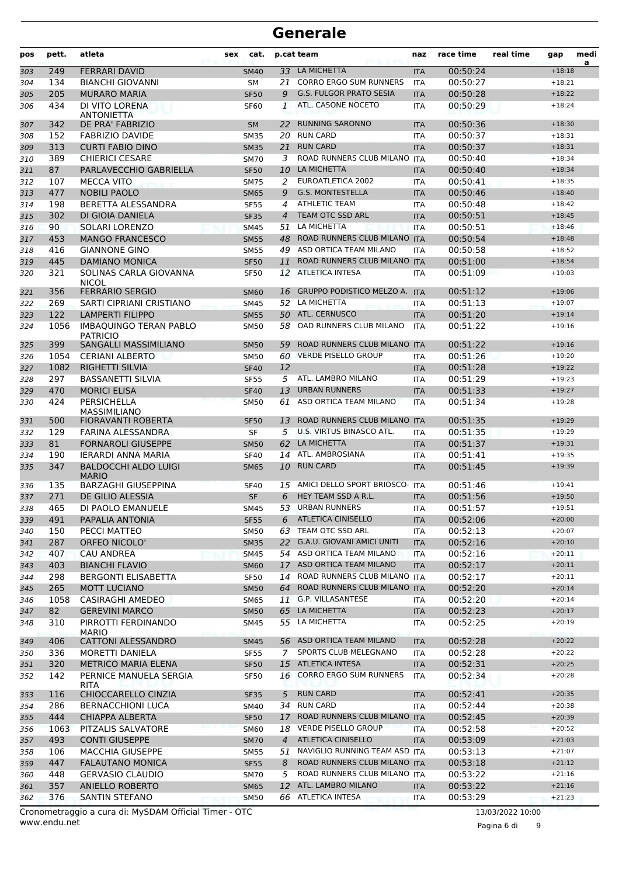| pos | pett. | atleta                                           | <b>sex</b> | cat.        |                | p.cat team                           | naz        | race time | real time | gap      | medi<br>a |
|-----|-------|--------------------------------------------------|------------|-------------|----------------|--------------------------------------|------------|-----------|-----------|----------|-----------|
| 303 | 249   | <b>FERRARI DAVID</b>                             |            | <b>SM40</b> | 33             | LA MICHETTA                          | <b>ITA</b> | 00:50:24  |           | $+18:18$ |           |
| 304 | 134   | <b>BIANCHI GIOVANNI</b>                          |            | <b>SM</b>   | 21             | <b>CORRO ERGO SUM RUNNERS</b>        | <b>ITA</b> | 00:50:27  |           | $+18:21$ |           |
| 305 | 205   | <b>MURARO MARIA</b>                              |            | <b>SF50</b> | 9              | <b>G.S. FULGOR PRATO SESIA</b>       | <b>ITA</b> | 00:50:28  |           | $+18:22$ |           |
| 306 | 434   | DI VITO LORENA<br><b>ANTONIETTA</b>              |            | SF60        | 1              | ATL. CASONE NOCETO                   | <b>ITA</b> | 00:50:29  |           | $+18:24$ |           |
| 307 | 342   | DE PRA' FABRIZIO                                 |            | <b>SM</b>   | 22             | <b>RUNNING SARONNO</b>               | <b>ITA</b> | 00:50:36  |           | $+18:30$ |           |
| 308 | 152   | <b>FABRIZIO DAVIDE</b>                           |            | <b>SM35</b> | 20             | <b>RUN CARD</b>                      | <b>ITA</b> | 00:50:37  |           | $+18:31$ |           |
| 309 | 313   | <b>CURTI FABIO DINO</b>                          |            | <b>SM35</b> | 21             | <b>RUN CARD</b>                      | <b>ITA</b> | 00:50:37  |           | $+18:31$ |           |
| 310 | 389   | <b>CHIERICI CESARE</b>                           |            | <b>SM70</b> | 3              | ROAD RUNNERS CLUB MILANO ITA         |            | 00:50:40  |           | $+18:34$ |           |
| 311 | 87    | PARLAVECCHIO GABRIELLA                           |            | <b>SF50</b> |                | 10 LA MICHETTA                       | <b>ITA</b> | 00:50:40  |           | $+18:34$ |           |
| 312 | 107   | MECCA VITO                                       |            | SM75        | 2              | EUROATLETICA 2002                    | <b>ITA</b> | 00:50:41  |           | $+18:35$ |           |
| 313 | 477   | <b>NOBILI PAOLO</b>                              |            | <b>SM65</b> | 9              | <b>G.S. MONTESTELLA</b>              | <b>ITA</b> | 00:50:46  |           | $+18:40$ |           |
| 314 | 198   | BERETTA ALESSANDRA                               |            | <b>SF55</b> | 4              | <b>ATHLETIC TEAM</b>                 | <b>ITA</b> | 00:50:48  |           | $+18:42$ |           |
| 315 | 302   | DI GIOIA DANIELA                                 |            | <b>SF35</b> | 4              | TEAM OTC SSD ARL                     | <b>ITA</b> | 00:50:51  |           | $+18:45$ |           |
| 316 | 90    | SOLARI LORENZO                                   |            | <b>SM45</b> | 51             | LA MICHETTA                          | <b>ITA</b> | 00:50:51  |           | $+18:46$ |           |
| 317 | 453   | <b>MANGO FRANCESCO</b>                           |            | <b>SM55</b> | 48             | ROAD RUNNERS CLUB MILANO ITA         |            | 00:50:54  |           | $+18:48$ |           |
| 318 | 416   | <b>GIANNONE GINO</b>                             |            | <b>SM55</b> |                | 49 ASD ORTICA TEAM MILANO            | <b>ITA</b> | 00:50:58  |           | $+18:52$ |           |
| 319 | 445   | <b>DAMIANO MONICA</b>                            |            | <b>SF50</b> | 11             | ROAD RUNNERS CLUB MILANO ITA         |            | 00:51:00  |           | $+18:54$ |           |
| 320 | 321   | SOLINAS CARLA GIOVANNA<br><b>NICOL</b>           |            | <b>SF50</b> |                | 12 ATLETICA INTESA                   | <b>ITA</b> | 00:51:09  |           | $+19:03$ |           |
| 321 | 356   | <b>FERRARIO SERGIO</b>                           |            | <b>SM60</b> | 16             | <b>GRUPPO PODISTICO MELZO A. ITA</b> |            | 00:51:12  |           | $+19:06$ |           |
| 322 | 269   | SARTI CIPRIANI CRISTIANO                         |            | <b>SM45</b> | 52             | LA MICHETTA                          | <b>ITA</b> | 00:51:13  |           | $+19:07$ |           |
| 323 | 122   | <b>LAMPERTI FILIPPO</b>                          |            | <b>SM55</b> |                | 50 ATL. CERNUSCO                     | <b>ITA</b> | 00:51:20  |           | $+19:14$ |           |
| 324 | 1056  | <b>IMBAQUINGO TERAN PABLO</b><br><b>PATRICIO</b> |            | <b>SM50</b> | 58             | OAD RUNNERS CLUB MILANO              | <b>ITA</b> | 00:51:22  |           | $+19:16$ |           |
| 325 | 399   | SANGALLI MASSIMILIANO                            |            | <b>SM50</b> | 59             | ROAD RUNNERS CLUB MILANO ITA         |            | 00:51:22  |           | $+19:16$ |           |
| 326 | 1054  | <b>CERIANI ALBERTO</b>                           |            | <b>SM50</b> |                | 60 VERDE PISELLO GROUP               | <b>ITA</b> | 00:51:26  |           | $+19:20$ |           |
| 327 | 1082  | <b>RIGHETTI SILVIA</b>                           |            | <b>SF40</b> | 12             |                                      | <b>ITA</b> | 00:51:28  |           | $+19:22$ |           |
| 328 | 297   | <b>BASSANETTI SILVIA</b>                         |            | <b>SF55</b> | 5              | ATL. LAMBRO MILANO                   | <b>ITA</b> | 00:51:29  |           | $+19:23$ |           |
| 329 | 470   | <b>MORICI ELISA</b>                              |            | <b>SF40</b> | 13             | <b>URBAN RUNNERS</b>                 | <b>ITA</b> | 00:51:33  |           | $+19:27$ |           |
| 330 | 424   | <b>PERSICHELLA</b><br><b>MASSIMILIANO</b>        |            | <b>SM50</b> | 61             | ASD ORTICA TEAM MILANO               | <b>ITA</b> | 00:51:34  |           | $+19:28$ |           |
| 331 | 500   | FIORAVANTI ROBERTA                               |            | <b>SF50</b> | 13             | ROAD RUNNERS CLUB MILANO ITA         |            | 00:51:35  |           | $+19:29$ |           |
| 332 | 129   | FARINA ALESSANDRA                                |            | <b>SF</b>   | 5              | U.S. VIRTUS BINASCO ATL.             | <b>ITA</b> | 00:51:35  |           | $+19:29$ |           |
| 333 | 81    | <b>FORNAROLI GIUSEPPE</b>                        |            | <b>SM50</b> |                | 62 LA MICHETTA                       | <b>ITA</b> | 00:51:37  |           | $+19:31$ |           |
| 334 | 190   | IERARDI ANNA MARIA                               |            | <b>SF40</b> | 14             | ATL. AMBROSIANA                      | <b>ITA</b> | 00:51:41  |           | $+19:35$ |           |
| 335 | 347   | <b>BALDOCCHI ALDO LUIGI</b><br><b>MARIO</b>      |            | <b>SM65</b> |                | 10 RUN CARD                          | <b>ITA</b> | 00:51:45  |           | $+19:39$ |           |
| 336 | 135   | <b>BARZAGHI GIUSEPPINA</b>                       |            | <b>SF40</b> | 15             | AMICI DELLO SPORT BRIOSCO- ITA       |            | 00:51:46  |           | $+19:41$ |           |
| 337 | 271   | <b>DE GILIO ALESSIA</b>                          |            | <b>SF</b>   | 6              | HEY TEAM SSD A R.L.                  | <b>ITA</b> | 00:51:56  |           | $+19:50$ |           |
| 338 | 465   | DI PAOLO EMANUELE                                |            | <b>SM45</b> | 53             | <b>URBAN RUNNERS</b>                 | <b>ITA</b> | 00:51:57  |           | $+19:51$ |           |
| 339 | 491   | PAPALIA ANTONIA                                  |            | <b>SF55</b> | 6              | <b>ATLETICA CINISELLO</b>            | <b>ITA</b> | 00:52:06  |           | $+20:00$ |           |
| 340 | 150   | PECCI MATTEO                                     |            | <b>SM50</b> |                | 63 TEAM OTC SSD ARL                  | <b>ITA</b> | 00:52:13  |           | $+20:07$ |           |
| 341 | 287   | ORFEO NICOLO'                                    |            | <b>SM35</b> |                | 22 G.A.U. GIOVANI AMICI UNITI        | <b>ITA</b> | 00:52:16  |           | $+20:10$ |           |
| 342 | 407   | <b>CAU ANDREA</b>                                |            | <b>SM45</b> |                | 54 ASD ORTICA TEAM MILANO            | ITA        | 00:52:16  |           | $+20:11$ |           |
| 343 | 403   | <b>BIANCHI FLAVIO</b>                            |            | <b>SM60</b> | 17             | ASD ORTICA TEAM MILANO               | <b>ITA</b> | 00:52:17  |           | $+20:11$ |           |
| 344 | 298   | <b>BERGONTI ELISABETTA</b>                       |            | SF50        |                | 14 ROAD RUNNERS CLUB MILANO ITA      |            | 00:52:17  |           | $+20:11$ |           |
| 345 | 265   | MOTT LUCIANO                                     |            | <b>SM50</b> | 64             | ROAD RUNNERS CLUB MILANO ITA         |            | 00:52:20  |           | $+20:14$ |           |
| 346 | 1058  | CASIRAGHI AMEDEO                                 |            | SM65        |                | 11 G.P. VILLASANTESE                 | ITA        | 00:52:20  |           | $+20:14$ |           |
| 347 | 82    | <b>GEREVINI MARCO</b>                            |            | <b>SM50</b> | 65             | LA MICHETTA                          | <b>ITA</b> | 00:52:23  |           | $+20:17$ |           |
| 348 | 310   | PIRROTTI FERDINANDO<br><b>MARIO</b>              |            | SM45        |                | 55 LA MICHETTA                       | ITA.       | 00:52:25  |           | $+20:19$ |           |
| 349 | 406   | CATTONI ALESSANDRO                               |            | <b>SM45</b> |                | 56 ASD ORTICA TEAM MILANO            | <b>ITA</b> | 00:52:28  |           | $+20:22$ |           |
| 350 | 336   | MORETTI DANIELA                                  |            | <b>SF55</b> | 7              | SPORTS CLUB MELEGNANO                | <b>ITA</b> | 00:52:28  |           | $+20:22$ |           |
| 351 | 320   | <b>METRICO MARIA ELENA</b>                       |            | <b>SF50</b> |                | 15 ATLETICA INTESA                   | <b>ITA</b> | 00:52:31  |           | $+20:25$ |           |
| 352 | 142   | PERNICE MANUELA SERGIA                           |            | <b>SF50</b> | 16             | <b>CORRO ERGO SUM RUNNERS</b>        | <b>ITA</b> | 00:52:34  |           | $+20:28$ |           |
| 353 | 116   | <b>RITA</b><br>CHIOCCARELLO CINZIA               |            | <b>SF35</b> | 5              | <b>RUN CARD</b>                      | <b>ITA</b> | 00:52:41  |           | $+20:35$ |           |
| 354 | 286   | <b>BERNACCHIONI LUCA</b>                         |            | SM40        | 34             | <b>RUN CARD</b>                      | ITA        | 00:52:44  |           | $+20:38$ |           |
| 355 | 444   | <b>CHIAPPA ALBERTA</b>                           |            | <b>SF50</b> | 17             | ROAD RUNNERS CLUB MILANO ITA         |            | 00:52:45  |           | $+20:39$ |           |
| 356 | 1063  | PITZALIS SALVATORE                               |            | <b>SM60</b> | 18             | <b>VERDE PISELLO GROUP</b>           | ITA        | 00:52:58  |           | $+20:52$ |           |
| 357 | 493   | <b>CONTI GIUSEPPE</b>                            |            | <b>SM70</b> | $\overline{4}$ | <b>ATLETICA CINISELLO</b>            | <b>ITA</b> | 00:53:09  |           | $+21:03$ |           |
| 358 | 106   | <b>MACCHIA GIUSEPPE</b>                          |            | <b>SM55</b> | 51             | NAVIGLIO RUNNING TEAM ASD ITA        |            | 00:53:13  |           | $+21:07$ |           |
| 359 | 447   | <b>FALAUTANO MONICA</b>                          |            | <b>SF55</b> | 8              | ROAD RUNNERS CLUB MILANO ITA         |            | 00:53:18  |           | $+21:12$ |           |
| 360 | 448   | <b>GERVASIO CLAUDIO</b>                          |            | <b>SM70</b> | 5              | ROAD RUNNERS CLUB MILANO ITA         |            | 00:53:22  |           | $+21:16$ |           |
| 361 | 357   | ANIELLO ROBERTO                                  |            | <b>SM65</b> | 12             | ATL. LAMBRO MILANO                   | <b>ITA</b> | 00:53:22  |           | $+21:16$ |           |
| 362 | 376   | SANTIN STEFANO                                   |            | <b>SM50</b> |                | 66 ATLETICA INTESA                   | ITA.       | 00:53:29  |           | $+21:23$ |           |
|     |       |                                                  |            |             |                |                                      |            |           |           |          |           |

www.endu.net Cronometraggio a cura di: MySDAM Official Timer - OTC 13/03/2022 10:00

Pagina 6 di 9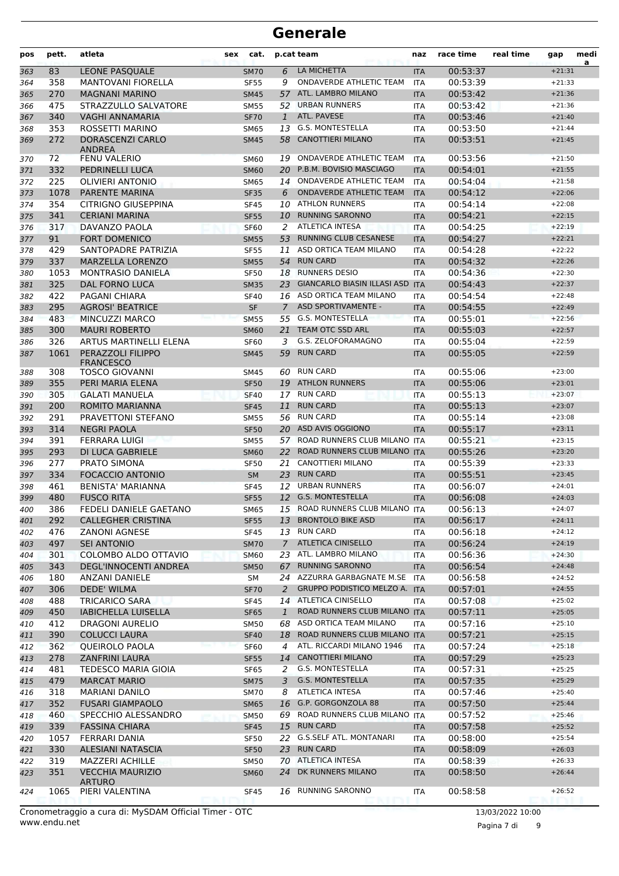| pos        | pett.      | atleta                                         | <b>sex</b> | cat.                       |                    | p.cat team                                             | naz                      | race time            | real time | gap                  | medi<br>a |
|------------|------------|------------------------------------------------|------------|----------------------------|--------------------|--------------------------------------------------------|--------------------------|----------------------|-----------|----------------------|-----------|
| 363        | 83         | <b>LEONE PASQUALE</b>                          |            | <b>SM70</b>                | 6                  | LA MICHETTA                                            | <b>ITA</b>               | 00:53:37             |           | $+21:31$             |           |
| 364        | 358        | <b>MANTOVANI FIORELLA</b>                      |            | <b>SF55</b>                | 9                  | ONDAVERDE ATHLETIC TEAM                                | <b>ITA</b>               | 00:53:39             |           | $+21:33$             |           |
| 365        | 270        | <b>MAGNANI MARINO</b>                          |            | <b>SM45</b>                | 57                 | ATL. LAMBRO MILANO                                     | <b>ITA</b>               | 00:53:42             |           | $+21:36$             |           |
| 366        | 475        | STRAZZULLO SALVATORE                           |            | <b>SM55</b>                | 52                 | <b>URBAN RUNNERS</b>                                   | <b>ITA</b>               | 00:53:42             |           | $+21:36$             |           |
| 367        | 340        | VAGHI ANNAMARIA                                |            | <b>SF70</b>                | $\mathbf{1}$       | ATL. PAVESE                                            | <b>ITA</b>               | 00:53:46             |           | $+21:40$             |           |
| 368        | 353        | ROSSETTI MARINO                                |            | <b>SM65</b>                | 13                 | <b>G.S. MONTESTELLA</b>                                | <b>ITA</b>               | 00:53:50             |           | $+21:44$             |           |
| 369        | 272        | <b>DORASCENZI CARLO</b><br><b>ANDREA</b>       |            | <b>SM45</b>                | 58                 | <b>CANOTTIERI MILANO</b>                               | <b>ITA</b>               | 00:53:51             |           | $+21:45$             |           |
| 370        | 72         | <b>FENU VALERIO</b>                            |            | <b>SM60</b>                | 19                 | ONDAVERDE ATHLETIC TEAM                                | <b>ITA</b>               | 00:53:56             |           | $+21:50$             |           |
| 371        | 332        | PEDRINELLI LUCA                                |            | <b>SM60</b>                | 20                 | P.B.M. BOVISIO MASCIAGO                                | <b>ITA</b>               | 00:54:01             |           | $+21:55$             |           |
| 372        | 225        | <b>OLIVIERI ANTONIO</b>                        |            | <b>SM65</b>                | 14                 | ONDAVERDE ATHLETIC TEAM                                | <b>ITA</b>               | 00:54:04             |           | $+21:58$             |           |
| 373        | 1078       | <b>PARENTE MARINA</b>                          |            | <b>SF35</b>                | 6                  | <b>ONDAVERDE ATHLETIC TEAM</b>                         | <b>ITA</b>               | 00:54:12             |           | $+22:06$             |           |
| 374        | 354        | <b>CITRIGNO GIUSEPPINA</b>                     |            | <b>SF45</b>                | 10                 | <b>ATHLON RUNNERS</b>                                  | <b>ITA</b>               | 00:54:14             |           | $+22:08$             |           |
| 375        | 341        | <b>CERIANI MARINA</b>                          |            | <b>SF55</b>                | 10                 | <b>RUNNING SARONNO</b>                                 | <b>ITA</b>               | 00:54:21             |           | $+22:15$             |           |
| 376        | 317        | DAVANZO PAOLA                                  |            | <b>SF60</b>                | 2                  | <b>ATLETICA INTESA</b>                                 | <b>ITA</b>               | 00:54:25             |           | $+22:19$             |           |
| 377        | 91<br>429  | <b>FORT DOMENICO</b>                           |            | <b>SM55</b>                | 53                 | <b>RUNNING CLUB CESANESE</b><br>ASD ORTICA TEAM MILANO | <b>ITA</b>               | 00:54:27<br>00:54:28 |           | $+22:21$<br>$+22:22$ |           |
| 378        | 337        | SANTOPADRE PATRIZIA<br><b>MARZELLA LORENZO</b> |            | <b>SF55</b>                | 11<br>54           | <b>RUN CARD</b>                                        | <b>ITA</b>               | 00:54:32             |           | $+22:26$             |           |
| 379<br>380 | 1053       | <b>MONTRASIO DANIELA</b>                       |            | <b>SM55</b><br><b>SF50</b> | 18                 | <b>RUNNERS DESIO</b>                                   | <b>ITA</b><br><b>ITA</b> | 00:54:36             |           | $+22:30$             |           |
| 381        | 325        | DAL FORNO LUCA                                 |            | <b>SM35</b>                | 23                 | <b>GIANCARLO BIASIN ILLASI ASD</b>                     | <b>ITA</b>               | 00:54:43             |           | $+22:37$             |           |
| 382        | 422        | <b>PAGANI CHIARA</b>                           |            | <b>SF40</b>                |                    | 16 ASD ORTICA TEAM MILANO                              | <b>ITA</b>               | 00:54:54             |           | $+22:48$             |           |
| 383        | 295        | <b>AGROSI' BEATRICE</b>                        |            | <b>SF</b>                  | $\overline{7}$     | <b>ASD SPORTIVAMENTE -</b>                             | <b>ITA</b>               | 00:54:55             |           | $+22:49$             |           |
| 384        | 483        | MINCUZZI MARCO                                 |            | <b>SM55</b>                | 55                 | <b>G.S. MONTESTELLA</b>                                | <b>ITA</b>               | 00:55:01             |           | $+22:56$             |           |
| 385        | 300        | <b>MAURI ROBERTO</b>                           |            | <b>SM60</b>                | 21                 | TEAM OTC SSD ARL                                       | <b>ITA</b>               | 00:55:03             |           | $+22:57$             |           |
| 386        | 326        | <b>ARTUS MARTINELLI ELENA</b>                  |            | <b>SF60</b>                | 3                  | G.S. ZELOFORAMAGNO                                     | <b>ITA</b>               | 00:55:04             |           | $+22:59$             |           |
| 387        | 1061       | PERAZZOLI FILIPPO                              |            | <b>SM45</b>                | 59                 | <b>RUN CARD</b>                                        | <b>ITA</b>               | 00:55:05             |           | $+22:59$             |           |
|            |            | <b>FRANCESCO</b>                               |            |                            |                    |                                                        |                          |                      |           |                      |           |
| 388        | 308        | <b>TOSCO GIOVANNI</b>                          |            | SM45                       | 60                 | <b>RUN CARD</b>                                        | <b>ITA</b>               | 00:55:06             |           | $+23:00$             |           |
| 389        | 355        | PERI MARIA ELENA                               |            | <b>SF50</b>                | 19                 | <b>ATHLON RUNNERS</b>                                  | <b>ITA</b>               | 00:55:06             |           | $+23:01$             |           |
| 390        | 305        | <b>GALATI MANUELA</b>                          |            | <b>SF40</b>                | 17                 | <b>RUN CARD</b><br><b>RUN CARD</b>                     | <b>ITA</b>               | 00:55:13             |           | $+23:07$             |           |
| 391        | 200<br>291 | ROMITO MARIANNA<br>PRAVETTONI STEFANO          |            | <b>SF45</b>                | 11                 | 56 RUN CARD                                            | <b>ITA</b>               | 00:55:13<br>00:55:14 |           | $+23:07$<br>$+23:08$ |           |
| 392<br>393 | 314        | <b>NEGRI PAOLA</b>                             |            | <b>SM55</b><br><b>SF50</b> | 20                 | ASD AVIS OGGIONO                                       | <b>ITA</b><br><b>ITA</b> | 00:55:17             |           | $+23:11$             |           |
| 394        | 391        | <b>FERRARA LUIGI</b>                           |            | <b>SM55</b>                |                    | 57 ROAD RUNNERS CLUB MILANO ITA                        |                          | 00:55:21             |           | $+23:15$             |           |
| 395        | 293        | DI LUCA GABRIELE                               |            | <b>SM60</b>                | 22                 | ROAD RUNNERS CLUB MILANO ITA                           |                          | 00:55:26             |           | $+23:20$             |           |
| 396        | 277        | PRATO SIMONA                                   |            | <b>SF50</b>                | 21                 | <b>CANOTTIERI MILANO</b>                               | <b>ITA</b>               | 00:55:39             |           | $+23:33$             |           |
| 397        | 334        | <b>FOCACCIO ANTONIO</b>                        |            | <b>SM</b>                  | 23                 | <b>RUN CARD</b>                                        | <b>ITA</b>               | 00:55:51             |           | $+23:45$             |           |
| 398        | 461        | <b>BENISTA' MARIANNA</b>                       |            | <b>SF45</b>                | 12                 | <b>URBAN RUNNERS</b>                                   | <b>ITA</b>               | 00:56:07             |           | $+24:01$             |           |
| 399        | 480        | <b>FUSCO RITA</b>                              |            | <b>SF55</b>                |                    | 12 G.S. MONTESTELLA                                    | <b>ITA</b>               | 00:56:08             |           | $+24:03$             |           |
| 400        | 386        | FEDELI DANIELE GAETANO                         |            | <b>SM65</b>                |                    | 15 ROAD RUNNERS CLUB MILANO                            | <b>ITA</b>               | 00:56:13             |           | $+24:07$             |           |
| 401        | 292        | <b>CALLEGHER CRISTINA</b>                      |            | <b>SF55</b>                |                    | 13 BRONTOLO BIKE ASD                                   | <b>ITA</b>               | 00:56:17             |           | $+24:11$             |           |
| 402        | 476        | <b>ZANONI AGNESE</b>                           |            | <b>SF45</b>                |                    | 13 RUN CARD                                            | <b>ITA</b>               | 00:56:18             |           | $+24:12$             |           |
| 403        | 497        | SEI ANTONIO                                    |            | <b>SM70</b>                | $7^{\circ}$        | <b>ATLETICA CINISELLO</b>                              | <b>ITA</b>               | 00:56:24             |           | $+24:19$             |           |
| 404        | 301        | COLOMBO ALDO OTTAVIO                           |            | <b>SM60</b>                |                    | 23 ATL. LAMBRO MILANO                                  | ITA                      | 00:56:36             |           | $+24:30$             |           |
| 405        | 343        | DEGL'INNOCENTI ANDREA                          |            | <b>SM50</b>                | 67                 | <b>RUNNING SARONNO</b>                                 | <b>ITA</b>               | 00:56:54             |           | $+24:48$             |           |
| 406        | 180        | ANZANI DANIELE                                 |            | SM                         |                    | 24 AZZURRA GARBAGNATE M.SE                             | <b>ITA</b>               | 00:56:58             |           | $+24:52$             |           |
| 407        | 306        | DEDE' WILMA                                    |            | <b>SF70</b>                | 2                  | <b>GRUPPO PODISTICO MELZO A. ITA</b>                   |                          | 00:57:01             |           | $+24:55$             |           |
| 408        | 488        | <b>TRICARICO SARA</b><br>IABICHELLA LUISELLA   |            | SF45                       |                    | 14 ATLETICA CINISELLO<br>ROAD RUNNERS CLUB MILANO ITA  | ITA                      | 00:57:08<br>00:57:11 |           | $+25:02$             |           |
| 409        | 450<br>412 | <b>DRAGONI AURELIO</b>                         |            | <b>SF65</b>                | $\mathbf{1}$<br>68 | ASD ORTICA TEAM MILANO                                 | ITA                      | 00:57:16             |           | $+25:05$<br>$+25:10$ |           |
| 410<br>411 | 390        | <b>COLUCCI LAURA</b>                           |            | <b>SM50</b><br><b>SF40</b> | 18                 | ROAD RUNNERS CLUB MILANO ITA                           |                          | 00:57:21             |           | $+25:15$             |           |
| 412        | 362        | QUEIROLO PAOLA                                 |            | <b>SF60</b>                | 4                  | ATL. RICCARDI MILANO 1946                              | <b>ITA</b>               | 00:57:24             |           | $+25:18$             |           |
| 413        | 278        | <b>ZANFRINI LAURA</b>                          |            | <b>SF55</b>                | 14                 | <b>CANOTTIERI MILANO</b>                               | <b>ITA</b>               | 00:57:29             |           | $+25:23$             |           |
| 414        | 481        | <b>TEDESCO MARIA GIOIA</b>                     |            | SF65                       | 2                  | G.S. MONTESTELLA                                       | ITA                      | 00:57:31             |           | $+25:25$             |           |
| 415        | 479        | <b>MARCAT MARIO</b>                            |            | <b>SM75</b>                | 3                  | G.S. MONTESTELLA                                       | <b>ITA</b>               | 00:57:35             |           | $+25:29$             |           |
| 416        | 318        | <b>MARIANI DANILO</b>                          |            | <b>SM70</b>                | 8                  | ATLETICA INTESA                                        | ITA                      | 00:57:46             |           | $+25:40$             |           |
| 417        | 352        | <b>FUSARI GIAMPAOLO</b>                        |            | <b>SM65</b>                | 16                 | G.P. GORGONZOLA 88                                     | <b>ITA</b>               | 00:57:50             |           | $+25:44$             |           |
| 418        | 460        | SPECCHIO ALESSANDRO                            |            | <b>SM50</b>                | 69                 | ROAD RUNNERS CLUB MILANO                               | <b>ITA</b>               | 00:57:52             |           | $+25:46$             |           |
| 419        | 339        | <b>FASSINA CHIARA</b>                          |            | <b>SF45</b>                |                    | 15 RUN CARD                                            | <b>ITA</b>               | 00:57:58             |           | $+25:52$             |           |
| 420        | 1057       | FERRARI DANIA                                  |            | SF50                       |                    | 22 G.S.SELF ATL. MONTANARI                             | ITA                      | 00:58:00             |           | $+25:54$             |           |
| 421        | 330        | ALESIANI NATASCIA                              |            | <b>SF50</b>                |                    | 23 RUN CARD                                            | <b>ITA</b>               | 00:58:09             |           | $+26:03$             |           |
| 422        | 319        | <b>MAZZERI ACHILLE</b>                         |            | <b>SM50</b>                |                    | 70 ATLETICA INTESA                                     | ITA                      | 00:58:39             |           | $+26:33$             |           |
| 423        | 351        | <b>VECCHIA MAURIZIO</b>                        |            | <b>SM60</b>                | 24                 | DK RUNNERS MILANO                                      | <b>ITA</b>               | 00:58:50             |           | $+26:44$             |           |
| 424        | 1065       | <b>ARTURO</b><br>PIERI VALENTINA               |            | <b>SF45</b>                |                    | 16 RUNNING SARONNO                                     | ITA                      | 00:58:58             |           | $+26:52$             |           |

Pagina 7 di 9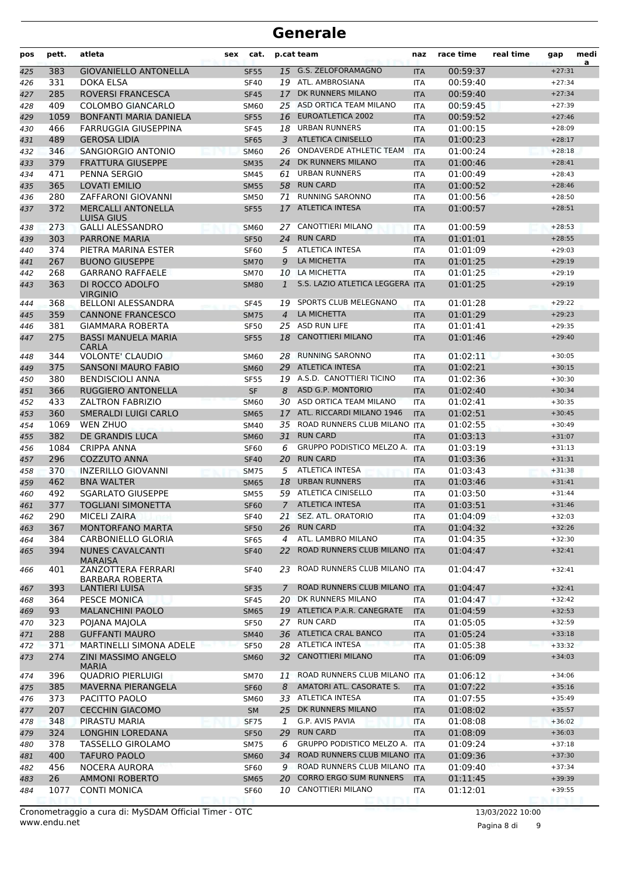| pos        | pett.       | atleta                                         | <b>sex</b> | cat.                       |                | p.cat team                                           | naz                      | race time            | real time | gap                  | medi<br>a |
|------------|-------------|------------------------------------------------|------------|----------------------------|----------------|------------------------------------------------------|--------------------------|----------------------|-----------|----------------------|-----------|
| 425        | 383         | <b>GIOVANIELLO ANTONELLA</b>                   |            | <b>SF55</b>                | 15             | G.S. ZELOFORAMAGNO                                   | <b>ITA</b>               | 00:59:37             |           | $+27:31$             |           |
| 426        | 331         | DOKA ELSA                                      |            | <b>SF40</b>                |                | 19 ATL. AMBROSIANA                                   | <b>ITA</b>               | 00:59:40             |           | $+27:34$             |           |
| 427        | 285         | <b>ROVERSI FRANCESCA</b>                       |            | <b>SF45</b>                | 17             | DK RUNNERS MILANO                                    | <b>ITA</b>               | 00:59:40             |           | $+27:34$             |           |
| 428        | 409         | <b>COLOMBO GIANCARLO</b>                       |            | <b>SM60</b>                |                | 25 ASD ORTICA TEAM MILANO                            | <b>ITA</b>               | 00:59:45             |           | $+27:39$             |           |
| 429        | 1059        | <b>BONFANTI MARIA DANIELA</b>                  |            | <b>SF55</b>                | 16             | EUROATLETICA 2002                                    | <b>ITA</b>               | 00:59:52             |           | $+27:46$             |           |
| 430        | 466         | FARRUGGIA GIUSEPPINA                           |            | <b>SF45</b>                | 18             | <b>URBAN RUNNERS</b>                                 | <b>ITA</b>               | 01:00:15             |           | $+28:09$             |           |
| 431        | 489         | <b>GEROSA LIDIA</b>                            |            | <b>SF65</b>                | 3              | <b>ATLETICA CINISELLO</b>                            | <b>ITA</b>               | 01:00:23             |           | $+28:17$             |           |
| 432        | 346         | SANGIORGIO ANTONIO                             |            | <b>SM60</b>                | 26             | ONDAVERDE ATHLETIC TEAM<br>DK RUNNERS MILANO         | <b>ITA</b>               | 01:00:24             |           | $+28:18$             |           |
| 433        | 379         | <b>FRATTURA GIUSEPPE</b>                       |            | <b>SM35</b>                | 24             | <b>URBAN RUNNERS</b>                                 | <b>ITA</b>               | 01:00:46             |           | $+28:41$             |           |
| 434<br>435 | 471<br>365  | PENNA SERGIO<br><b>LOVATI EMILIO</b>           |            | <b>SM45</b><br><b>SM55</b> | 61<br>58       | <b>RUN CARD</b>                                      | <b>ITA</b><br><b>ITA</b> | 01:00:49<br>01:00:52 |           | $+28:43$<br>$+28:46$ |           |
| 436        | 280         | <b>ZAFFARONI GIOVANNI</b>                      |            | <b>SM50</b>                | 71             | <b>RUNNING SARONNO</b>                               | <b>ITA</b>               | 01:00:56             |           | $+28:50$             |           |
| 437        | 372         | <b>MERCALLI ANTONELLA</b><br>LUISA GIUS        |            | <b>SF55</b>                | 17             | <b>ATLETICA INTESA</b>                               | <b>ITA</b>               | 01:00:57             |           | $+28:51$             |           |
| 438        | 273         | <b>GALLI ALESSANDRO</b>                        |            | <b>SM60</b>                |                | 27 CANOTTIERI MILANO                                 | <b>ITA</b>               | 01:00:59             |           | $+28:53$             |           |
| 439        | 303         | <b>PARRONE MARIA</b>                           |            | <b>SF50</b>                | 24             | <b>RUN CARD</b>                                      | <b>ITA</b>               | 01:01:01             |           | $+28:55$             |           |
| 440        | 374         | PIETRA MARINA ESTER                            |            | <b>SF60</b>                | 5              | <b>ATLETICA INTESA</b>                               | <b>ITA</b>               | 01:01:09             |           | $+29:03$             |           |
| 441        | 267         | <b>BUONO GIUSEPPE</b>                          |            | <b>SM70</b>                | 9              | LA MICHETTA                                          | <b>ITA</b>               | 01:01:25             |           | $+29:19$             |           |
| 442        | 268         | <b>GARRANO RAFFAELE</b>                        |            | <b>SM70</b>                | 10             | LA MICHETTA                                          | <b>ITA</b>               | 01:01:25             |           | $+29:19$             |           |
| 443        | 363         | DI ROCCO ADOLFO<br><b>VIRGINIO</b>             |            | <b>SM80</b>                | $\mathbf{1}$   | S.S. LAZIO ATLETICA LEGGERA ITA                      |                          | 01:01:25             |           | $+29:19$             |           |
| 444        | 368         | <b>BELLONI ALESSANDRA</b>                      |            | <b>SF45</b>                | 19             | SPORTS CLUB MELEGNANO                                | <b>ITA</b>               | 01:01:28             |           | $+29:22$             |           |
| 445        | 359         | <b>CANNONE FRANCESCO</b>                       |            | <b>SM75</b>                | 4              | LA MICHETTA                                          | <b>ITA</b>               | 01:01:29             |           | $+29:23$             |           |
| 446        | 381         | <b>GIAMMARA ROBERTA</b>                        |            | <b>SF50</b>                |                | 25 ASD RUN LIFE                                      | <b>ITA</b>               | 01:01:41             |           | $+29:35$             |           |
| 447        | 275         | <b>BASSI MANUELA MARIA</b><br><b>CARLA</b>     |            | <b>SF55</b>                | 18             | <b>CANOTTIERI MILANO</b>                             | <b>ITA</b>               | 01:01:46             |           | $+29:40$             |           |
| 448        | 344         | <b>VOLONTE' CLAUDIO</b>                        |            | <b>SM60</b>                | 28             | <b>RUNNING SARONNO</b>                               | <b>ITA</b>               | 01:02:11             |           | $+30:05$             |           |
| 449        | 375         | <b>SANSONI MAURO FABIO</b>                     |            | <b>SM60</b>                | 29             | <b>ATLETICA INTESA</b>                               | <b>ITA</b>               | 01:02:21             |           | $+30:15$             |           |
| 450        | 380         | <b>BENDISCIOLI ANNA</b>                        |            | <b>SF55</b>                | 19             | A.S.D. CANOTTIERI TICINO                             | <b>ITA</b>               | 01:02:36             |           | $+30:30$             |           |
| 451        | 366         | RUGGIERO ANTONELLA                             |            | <b>SF</b>                  | 8              | <b>ASD G.P. MONTORIO</b>                             | <b>ITA</b>               | 01:02:40             |           | $+30:34$             |           |
| 452        | 433         | <b>ZALTRON FABRIZIO</b>                        |            | <b>SM60</b>                |                | 30 ASD ORTICA TEAM MILANO                            | <b>ITA</b>               | 01:02:41             |           | $+30:35$             |           |
| 453        | 360         | <b>SMERALDI LUIGI CARLO</b><br><b>WEN ZHUO</b> |            | <b>SM65</b>                | 17             | ATL. RICCARDI MILANO 1946                            | <b>ITA</b>               | 01:02:51             |           | $+30:45$             |           |
| 454        | 1069<br>382 | DE GRANDIS LUCA                                |            | <b>SM40</b>                | 35             | ROAD RUNNERS CLUB MILANO ITA<br><b>RUN CARD</b>      |                          | 01:02:55             |           | $+30:49$             |           |
| 455<br>456 | 1084        | <b>CRIPPA ANNA</b>                             |            | <b>SM60</b><br><b>SF60</b> | 31<br>6        | GRUPPO PODISTICO MELZO A.                            | <b>ITA</b><br><b>ITA</b> | 01:03:13<br>01:03:19 |           | $+31:07$<br>$+31:13$ |           |
| 457        | 296         | COZZUTO ANNA                                   |            | <b>SF40</b>                | 20             | <b>RUN CARD</b>                                      | <b>ITA</b>               | 01:03:36             |           | $+31:31$             |           |
| 458        | 370         | <b>INZERILLO GIOVANNI</b>                      |            | <b>SM75</b>                | 5              | <b>ATLETICA INTESA</b>                               | <b>ITA</b>               | 01:03:43             |           | $+31:38$             |           |
| 459        | 462         | <b>BNA WALTER</b>                              |            | <b>SM65</b>                | 18             | <b>URBAN RUNNERS</b>                                 | <b>ITA</b>               | 01:03:46             |           | $+31:41$             |           |
| 460        | 492         | <b>SGARLATO GIUSEPPE</b>                       |            | <b>SM55</b>                |                | 59 ATLETICA CINISELLO                                | <b>ITA</b>               | 01:03:50             |           | $+31:44$             |           |
| 461        | 377         | <b>TOGLIANI SIMONETTA</b>                      |            | <b>SF60</b>                | $\overline{7}$ | <b>ATLETICA INTESA</b>                               | <b>ITA</b>               | 01:03:51             |           | $+31:46$             |           |
| 462        | 290         | <b>MICELI ZAIRA</b>                            |            | <b>SF40</b>                |                | 21 SEZ. ATL. ORATORIO                                | ITA                      | 01:04:09             |           | $+32:03$             |           |
| 463        | 367         | MONTORFANO MARTA                               |            | <b>SF50</b>                | 26             | <b>RUN CARD</b>                                      | <b>ITA</b>               | 01:04:32             |           | $+32:26$             |           |
| 464        | 384         | CARBONIELLO GLORIA                             |            | <b>SF65</b>                | 4              | ATL. LAMBRO MILANO                                   | <b>ITA</b>               | 01:04:35             |           | $+32:30$             |           |
| 465        | 394         | <b>NUNES CAVALCANTI</b><br><b>MARAISA</b>      |            | <b>SF40</b>                | 22             | ROAD RUNNERS CLUB MILANO ITA                         |                          | 01:04:47             |           | $+32:41$             |           |
| 466        | 401         | ZANZOTTERA FERRARI<br><b>BARBARA ROBERTA</b>   |            | SF40                       | 23             | ROAD RUNNERS CLUB MILANO ITA                         |                          | 01:04:47             |           | $+32:41$             |           |
| 467        | 393         | LANTIERI LUISA                                 |            | <b>SF35</b>                | 7              | ROAD RUNNERS CLUB MILANO ITA                         |                          | 01:04:47             |           | $+32:41$             |           |
| 468        | 364         | PESCE MONICA                                   |            | <b>SF45</b>                |                | 20 DK RUNNERS MILANO                                 | ITA                      | 01:04:47             |           | $+32:42$             |           |
| 469        | 93          | <b>MALANCHINI PAOLO</b>                        |            | <b>SM65</b>                |                | 19 ATLETICA P.A.R. CANEGRATE                         | <b>ITA</b>               | 01:04:59             |           | $+32:53$             |           |
| 470        | 323         | POJANA MAJOLA                                  |            | <b>SF50</b>                |                | 27 RUN CARD                                          | ITA                      | 01:05:05             |           | $+32:59$             |           |
| 471        | 288         | <b>GUFFANTI MAURO</b>                          |            | <b>SM40</b>                |                | 36 ATLETICA CRAL BANCO                               | <b>ITA</b>               | 01:05:24             |           | $+33:18$             |           |
| 472        | 371         | MARTINELLI SIMONA ADELE                        |            | <b>SF50</b>                |                | 28 ATLETICA INTESA                                   | <b>ITA</b>               | 01:05:38             |           | $+33:32$             |           |
| 473        | 274         | ZINI MASSIMO ANGELO<br><b>MARIA</b>            |            | <b>SM60</b>                |                | 32 CANOTTIERI MILANO<br>ROAD RUNNERS CLUB MILANO ITA | <b>ITA</b>               | 01:06:09             |           | $+34:03$             |           |
| 474        | 396         | <b>QUADRIO PIERLUIGI</b>                       |            | SM70                       | 11             | AMATORI ATL. CASORATE S.                             |                          | 01:06:12             |           | $+34:06$             |           |
| 475<br>476 | 385<br>373  | MAVERNA PIERANGELA<br>PACITTO PAOLO            |            | <b>SF60</b><br><b>SM60</b> | 8              | 33 ATLETICA INTESA                                   | <b>ITA</b><br>ITA        | 01:07:22<br>01:07:55 |           | $+35:16$<br>$+35:49$ |           |
| 477        | 207         | <b>CECCHIN GIACOMO</b>                         |            | <b>SM</b>                  | 25             | DK RUNNERS MILANO                                    | <b>ITA</b>               | 01:08:02             |           | $+35:57$             |           |
| 478        | 348         | PIRASTU MARIA                                  |            | <b>SF75</b>                | 1              | G.P. AVIS PAVIA                                      | ITA                      | 01:08:08             |           | $+36:02$             |           |
| 479        | 324         | LONGHIN LOREDANA                               |            | <b>SF50</b>                | 29             | <b>RUN CARD</b>                                      | <b>ITA</b>               | 01:08:09             |           | $+36:03$             |           |
| 480        | 378         | TASSELLO GIROLAMO                              |            | <b>SM75</b>                | 6              | GRUPPO PODISTICO MELZO A. ITA                        |                          | 01:09:24             |           | $+37:18$             |           |
| 481        | 400         | <b>TAFURO PAOLO</b>                            |            | <b>SM60</b>                | 34             | ROAD RUNNERS CLUB MILANO ITA                         |                          | 01:09:36             |           | $+37:30$             |           |
| 482        | 456         | NOCERA AURORA                                  |            | <b>SF60</b>                | 9              | ROAD RUNNERS CLUB MILANO ITA                         |                          | 01:09:40             |           | $+37:34$             |           |
| 483        | 26          | <b>AMMONI ROBERTO</b>                          |            | <b>SM65</b>                | 20             | <b>CORRO ERGO SUM RUNNERS</b>                        | <b>ITA</b>               | 01:11:45             |           | $+39:39$             |           |
| 484        | 1077        | <b>CONTI MONICA</b>                            |            | SF60                       |                | 10 CANOTTIERI MILANO                                 | ITA                      | 01:12:01             |           | $+39:55$             |           |
|            |             |                                                |            |                            |                |                                                      |                          |                      |           |                      |           |

Pagina 8 di 9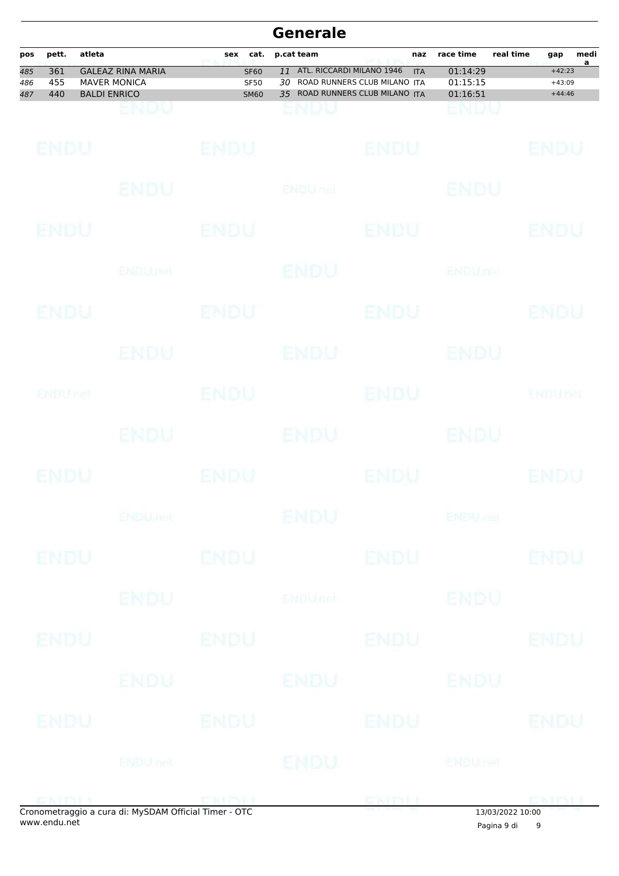|            |              |        |                                            |             |                            |          | <b>Generale</b>                                                         |                   |                       |                |                      |                        |
|------------|--------------|--------|--------------------------------------------|-------------|----------------------------|----------|-------------------------------------------------------------------------|-------------------|-----------------------|----------------|----------------------|------------------------|
| pos<br>485 | pett.<br>361 | atleta | <b>GALEAZ RINA MARIA</b>                   | sex         | cat.<br><b>SF60</b>        | 11<br>30 | p.cat team<br>ATL. RICCARDI MILANO 1946<br>ROAD RUNNERS CLUB MILANO ITA | naz<br><b>ITA</b> | race time<br>01:14:29 | real time      | gap<br>$+42:23$      | medi<br>$\overline{a}$ |
| 486<br>487 | 455<br>440   |        | <b>MAVER MONICA</b><br><b>BALDI ENRICO</b> |             | <b>SF50</b><br><b>SM60</b> |          | 35 ROAD RUNNERS CLUB MILANO ITA                                         |                   | 01:15:15<br>01:16:51  |                | $+43:09$<br>$+44:46$ |                        |
|            |              |        | ENDU                                       |             |                            |          | enuu                                                                    |                   | endu                  |                |                      |                        |
|            | ENDU         |        |                                            | <b>ENDU</b> |                            |          |                                                                         | <b>ENDU</b>       |                       |                | ENDU                 |                        |
|            |              |        | ENDU                                       |             |                            |          | <b>ENDULfet</b>                                                         |                   | <b>ENDU</b>           |                |                      |                        |
|            | ENDU         |        |                                            | ENDU        |                            |          |                                                                         | ENDU              |                       |                | ENDU                 |                        |
|            |              |        | <b>ENDU</b> .net                           |             |                            |          | ENDU                                                                    |                   | <b>ENDUnet</b>        |                |                      |                        |
|            | ENDU         |        |                                            | ENDU        |                            |          |                                                                         | <b>ENDU</b>       |                       |                | ENDU                 |                        |
|            |              |        | ENDU                                       |             |                            |          | <b>ENDU</b>                                                             |                   | ENDU                  |                |                      |                        |
|            | ENDUMet      |        |                                            | <b>ENDU</b> |                            |          |                                                                         | ENDU              |                       |                | ENDUnet              |                        |
|            |              |        | ENDU.                                      |             |                            |          | ENDU                                                                    |                   | <b>ENDU</b>           |                |                      |                        |
|            | ENDU         |        |                                            | ENDU        |                            |          |                                                                         | ENDU              |                       |                | ENDU                 |                        |
|            |              |        | <b>ENDUMOL</b>                             |             |                            |          | ENDU                                                                    |                   | ENDULLE               |                |                      |                        |
|            | <b>ENDU</b>  |        |                                            | <b>ENDU</b> |                            |          |                                                                         | <b>ENDU</b>       |                       |                | <b>ENDU</b>          |                        |
|            |              |        | <b>ENDU</b>                                |             |                            |          | <b>ENDUnet</b>                                                          |                   | <b>ENDU</b>           |                |                      |                        |
|            | ENDU         |        |                                            | <b>ENDU</b> |                            |          |                                                                         | <b>ENDU</b>       |                       |                | <b>ENDU</b>          |                        |
|            |              |        | <b>ENDU</b>                                |             |                            |          | ENDU                                                                    |                   | ENDU                  |                |                      |                        |
|            | ENDU         |        |                                            | <b>ENDU</b> |                            |          |                                                                         | <b>ENDU</b>       |                       |                | <b>ENDU</b>          |                        |
|            |              |        | <b>ENDUnet</b>                             |             |                            |          | <b>IENDU</b>                                                            |                   | <b>ENDUmet</b>        |                |                      |                        |
|            |              |        | 2 a cura di Museum Official Timor. OTC     |             |                            |          |                                                                         | ENDU              |                       | $120222222000$ | <b>EMDU</b>          |                        |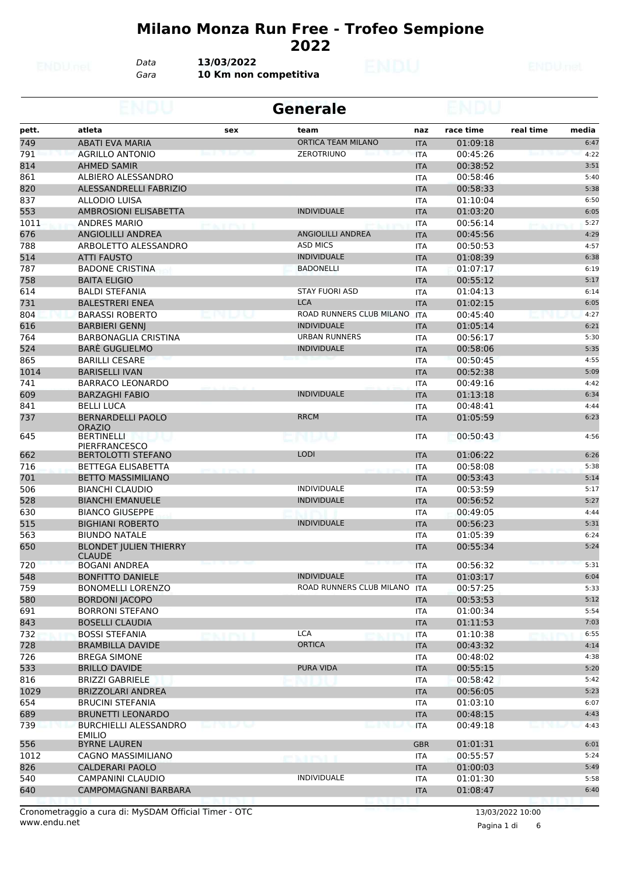#### **Milano Monza Run Free - Trofeo Sempione**

*Data* **13/03/2022**

*Gara* **10 Km non competitiva**

|       |                                                |      | <b>Generale</b>              |            |           |           |       |
|-------|------------------------------------------------|------|------------------------------|------------|-----------|-----------|-------|
| pett. | atleta                                         | sex  | team                         | naz        | race time | real time | media |
| 749   | <b>ABATI EVA MARIA</b>                         |      | <b>ORTICA TEAM MILANO</b>    | <b>ITA</b> | 01:09:18  |           | 6:47  |
| 791   | <b>AGRILLO ANTONIO</b>                         |      | <b>ZEROTRIUNO</b>            | <b>ITA</b> | 00:45:26  |           | 4:22  |
| 814   | <b>AHMED SAMIR</b>                             |      |                              | <b>ITA</b> | 00:38:52  |           | 3:51  |
| 861   | ALBIERO ALESSANDRO                             |      |                              | <b>ITA</b> | 00:58:46  |           | 5:40  |
| 820   | ALESSANDRELLI FABRIZIO                         |      |                              | <b>ITA</b> | 00:58:33  |           | 5:38  |
| 837   | ALLODIO LUISA                                  |      |                              | <b>ITA</b> | 01:10:04  |           | 6:50  |
| 553   | <b>AMBROSIONI ELISABETTA</b>                   |      | <b>INDIVIDUALE</b>           | <b>ITA</b> | 01:03:20  |           | 6:05  |
| 1011  | <b>ANDRES MARIO</b>                            |      |                              | ITA        | 00:56:14  |           | 5:27  |
| 676   | <b>ANGIOLILLI ANDREA</b>                       |      | <b>ANGIOLILLI ANDREA</b>     | <b>ITA</b> | 00:45:56  |           | 4:29  |
| 788   | ARBOLETTO ALESSANDRO                           |      | <b>ASD MICS</b>              | <b>ITA</b> | 00:50:53  |           | 4:57  |
| 514   | <b>ATTI FAUSTO</b>                             |      | <b>INDIVIDUALE</b>           | <b>ITA</b> | 01:08:39  |           | 6:38  |
| 787   | <b>BADONE CRISTINA</b>                         |      | <b>BADONELLI</b>             | <b>ITA</b> | 01:07:17  |           | 6:19  |
| 758   | <b>BAITA ELIGIO</b>                            |      |                              | <b>ITA</b> | 00:55:12  |           | 5:17  |
| 614   | <b>BALDI STEFANIA</b>                          |      | <b>STAY FUORI ASD</b>        | <b>ITA</b> | 01:04:13  |           | 6:14  |
| 731   | <b>BALESTRERI ENEA</b>                         |      | <b>LCA</b>                   | <b>ITA</b> | 01:02:15  |           | 6:05  |
| 804   | <b>BARASSI ROBERTO</b>                         |      | ROAD RUNNERS CLUB MILANO ITA |            | 00:45:40  |           | 4:27  |
| 616   | <b>BARBIERI GENNJ</b>                          |      | <b>INDIVIDUALE</b>           | <b>ITA</b> | 01:05:14  |           | 6:21  |
| 764   | <b>BARBONAGLIA CRISTINA</b>                    |      | <b>URBAN RUNNERS</b>         | <b>ITA</b> | 00:56:17  |           | 5:30  |
| 524   | <b>BARE GUGLIELMO</b>                          |      | <b>INDIVIDUALE</b>           | <b>ITA</b> | 00:58:06  |           | 5:35  |
| 865   | <b>BARILLI CESARE</b>                          |      |                              | <b>ITA</b> | 00:50:45  |           | 4:55  |
| 1014  | <b>BARISELLI IVAN</b>                          |      |                              | <b>ITA</b> | 00:52:38  |           | 5:09  |
| 741   | <b>BARRACO LEONARDO</b>                        |      |                              | <b>ITA</b> | 00:49:16  |           | 4:42  |
| 609   | <b>BARZAGHI FABIO</b>                          |      | <b>INDIVIDUALE</b>           | <b>ITA</b> | 01:13:18  |           | 6:34  |
| 841   | <b>BELLI LUCA</b>                              |      |                              | <b>ITA</b> | 00:48:41  |           | 4:44  |
| 737   | <b>BERNARDELLI PAOLO</b><br><b>ORAZIO</b>      |      | <b>RRCM</b>                  | <b>ITA</b> | 01:05:59  |           | 6:23  |
| 645   | <b>BERTINELLI</b><br><b>PIERFRANCESCO</b>      |      | cnuv                         | ITA        | 00:50:43  |           | 4:56  |
| 662   | <b>BERTOLOTTI STEFANO</b>                      |      | <b>LODI</b>                  | <b>ITA</b> | 01:06:22  |           | 6:26  |
| 716   | <b>BETTEGA ELISABETTA</b>                      |      |                              | <b>ITA</b> | 00:58:08  |           | 5:38  |
| 701   | <b>BETTO MASSIMILIANO</b>                      |      |                              | <b>ITA</b> | 00:53:43  |           | 5:14  |
| 506   | <b>BIANCHI CLAUDIO</b>                         |      | <b>INDIVIDUALE</b>           | ITA        | 00:53:59  |           | 5:17  |
| 528   | <b>BIANCHI EMANUELE</b>                        |      | <b>INDIVIDUALE</b>           | <b>ITA</b> | 00:56:52  |           | 5:27  |
| 630   | <b>BIANCO GIUSEPPE</b>                         |      |                              | ITA        | 00:49:05  |           | 4:44  |
| 515   | <b>BIGHIANI ROBERTO</b>                        |      | <b>INDIVIDUALE</b>           | <b>ITA</b> | 00:56:23  |           | 5:31  |
| 563   | <b>BIUNDO NATALE</b>                           |      |                              | <b>ITA</b> | 01:05:39  |           | 6:24  |
| 650   | <b>BLONDET JULIEN THIERRY</b><br><b>CLAUDE</b> |      |                              | <b>ITA</b> | 00:55:34  |           | 5:24  |
| 720   | <b>BOGANI ANDREA</b>                           |      |                              | <b>ITA</b> | 00:56:32  |           | 5:31  |
| 548   | <b>BONFITTO DANIELE</b>                        |      | <b>INDIVIDUALE</b>           | <b>ITA</b> | 01:03:17  |           | 6:04  |
| 759   | <b>BONOMELLI LORENZO</b>                       |      | ROAD RUNNERS CLUB MILANO ITA |            | 00:57:25  |           | 5:33  |
| 580   | <b>BORDONI JACOPO</b>                          |      |                              | <b>ITA</b> | 00:53:53  |           | 5:12  |
| 691   | <b>BORRONI STEFANO</b>                         |      |                              | ITA        | 01:00:34  |           | 5:54  |
| 843   | <b>BOSELLI CLAUDIA</b>                         |      |                              | <b>ITA</b> | 01:11:53  |           | 7:03  |
| 732   | <b>BOSSI STEFANIA</b>                          |      | <b>LCA</b>                   | ITA        | 01:10:38  |           | 6:55  |
| 728   | <b>BRAMBILLA DAVIDE</b>                        |      | <b>ORTICA</b>                | <b>ITA</b> | 00:43:32  |           | 4:14  |
| 726   | <b>BREGA SIMONE</b>                            |      |                              | ITA        | 00:48:02  |           | 4:38  |
| 533   | <b>BRILLO DAVIDE</b>                           |      | PURA VIDA                    | <b>ITA</b> | 00:55:15  |           | 5:20  |
| 816   | <b>BRIZZI GABRIELE</b>                         |      |                              | ITA        | 00:58:42  |           | 5:42  |
| 1029  | <b>BRIZZOLARI ANDREA</b>                       |      |                              | <b>ITA</b> | 00:56:05  |           | 5:23  |
| 654   | <b>BRUCINI STEFANIA</b>                        |      |                              | ITA        | 01:03:10  |           | 6:07  |
| 689   | <b>BRUNETTI LEONARDO</b>                       |      |                              | <b>ITA</b> | 00:48:15  |           | 4:43  |
| 739   | <b>BURCHIELLI ALESSANDRO</b><br><b>EMILIO</b>  | ---- | مسار کا کا شما               | <b>ITA</b> | 00:49:18  |           | 4:43  |
| 556   | <b>BYRNE LAUREN</b>                            |      |                              | <b>GBR</b> | 01:01:31  |           | 6:01  |
| 1012  | CAGNO MASSIMILIANO                             |      |                              | ITA        | 00:55:57  |           | 5:24  |
| 826   | <b>CALDERARI PAOLO</b>                         |      |                              | <b>ITA</b> | 01:00:03  |           | 5:49  |
| 540   | CAMPANINI CLAUDIO                              |      | <b>INDIVIDUALE</b>           | ITA        | 01:01:30  |           | 5:58  |
| 640   | CAMPOMAGNANI BARBARA                           |      |                              | <b>ITA</b> | 01:08:47  |           | 6:40  |

Pagina 1 di 6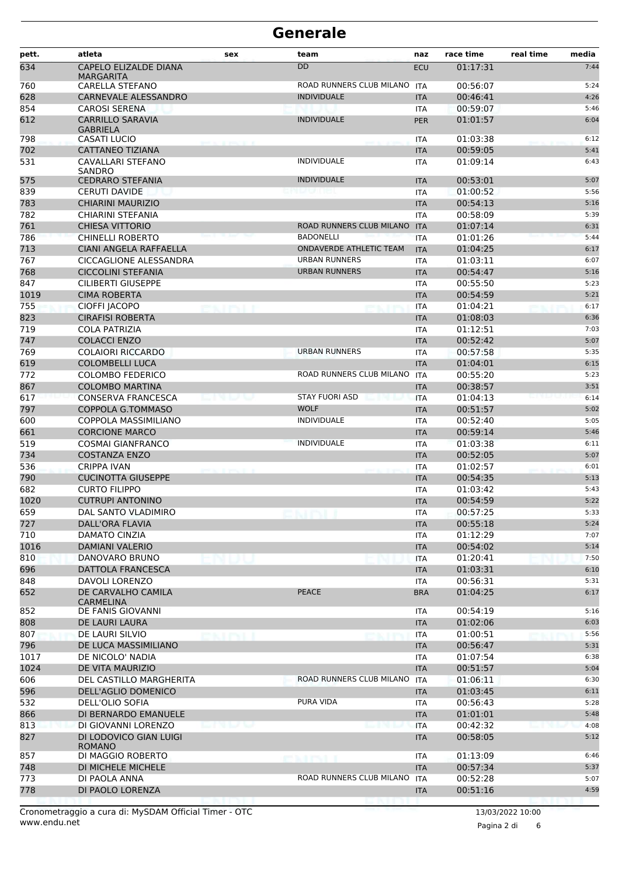| pett.      | atleta                                           | sex               | team                     | naz                      | race time            | real time | media        |
|------------|--------------------------------------------------|-------------------|--------------------------|--------------------------|----------------------|-----------|--------------|
| 634        | <b>CAPELO ELIZALDE DIANA</b><br>MARGARITA        |                   | <b>DD</b>                | ECU                      | 01:17:31             |           | 7:44         |
| 760        | CARELLA STEFANO                                  |                   | ROAD RUNNERS CLUB MILANO | <b>ITA</b>               | 00:56:07             |           | 5:24         |
| 628        | CARNEVALE ALESSANDRO                             |                   | <b>INDIVIDUALE</b>       | <b>ITA</b>               | 00:46:41             |           | 4:26         |
| 854        | <b>CAROSI SERENA</b>                             |                   |                          | ITA                      | 00:59:07             |           | 5:46         |
| 612        | <b>CARRILLO SARAVIA</b><br><b>GABRIELA</b>       |                   | <b>INDIVIDUALE</b>       | <b>PER</b>               | 01:01:57             |           | 6:04         |
| 798<br>702 | <b>CASATI LUCIO</b><br><b>CATTANEO TIZIANA</b>   |                   |                          | ITA                      | 01:03:38             |           | 6:12         |
| 531        | CAVALLARI STEFANO                                |                   | <b>INDIVIDUALE</b>       | <b>ITA</b>               | 00:59:05<br>01:09:14 |           | 5:41<br>6:43 |
|            | SANDRO                                           |                   |                          | <b>ITA</b>               |                      |           |              |
| 575<br>839 | <b>CEDRARO STEFANIA</b>                          |                   | <b>INDIVIDUALE</b>       | <b>ITA</b>               | 00:53:01<br>01:00:52 |           | 5:07         |
| 783        | <b>CERUTI DAVIDE</b><br>CHIARINI MAURIZIO        |                   |                          | <b>ITA</b><br><b>ITA</b> | 00:54:13             |           | 5:56<br>5:16 |
| 782        | <b>CHIARINI STEFANIA</b>                         |                   |                          | <b>ITA</b>               | 00:58:09             |           | 5:39         |
| 761        | <b>CHIESA VITTORIO</b>                           |                   | ROAD RUNNERS CLUB MILANO | <b>ITA</b>               | 01:07:14             |           | 6:31         |
| 786        | <b>CHINELLI ROBERTO</b>                          |                   | <b>BADONELLI</b>         | <b>ITA</b>               | 01:01:26             |           | 5:44         |
| 713        | CIANI ANGELA RAFFAELLA                           |                   | ONDAVERDE ATHLETIC TEAM  | <b>ITA</b>               | 01:04:25             |           | 6:17         |
| 767        | <b>CICCAGLIONE ALESSANDRA</b>                    |                   | <b>URBAN RUNNERS</b>     | <b>ITA</b>               | 01:03:11             |           | 6:07         |
| 768        | <b>CICCOLINI STEFANIA</b>                        |                   | <b>URBAN RUNNERS</b>     | <b>ITA</b>               | 00:54:47             |           | 5:16         |
| 847        | <b>CILIBERTI GIUSEPPE</b>                        |                   |                          | <b>ITA</b>               | 00:55:50             |           | 5:23         |
| 1019       | <b>CIMA ROBERTA</b>                              |                   |                          | <b>ITA</b>               | 00:54:59             |           | 5:21         |
| 755        | CIOFFI JACOPO                                    | SA PITS AL P      |                          | <b>ITA</b>               | 01:04:21             |           | 6:17         |
| 823        | <b>CIRAFISI ROBERTA</b>                          |                   |                          | <b>ITA</b>               | 01:08:03             |           | 6:36         |
| 719        | <b>COLA PATRIZIA</b>                             |                   |                          | <b>ITA</b>               | 01:12:51             |           | 7:03         |
| 747        | <b>COLACCI ENZO</b>                              |                   |                          | <b>ITA</b>               | 00:52:42             |           | 5:07         |
| 769        | <b>COLAIORI RICCARDO</b>                         |                   | <b>URBAN RUNNERS</b>     | <b>ITA</b>               | 00:57:58             |           | 5:35         |
| 619        | <b>COLOMBELLI LUCA</b>                           |                   |                          | <b>ITA</b>               | 01:04:01             |           | 6:15         |
| 772        | <b>COLOMBO FEDERICO</b>                          |                   | ROAD RUNNERS CLUB MILANO | <b>ITA</b>               | 00:55:20             |           | 5:23         |
| 867        | <b>COLOMBO MARTINA</b>                           |                   |                          | <b>ITA</b>               | 00:38:57             |           | 3:51         |
| 617        | <b>CONSERVA FRANCESCA</b>                        |                   | <b>STAY FUORI ASD</b>    | <b>ITA</b>               | 01:04:13             |           | 6:14         |
| 797        | <b>COPPOLA G.TOMMASO</b>                         |                   | <b>WOLF</b>              | <b>ITA</b>               | 00:51:57             |           | 5:02         |
| 600        | <b>COPPOLA MASSIMILIANO</b>                      |                   | <b>INDIVIDUALE</b>       | <b>ITA</b>               | 00:52:40             |           | 5:05         |
| 661        | <b>CORCIONE MARCO</b>                            |                   | <b>INDIVIDUALE</b>       | <b>ITA</b>               | 00:59:14             |           | 5:46         |
| 519<br>734 | <b>COSMAI GIANFRANCO</b><br><b>COSTANZA ENZO</b> |                   |                          | <b>ITA</b>               | 01:03:38<br>00:52:05 |           | 6:11         |
| 536        | <b>CRIPPA IVAN</b>                               |                   |                          | <b>ITA</b><br><b>ITA</b> | 01:02:57             |           | 5:07<br>6:01 |
| 790        | <b>CUCINOTTA GIUSEPPE</b>                        |                   |                          | <b>ITA</b>               | 00:54:35             |           | 5:13         |
| 682        | <b>CURTO FILIPPO</b>                             |                   |                          | <b>ITA</b>               | 01:03:42             |           | 5:43         |
| 1020       | <b>CUTRUPI ANTONINO</b>                          |                   |                          | <b>ITA</b>               | 00:54:59             |           | 5:22         |
| 659        | DAL SANTO VLADIMIRO                              |                   |                          | <b>ITA</b>               | 00:57:25             |           | 5:33         |
| 727        | DALL'ORA FLAVIA                                  |                   |                          | <b>ITA</b>               | 00:55:18             |           | 5:24         |
| 710        | DAMATO CINZIA                                    |                   |                          | ITA                      | 01:12:29             |           | 7:07         |
| 1016       | <b>DAMIANI VALERIO</b>                           |                   |                          | <b>ITA</b>               | 00:54:02             |           | 5:14         |
| 810        | DANOVARO BRUNO                                   |                   |                          | <b>ITA</b>               | 01:20:41             |           | 7:50         |
| 696        | DATTOLA FRANCESCA                                |                   |                          | <b>ITA</b>               | 01:03:31             |           | 6:10         |
| 848        | DAVOLI LORENZO                                   |                   |                          | ITA                      | 00:56:31             |           | 5:31         |
| 652        | DE CARVALHO CAMILA<br>CARMELINA                  |                   | <b>PEACE</b>             | <b>BRA</b>               | 01:04:25             |           | 6:17         |
| 852        | DE FANIS GIOVANNI                                |                   |                          | ITA                      | 00:54:19             |           | 5:16         |
| 808        | DE LAURI LAURA                                   |                   |                          | <b>ITA</b>               | 01:02:06             |           | 6:03         |
| 807        | DE LAURI SILVIO                                  | eviril            |                          | ITA                      | 01:00:51             |           | 5:56         |
| 796        | DE LUCA MASSIMILIANO                             |                   |                          | <b>ITA</b>               | 00:56:47             |           | 5:31         |
| 1017       | DE NICOLO' NADIA                                 |                   |                          | <b>ITA</b>               | 01:07:54             |           | 6:38         |
| 1024       | DE VITA MAURIZIO                                 |                   |                          | <b>ITA</b>               | 00:51:57             |           | 5:04         |
| 606        | DEL CASTILLO MARGHERITA                          |                   | ROAD RUNNERS CLUB MILANO | <b>ITA</b>               | 01:06:11             |           | 6:30         |
| 596        | DELL'AGLIO DOMENICO                              |                   |                          | <b>ITA</b>               | 01:03:45             |           | 6:11         |
| 532        | DELL'OLIO SOFIA                                  |                   | PURA VIDA                | ITA                      | 00:56:43             |           | 5:28         |
| 866        | DI BERNARDO EMANUELE                             |                   |                          | <b>ITA</b>               | 01:01:01             |           | 5:48         |
| 813        | DI GIOVANNI LORENZO                              | <b>CONTRACTOR</b> |                          | <b>ITA</b>               | 00:42:32             |           | 4:08         |
| 827        | DI LODOVICO GIAN LUIGI<br><b>ROMANO</b>          |                   |                          | <b>ITA</b>               | 00:58:05             |           | 5:12         |
| 857        | DI MAGGIO ROBERTO                                |                   | <b>ES 6 1 1791 11</b>    | ITA                      | 01:13:09             |           | 6:46         |
| 748        | DI MICHELE MICHELE                               |                   |                          | <b>ITA</b>               | 00:57:34             |           | 5:37         |
| 773        | DI PAOLA ANNA                                    |                   | ROAD RUNNERS CLUB MILANO | <b>ITA</b>               | 00:52:28             |           | 5:07         |
| 778        | DI PAOLO LORENZA                                 |                   |                          | <b>ITA</b>               | 00:51:16             |           | 4:59         |

Pagina 2 di 6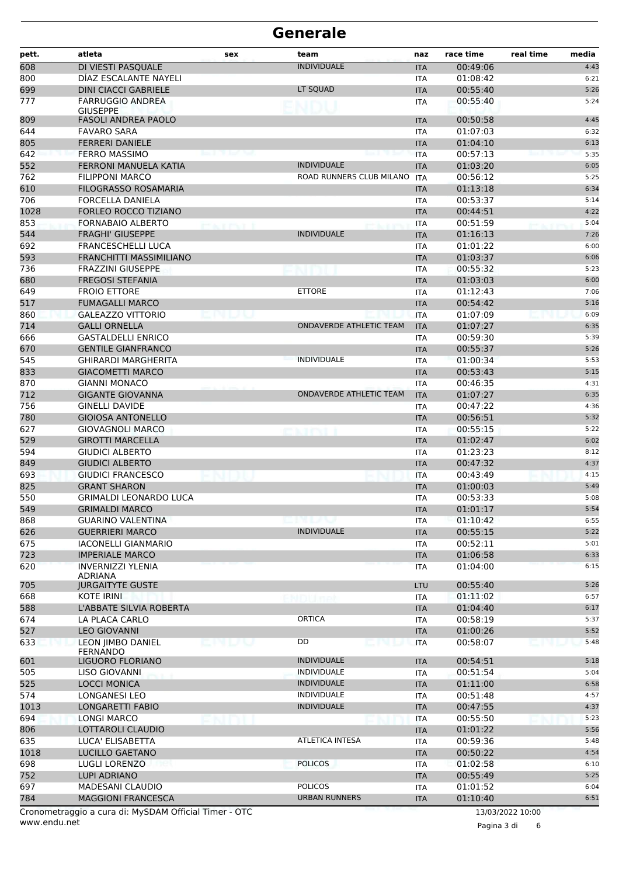| <b>INDIVIDUALE</b><br>DI VIESTI PASOUALE<br>00:49:06<br>4:43<br><b>ITA</b><br>DÍAZ ESCALANTE NAYELI<br>01:08:42<br>6:21<br><b>ITA</b><br>LT SQUAD<br>5:26<br><b>DINI CIACCI GABRIELE</b><br>00:55:40<br><b>ITA</b><br><b>FARRUGGIO ANDREA</b><br>00:55:40<br>5:24<br><b>ITA</b><br><b>GIUSEPPE</b><br>809<br><b>FASOLI ANDREA PAOLO</b><br>00:50:58<br><b>ITA</b><br>4:45<br>644<br>01:07:03<br><b>FAVARO SARA</b><br>6:32<br><b>ITA</b><br>805<br><b>FERRERI DANIELE</b><br>01:04:10<br>6:13<br><b>ITA</b><br>642<br><b>FERRO MASSIMO</b><br>00:57:13<br>5:35<br><b>ITA</b><br>552<br><b>FERRONI MANUELA KATIA</b><br><b>INDIVIDUALE</b><br>01:03:20<br>6:05<br><b>ITA</b><br>ROAD RUNNERS CLUB MILANO<br>5:25<br>762<br><b>FILIPPONI MARCO</b><br>00:56:12<br><b>ITA</b><br>610<br>FILOGRASSO ROSAMARIA<br>01:13:18<br>6:34<br><b>ITA</b><br>706<br>00:53:37<br>FORCELLA DANIELA<br>5:14<br><b>ITA</b><br>1028<br>4:22<br>FORLEO ROCCO TIZIANO<br>00:44:51<br><b>ITA</b><br>853<br><b>FORNABAIO ALBERTO</b><br>00:51:59<br>5:04<br><b>ITA</b><br><b>PERTHY</b><br>544<br><b>FRAGHI' GIUSEPPE</b><br><b>INDIVIDUALE</b><br>01:16:13<br>7:26<br><b>ITA</b><br>6:00<br>692<br><b>FRANCESCHELLI LUCA</b><br>01:01:22<br>ITA<br>593<br>FRANCHITTI MASSIMILIANO<br>01:03:37<br>6:06<br><b>ITA</b><br>736<br>00:55:32<br>5:23<br><b>FRAZZINI GIUSEPPE</b><br><b>ITA</b><br>6:00<br>680<br><b>FREGOSI STEFANIA</b><br>01:03:03<br><b>ITA</b><br><b>ETTORE</b><br>649<br><b>FROIO ETTORE</b><br>01:12:43<br>7:06<br><b>ITA</b><br>517<br><b>FUMAGALLI MARCO</b><br>00:54:42<br>5:16<br><b>ITA</b><br>6:09<br>860<br><b>GALEAZZO VITTORIO</b><br>01:07:09<br><b>ITA</b><br>714<br><b>GALLI ORNELLA</b><br><b>ONDAVERDE ATHLETIC TEAM</b><br>01:07:27<br>6:35<br><b>ITA</b><br>666<br><b>GASTALDELLI ENRICO</b><br>00:59:30<br>5:39<br>ITA<br>670<br>5:26<br><b>GENTILE GIANFRANCO</b><br>00:55:37<br><b>ITA</b><br>545<br><b>GHIRARDI MARGHERITA</b><br><b>INDIVIDUALE</b><br>01:00:34<br>5:53<br><b>ITA</b><br>833<br><b>GIACOMETTI MARCO</b><br>00:53:43<br>5:15<br><b>ITA</b><br>4:31<br>870<br><b>GIANNI MONACO</b><br>00:46:35<br>ITA<br>712<br><b>GIGANTE GIOVANNA</b><br><b>ONDAVERDE ATHLETIC TEAM</b><br>01:07:27<br>6:35<br><b>ITA</b><br>756<br><b>GINELLI DAVIDE</b><br>00:47:22<br>4:36<br><b>ITA</b><br>780<br><b>GIOIOSA ANTONELLO</b><br>00:56:51<br>5:32<br><b>ITA</b><br>627<br><b>GIOVAGNOLI MARCO</b><br>00:55:15<br>5:22<br><b>ITA</b><br>529<br><b>GIROTTI MARCELLA</b><br>01:02:47<br>6:02<br><b>ITA</b><br>594<br><b>GIUDICI ALBERTO</b><br>01:23:23<br><b>ITA</b><br>8:12<br>849<br><b>GIUDICI ALBERTO</b><br>00:47:32<br>4:37<br><b>ITA</b><br>693<br><b>GIUDICI FRANCESCO</b><br>4:15<br>00:43:49<br><b>ITA</b><br>825<br><b>GRANT SHARON</b><br>01:00:03<br>5:49<br><b>ITA</b><br>550<br><b>GRIMALDI LEONARDO LUCA</b><br>00:53:33<br><b>ITA</b><br>5:08<br>5:54<br>549<br><b>GRIMALDI MARCO</b><br>01:01:17<br><b>ITA</b><br>868<br><b>GUARINO VALENTINA</b><br>01:10:42<br>6:55<br>エレーン<br>ITA<br>626<br><b>GUERRIERI MARCO</b><br><b>INDIVIDUALE</b><br>00:55:15<br>5:22<br><b>ITA</b><br>675<br>00:52:11<br>5:01<br><b>IACONELLI GIANMARIO</b><br>ITA<br>723<br><b>IMPERIALE MARCO</b><br>01:06:58<br>6:33<br><b>ITA</b><br>620<br><b>INVERNIZZI YLENIA</b><br>01:04:00<br>6:15<br><b>ITA</b><br>ADRIANA<br>5:26<br><b>JURGAITYTE GUSTE</b><br>LTU<br>00:55:40<br>6:57<br>KOTE IRINI<br>01:11:02<br>ITA<br>L'ABBATE SILVIA ROBERTA<br>6:17<br><b>ITA</b><br>01:04:40<br><b>ORTICA</b><br>LA PLACA CARLO<br>00:58:19<br>5:37<br><b>ITA</b><br>5:52<br><b>LEO GIOVANNI</b><br>01:00:26<br><b>ITA</b><br>DD<br>LEON JIMBO DANIEL<br>00:58:07<br>5:48<br>正門し以<br><b>ITA</b><br><b>FERNANDO</b><br>LIGUORO FLORIANO<br><b>INDIVIDUALE</b><br><b>ITA</b><br>00:54:51<br>5:18<br>LISO GIOVANNI<br><b>INDIVIDUALE</b><br>00:51:54<br>5:04<br><b>ITA</b><br><b>INDIVIDUALE</b><br>6:58<br><b>LOCCI MONICA</b><br><b>ITA</b><br>01:11:00<br>INDIVIDUALE<br><b>LONGANESI LEO</b><br>00:51:48<br><b>ITA</b><br>4:57<br>LONGARETTI FABIO<br><b>INDIVIDUALE</b><br>00:47:55<br>4:37<br><b>ITA</b><br>5:23<br><b>LONGI MARCO</b><br>00:55:50<br><b>ITA</b><br>LOTTAROLI CLAUDIO<br>01:01:22<br>5:56<br><b>ITA</b><br>LUCA' ELISABETTA<br><b>ATLETICA INTESA</b><br>00:59:36<br>5:48<br><b>ITA</b><br>4:54<br>LUCILLO GAETANO<br><b>ITA</b><br>00:50:22<br><b>POLICOS</b><br>LUGLI LORENZO<br>01:02:58<br>6:10<br>ITA<br>LUPI ADRIANO<br>00:55:49<br>5:25<br><b>ITA</b><br><b>POLICOS</b><br>6:04<br><b>MADESANI CLAUDIO</b><br>01:01:52<br>ITA<br><b>MAGGIONI FRANCESCA</b><br><b>URBAN RUNNERS</b><br>01:10:40<br><b>ITA</b><br>6:51<br>Cronometraggio a cura di: MySDAM Official Timer - OTC<br>13/03/2022 10:00 | pett. | atleta | sex | team | naz | race time | real time | media |
|-----------------------------------------------------------------------------------------------------------------------------------------------------------------------------------------------------------------------------------------------------------------------------------------------------------------------------------------------------------------------------------------------------------------------------------------------------------------------------------------------------------------------------------------------------------------------------------------------------------------------------------------------------------------------------------------------------------------------------------------------------------------------------------------------------------------------------------------------------------------------------------------------------------------------------------------------------------------------------------------------------------------------------------------------------------------------------------------------------------------------------------------------------------------------------------------------------------------------------------------------------------------------------------------------------------------------------------------------------------------------------------------------------------------------------------------------------------------------------------------------------------------------------------------------------------------------------------------------------------------------------------------------------------------------------------------------------------------------------------------------------------------------------------------------------------------------------------------------------------------------------------------------------------------------------------------------------------------------------------------------------------------------------------------------------------------------------------------------------------------------------------------------------------------------------------------------------------------------------------------------------------------------------------------------------------------------------------------------------------------------------------------------------------------------------------------------------------------------------------------------------------------------------------------------------------------------------------------------------------------------------------------------------------------------------------------------------------------------------------------------------------------------------------------------------------------------------------------------------------------------------------------------------------------------------------------------------------------------------------------------------------------------------------------------------------------------------------------------------------------------------------------------------------------------------------------------------------------------------------------------------------------------------------------------------------------------------------------------------------------------------------------------------------------------------------------------------------------------------------------------------------------------------------------------------------------------------------------------------------------------------------------------------------------------------------------------------------------------------------------------------------------------------------------------------------------------------------------------------------------------------------------------------------------------------------------------------------------------------------------------------------------------------------------------------------------------------------------------------------------------------------------------------------------------------------------------------------------------------------------------------------------------------------------------------------------------------------------------------------------------------------------------------------------------------------------------------------------------------------------------------------------------------------------------------------------------------------------------------------------------------------------------------------------------------------------------------------------------------|-------|--------|-----|------|-----|-----------|-----------|-------|
|                                                                                                                                                                                                                                                                                                                                                                                                                                                                                                                                                                                                                                                                                                                                                                                                                                                                                                                                                                                                                                                                                                                                                                                                                                                                                                                                                                                                                                                                                                                                                                                                                                                                                                                                                                                                                                                                                                                                                                                                                                                                                                                                                                                                                                                                                                                                                                                                                                                                                                                                                                                                                                                                                                                                                                                                                                                                                                                                                                                                                                                                                                                                                                                                                                                                                                                                                                                                                                                                                                                                                                                                                                                                                                                                                                                                                                                                                                                                                                                                                                                                                                                                                                                                                                                                                                                                                                                                                                                                                                                                                                                                                                                                                                                             | 608   |        |     |      |     |           |           |       |
|                                                                                                                                                                                                                                                                                                                                                                                                                                                                                                                                                                                                                                                                                                                                                                                                                                                                                                                                                                                                                                                                                                                                                                                                                                                                                                                                                                                                                                                                                                                                                                                                                                                                                                                                                                                                                                                                                                                                                                                                                                                                                                                                                                                                                                                                                                                                                                                                                                                                                                                                                                                                                                                                                                                                                                                                                                                                                                                                                                                                                                                                                                                                                                                                                                                                                                                                                                                                                                                                                                                                                                                                                                                                                                                                                                                                                                                                                                                                                                                                                                                                                                                                                                                                                                                                                                                                                                                                                                                                                                                                                                                                                                                                                                                             | 800   |        |     |      |     |           |           |       |
|                                                                                                                                                                                                                                                                                                                                                                                                                                                                                                                                                                                                                                                                                                                                                                                                                                                                                                                                                                                                                                                                                                                                                                                                                                                                                                                                                                                                                                                                                                                                                                                                                                                                                                                                                                                                                                                                                                                                                                                                                                                                                                                                                                                                                                                                                                                                                                                                                                                                                                                                                                                                                                                                                                                                                                                                                                                                                                                                                                                                                                                                                                                                                                                                                                                                                                                                                                                                                                                                                                                                                                                                                                                                                                                                                                                                                                                                                                                                                                                                                                                                                                                                                                                                                                                                                                                                                                                                                                                                                                                                                                                                                                                                                                                             | 699   |        |     |      |     |           |           |       |
|                                                                                                                                                                                                                                                                                                                                                                                                                                                                                                                                                                                                                                                                                                                                                                                                                                                                                                                                                                                                                                                                                                                                                                                                                                                                                                                                                                                                                                                                                                                                                                                                                                                                                                                                                                                                                                                                                                                                                                                                                                                                                                                                                                                                                                                                                                                                                                                                                                                                                                                                                                                                                                                                                                                                                                                                                                                                                                                                                                                                                                                                                                                                                                                                                                                                                                                                                                                                                                                                                                                                                                                                                                                                                                                                                                                                                                                                                                                                                                                                                                                                                                                                                                                                                                                                                                                                                                                                                                                                                                                                                                                                                                                                                                                             | 777   |        |     |      |     |           |           |       |
|                                                                                                                                                                                                                                                                                                                                                                                                                                                                                                                                                                                                                                                                                                                                                                                                                                                                                                                                                                                                                                                                                                                                                                                                                                                                                                                                                                                                                                                                                                                                                                                                                                                                                                                                                                                                                                                                                                                                                                                                                                                                                                                                                                                                                                                                                                                                                                                                                                                                                                                                                                                                                                                                                                                                                                                                                                                                                                                                                                                                                                                                                                                                                                                                                                                                                                                                                                                                                                                                                                                                                                                                                                                                                                                                                                                                                                                                                                                                                                                                                                                                                                                                                                                                                                                                                                                                                                                                                                                                                                                                                                                                                                                                                                                             |       |        |     |      |     |           |           |       |
|                                                                                                                                                                                                                                                                                                                                                                                                                                                                                                                                                                                                                                                                                                                                                                                                                                                                                                                                                                                                                                                                                                                                                                                                                                                                                                                                                                                                                                                                                                                                                                                                                                                                                                                                                                                                                                                                                                                                                                                                                                                                                                                                                                                                                                                                                                                                                                                                                                                                                                                                                                                                                                                                                                                                                                                                                                                                                                                                                                                                                                                                                                                                                                                                                                                                                                                                                                                                                                                                                                                                                                                                                                                                                                                                                                                                                                                                                                                                                                                                                                                                                                                                                                                                                                                                                                                                                                                                                                                                                                                                                                                                                                                                                                                             |       |        |     |      |     |           |           |       |
|                                                                                                                                                                                                                                                                                                                                                                                                                                                                                                                                                                                                                                                                                                                                                                                                                                                                                                                                                                                                                                                                                                                                                                                                                                                                                                                                                                                                                                                                                                                                                                                                                                                                                                                                                                                                                                                                                                                                                                                                                                                                                                                                                                                                                                                                                                                                                                                                                                                                                                                                                                                                                                                                                                                                                                                                                                                                                                                                                                                                                                                                                                                                                                                                                                                                                                                                                                                                                                                                                                                                                                                                                                                                                                                                                                                                                                                                                                                                                                                                                                                                                                                                                                                                                                                                                                                                                                                                                                                                                                                                                                                                                                                                                                                             |       |        |     |      |     |           |           |       |
|                                                                                                                                                                                                                                                                                                                                                                                                                                                                                                                                                                                                                                                                                                                                                                                                                                                                                                                                                                                                                                                                                                                                                                                                                                                                                                                                                                                                                                                                                                                                                                                                                                                                                                                                                                                                                                                                                                                                                                                                                                                                                                                                                                                                                                                                                                                                                                                                                                                                                                                                                                                                                                                                                                                                                                                                                                                                                                                                                                                                                                                                                                                                                                                                                                                                                                                                                                                                                                                                                                                                                                                                                                                                                                                                                                                                                                                                                                                                                                                                                                                                                                                                                                                                                                                                                                                                                                                                                                                                                                                                                                                                                                                                                                                             |       |        |     |      |     |           |           |       |
|                                                                                                                                                                                                                                                                                                                                                                                                                                                                                                                                                                                                                                                                                                                                                                                                                                                                                                                                                                                                                                                                                                                                                                                                                                                                                                                                                                                                                                                                                                                                                                                                                                                                                                                                                                                                                                                                                                                                                                                                                                                                                                                                                                                                                                                                                                                                                                                                                                                                                                                                                                                                                                                                                                                                                                                                                                                                                                                                                                                                                                                                                                                                                                                                                                                                                                                                                                                                                                                                                                                                                                                                                                                                                                                                                                                                                                                                                                                                                                                                                                                                                                                                                                                                                                                                                                                                                                                                                                                                                                                                                                                                                                                                                                                             |       |        |     |      |     |           |           |       |
|                                                                                                                                                                                                                                                                                                                                                                                                                                                                                                                                                                                                                                                                                                                                                                                                                                                                                                                                                                                                                                                                                                                                                                                                                                                                                                                                                                                                                                                                                                                                                                                                                                                                                                                                                                                                                                                                                                                                                                                                                                                                                                                                                                                                                                                                                                                                                                                                                                                                                                                                                                                                                                                                                                                                                                                                                                                                                                                                                                                                                                                                                                                                                                                                                                                                                                                                                                                                                                                                                                                                                                                                                                                                                                                                                                                                                                                                                                                                                                                                                                                                                                                                                                                                                                                                                                                                                                                                                                                                                                                                                                                                                                                                                                                             |       |        |     |      |     |           |           |       |
|                                                                                                                                                                                                                                                                                                                                                                                                                                                                                                                                                                                                                                                                                                                                                                                                                                                                                                                                                                                                                                                                                                                                                                                                                                                                                                                                                                                                                                                                                                                                                                                                                                                                                                                                                                                                                                                                                                                                                                                                                                                                                                                                                                                                                                                                                                                                                                                                                                                                                                                                                                                                                                                                                                                                                                                                                                                                                                                                                                                                                                                                                                                                                                                                                                                                                                                                                                                                                                                                                                                                                                                                                                                                                                                                                                                                                                                                                                                                                                                                                                                                                                                                                                                                                                                                                                                                                                                                                                                                                                                                                                                                                                                                                                                             |       |        |     |      |     |           |           |       |
|                                                                                                                                                                                                                                                                                                                                                                                                                                                                                                                                                                                                                                                                                                                                                                                                                                                                                                                                                                                                                                                                                                                                                                                                                                                                                                                                                                                                                                                                                                                                                                                                                                                                                                                                                                                                                                                                                                                                                                                                                                                                                                                                                                                                                                                                                                                                                                                                                                                                                                                                                                                                                                                                                                                                                                                                                                                                                                                                                                                                                                                                                                                                                                                                                                                                                                                                                                                                                                                                                                                                                                                                                                                                                                                                                                                                                                                                                                                                                                                                                                                                                                                                                                                                                                                                                                                                                                                                                                                                                                                                                                                                                                                                                                                             |       |        |     |      |     |           |           |       |
|                                                                                                                                                                                                                                                                                                                                                                                                                                                                                                                                                                                                                                                                                                                                                                                                                                                                                                                                                                                                                                                                                                                                                                                                                                                                                                                                                                                                                                                                                                                                                                                                                                                                                                                                                                                                                                                                                                                                                                                                                                                                                                                                                                                                                                                                                                                                                                                                                                                                                                                                                                                                                                                                                                                                                                                                                                                                                                                                                                                                                                                                                                                                                                                                                                                                                                                                                                                                                                                                                                                                                                                                                                                                                                                                                                                                                                                                                                                                                                                                                                                                                                                                                                                                                                                                                                                                                                                                                                                                                                                                                                                                                                                                                                                             |       |        |     |      |     |           |           |       |
|                                                                                                                                                                                                                                                                                                                                                                                                                                                                                                                                                                                                                                                                                                                                                                                                                                                                                                                                                                                                                                                                                                                                                                                                                                                                                                                                                                                                                                                                                                                                                                                                                                                                                                                                                                                                                                                                                                                                                                                                                                                                                                                                                                                                                                                                                                                                                                                                                                                                                                                                                                                                                                                                                                                                                                                                                                                                                                                                                                                                                                                                                                                                                                                                                                                                                                                                                                                                                                                                                                                                                                                                                                                                                                                                                                                                                                                                                                                                                                                                                                                                                                                                                                                                                                                                                                                                                                                                                                                                                                                                                                                                                                                                                                                             |       |        |     |      |     |           |           |       |
|                                                                                                                                                                                                                                                                                                                                                                                                                                                                                                                                                                                                                                                                                                                                                                                                                                                                                                                                                                                                                                                                                                                                                                                                                                                                                                                                                                                                                                                                                                                                                                                                                                                                                                                                                                                                                                                                                                                                                                                                                                                                                                                                                                                                                                                                                                                                                                                                                                                                                                                                                                                                                                                                                                                                                                                                                                                                                                                                                                                                                                                                                                                                                                                                                                                                                                                                                                                                                                                                                                                                                                                                                                                                                                                                                                                                                                                                                                                                                                                                                                                                                                                                                                                                                                                                                                                                                                                                                                                                                                                                                                                                                                                                                                                             |       |        |     |      |     |           |           |       |
|                                                                                                                                                                                                                                                                                                                                                                                                                                                                                                                                                                                                                                                                                                                                                                                                                                                                                                                                                                                                                                                                                                                                                                                                                                                                                                                                                                                                                                                                                                                                                                                                                                                                                                                                                                                                                                                                                                                                                                                                                                                                                                                                                                                                                                                                                                                                                                                                                                                                                                                                                                                                                                                                                                                                                                                                                                                                                                                                                                                                                                                                                                                                                                                                                                                                                                                                                                                                                                                                                                                                                                                                                                                                                                                                                                                                                                                                                                                                                                                                                                                                                                                                                                                                                                                                                                                                                                                                                                                                                                                                                                                                                                                                                                                             |       |        |     |      |     |           |           |       |
|                                                                                                                                                                                                                                                                                                                                                                                                                                                                                                                                                                                                                                                                                                                                                                                                                                                                                                                                                                                                                                                                                                                                                                                                                                                                                                                                                                                                                                                                                                                                                                                                                                                                                                                                                                                                                                                                                                                                                                                                                                                                                                                                                                                                                                                                                                                                                                                                                                                                                                                                                                                                                                                                                                                                                                                                                                                                                                                                                                                                                                                                                                                                                                                                                                                                                                                                                                                                                                                                                                                                                                                                                                                                                                                                                                                                                                                                                                                                                                                                                                                                                                                                                                                                                                                                                                                                                                                                                                                                                                                                                                                                                                                                                                                             |       |        |     |      |     |           |           |       |
|                                                                                                                                                                                                                                                                                                                                                                                                                                                                                                                                                                                                                                                                                                                                                                                                                                                                                                                                                                                                                                                                                                                                                                                                                                                                                                                                                                                                                                                                                                                                                                                                                                                                                                                                                                                                                                                                                                                                                                                                                                                                                                                                                                                                                                                                                                                                                                                                                                                                                                                                                                                                                                                                                                                                                                                                                                                                                                                                                                                                                                                                                                                                                                                                                                                                                                                                                                                                                                                                                                                                                                                                                                                                                                                                                                                                                                                                                                                                                                                                                                                                                                                                                                                                                                                                                                                                                                                                                                                                                                                                                                                                                                                                                                                             |       |        |     |      |     |           |           |       |
|                                                                                                                                                                                                                                                                                                                                                                                                                                                                                                                                                                                                                                                                                                                                                                                                                                                                                                                                                                                                                                                                                                                                                                                                                                                                                                                                                                                                                                                                                                                                                                                                                                                                                                                                                                                                                                                                                                                                                                                                                                                                                                                                                                                                                                                                                                                                                                                                                                                                                                                                                                                                                                                                                                                                                                                                                                                                                                                                                                                                                                                                                                                                                                                                                                                                                                                                                                                                                                                                                                                                                                                                                                                                                                                                                                                                                                                                                                                                                                                                                                                                                                                                                                                                                                                                                                                                                                                                                                                                                                                                                                                                                                                                                                                             |       |        |     |      |     |           |           |       |
|                                                                                                                                                                                                                                                                                                                                                                                                                                                                                                                                                                                                                                                                                                                                                                                                                                                                                                                                                                                                                                                                                                                                                                                                                                                                                                                                                                                                                                                                                                                                                                                                                                                                                                                                                                                                                                                                                                                                                                                                                                                                                                                                                                                                                                                                                                                                                                                                                                                                                                                                                                                                                                                                                                                                                                                                                                                                                                                                                                                                                                                                                                                                                                                                                                                                                                                                                                                                                                                                                                                                                                                                                                                                                                                                                                                                                                                                                                                                                                                                                                                                                                                                                                                                                                                                                                                                                                                                                                                                                                                                                                                                                                                                                                                             |       |        |     |      |     |           |           |       |
|                                                                                                                                                                                                                                                                                                                                                                                                                                                                                                                                                                                                                                                                                                                                                                                                                                                                                                                                                                                                                                                                                                                                                                                                                                                                                                                                                                                                                                                                                                                                                                                                                                                                                                                                                                                                                                                                                                                                                                                                                                                                                                                                                                                                                                                                                                                                                                                                                                                                                                                                                                                                                                                                                                                                                                                                                                                                                                                                                                                                                                                                                                                                                                                                                                                                                                                                                                                                                                                                                                                                                                                                                                                                                                                                                                                                                                                                                                                                                                                                                                                                                                                                                                                                                                                                                                                                                                                                                                                                                                                                                                                                                                                                                                                             |       |        |     |      |     |           |           |       |
|                                                                                                                                                                                                                                                                                                                                                                                                                                                                                                                                                                                                                                                                                                                                                                                                                                                                                                                                                                                                                                                                                                                                                                                                                                                                                                                                                                                                                                                                                                                                                                                                                                                                                                                                                                                                                                                                                                                                                                                                                                                                                                                                                                                                                                                                                                                                                                                                                                                                                                                                                                                                                                                                                                                                                                                                                                                                                                                                                                                                                                                                                                                                                                                                                                                                                                                                                                                                                                                                                                                                                                                                                                                                                                                                                                                                                                                                                                                                                                                                                                                                                                                                                                                                                                                                                                                                                                                                                                                                                                                                                                                                                                                                                                                             |       |        |     |      |     |           |           |       |
|                                                                                                                                                                                                                                                                                                                                                                                                                                                                                                                                                                                                                                                                                                                                                                                                                                                                                                                                                                                                                                                                                                                                                                                                                                                                                                                                                                                                                                                                                                                                                                                                                                                                                                                                                                                                                                                                                                                                                                                                                                                                                                                                                                                                                                                                                                                                                                                                                                                                                                                                                                                                                                                                                                                                                                                                                                                                                                                                                                                                                                                                                                                                                                                                                                                                                                                                                                                                                                                                                                                                                                                                                                                                                                                                                                                                                                                                                                                                                                                                                                                                                                                                                                                                                                                                                                                                                                                                                                                                                                                                                                                                                                                                                                                             |       |        |     |      |     |           |           |       |
|                                                                                                                                                                                                                                                                                                                                                                                                                                                                                                                                                                                                                                                                                                                                                                                                                                                                                                                                                                                                                                                                                                                                                                                                                                                                                                                                                                                                                                                                                                                                                                                                                                                                                                                                                                                                                                                                                                                                                                                                                                                                                                                                                                                                                                                                                                                                                                                                                                                                                                                                                                                                                                                                                                                                                                                                                                                                                                                                                                                                                                                                                                                                                                                                                                                                                                                                                                                                                                                                                                                                                                                                                                                                                                                                                                                                                                                                                                                                                                                                                                                                                                                                                                                                                                                                                                                                                                                                                                                                                                                                                                                                                                                                                                                             |       |        |     |      |     |           |           |       |
|                                                                                                                                                                                                                                                                                                                                                                                                                                                                                                                                                                                                                                                                                                                                                                                                                                                                                                                                                                                                                                                                                                                                                                                                                                                                                                                                                                                                                                                                                                                                                                                                                                                                                                                                                                                                                                                                                                                                                                                                                                                                                                                                                                                                                                                                                                                                                                                                                                                                                                                                                                                                                                                                                                                                                                                                                                                                                                                                                                                                                                                                                                                                                                                                                                                                                                                                                                                                                                                                                                                                                                                                                                                                                                                                                                                                                                                                                                                                                                                                                                                                                                                                                                                                                                                                                                                                                                                                                                                                                                                                                                                                                                                                                                                             |       |        |     |      |     |           |           |       |
|                                                                                                                                                                                                                                                                                                                                                                                                                                                                                                                                                                                                                                                                                                                                                                                                                                                                                                                                                                                                                                                                                                                                                                                                                                                                                                                                                                                                                                                                                                                                                                                                                                                                                                                                                                                                                                                                                                                                                                                                                                                                                                                                                                                                                                                                                                                                                                                                                                                                                                                                                                                                                                                                                                                                                                                                                                                                                                                                                                                                                                                                                                                                                                                                                                                                                                                                                                                                                                                                                                                                                                                                                                                                                                                                                                                                                                                                                                                                                                                                                                                                                                                                                                                                                                                                                                                                                                                                                                                                                                                                                                                                                                                                                                                             |       |        |     |      |     |           |           |       |
|                                                                                                                                                                                                                                                                                                                                                                                                                                                                                                                                                                                                                                                                                                                                                                                                                                                                                                                                                                                                                                                                                                                                                                                                                                                                                                                                                                                                                                                                                                                                                                                                                                                                                                                                                                                                                                                                                                                                                                                                                                                                                                                                                                                                                                                                                                                                                                                                                                                                                                                                                                                                                                                                                                                                                                                                                                                                                                                                                                                                                                                                                                                                                                                                                                                                                                                                                                                                                                                                                                                                                                                                                                                                                                                                                                                                                                                                                                                                                                                                                                                                                                                                                                                                                                                                                                                                                                                                                                                                                                                                                                                                                                                                                                                             |       |        |     |      |     |           |           |       |
|                                                                                                                                                                                                                                                                                                                                                                                                                                                                                                                                                                                                                                                                                                                                                                                                                                                                                                                                                                                                                                                                                                                                                                                                                                                                                                                                                                                                                                                                                                                                                                                                                                                                                                                                                                                                                                                                                                                                                                                                                                                                                                                                                                                                                                                                                                                                                                                                                                                                                                                                                                                                                                                                                                                                                                                                                                                                                                                                                                                                                                                                                                                                                                                                                                                                                                                                                                                                                                                                                                                                                                                                                                                                                                                                                                                                                                                                                                                                                                                                                                                                                                                                                                                                                                                                                                                                                                                                                                                                                                                                                                                                                                                                                                                             |       |        |     |      |     |           |           |       |
|                                                                                                                                                                                                                                                                                                                                                                                                                                                                                                                                                                                                                                                                                                                                                                                                                                                                                                                                                                                                                                                                                                                                                                                                                                                                                                                                                                                                                                                                                                                                                                                                                                                                                                                                                                                                                                                                                                                                                                                                                                                                                                                                                                                                                                                                                                                                                                                                                                                                                                                                                                                                                                                                                                                                                                                                                                                                                                                                                                                                                                                                                                                                                                                                                                                                                                                                                                                                                                                                                                                                                                                                                                                                                                                                                                                                                                                                                                                                                                                                                                                                                                                                                                                                                                                                                                                                                                                                                                                                                                                                                                                                                                                                                                                             |       |        |     |      |     |           |           |       |
|                                                                                                                                                                                                                                                                                                                                                                                                                                                                                                                                                                                                                                                                                                                                                                                                                                                                                                                                                                                                                                                                                                                                                                                                                                                                                                                                                                                                                                                                                                                                                                                                                                                                                                                                                                                                                                                                                                                                                                                                                                                                                                                                                                                                                                                                                                                                                                                                                                                                                                                                                                                                                                                                                                                                                                                                                                                                                                                                                                                                                                                                                                                                                                                                                                                                                                                                                                                                                                                                                                                                                                                                                                                                                                                                                                                                                                                                                                                                                                                                                                                                                                                                                                                                                                                                                                                                                                                                                                                                                                                                                                                                                                                                                                                             |       |        |     |      |     |           |           |       |
|                                                                                                                                                                                                                                                                                                                                                                                                                                                                                                                                                                                                                                                                                                                                                                                                                                                                                                                                                                                                                                                                                                                                                                                                                                                                                                                                                                                                                                                                                                                                                                                                                                                                                                                                                                                                                                                                                                                                                                                                                                                                                                                                                                                                                                                                                                                                                                                                                                                                                                                                                                                                                                                                                                                                                                                                                                                                                                                                                                                                                                                                                                                                                                                                                                                                                                                                                                                                                                                                                                                                                                                                                                                                                                                                                                                                                                                                                                                                                                                                                                                                                                                                                                                                                                                                                                                                                                                                                                                                                                                                                                                                                                                                                                                             |       |        |     |      |     |           |           |       |
|                                                                                                                                                                                                                                                                                                                                                                                                                                                                                                                                                                                                                                                                                                                                                                                                                                                                                                                                                                                                                                                                                                                                                                                                                                                                                                                                                                                                                                                                                                                                                                                                                                                                                                                                                                                                                                                                                                                                                                                                                                                                                                                                                                                                                                                                                                                                                                                                                                                                                                                                                                                                                                                                                                                                                                                                                                                                                                                                                                                                                                                                                                                                                                                                                                                                                                                                                                                                                                                                                                                                                                                                                                                                                                                                                                                                                                                                                                                                                                                                                                                                                                                                                                                                                                                                                                                                                                                                                                                                                                                                                                                                                                                                                                                             |       |        |     |      |     |           |           |       |
|                                                                                                                                                                                                                                                                                                                                                                                                                                                                                                                                                                                                                                                                                                                                                                                                                                                                                                                                                                                                                                                                                                                                                                                                                                                                                                                                                                                                                                                                                                                                                                                                                                                                                                                                                                                                                                                                                                                                                                                                                                                                                                                                                                                                                                                                                                                                                                                                                                                                                                                                                                                                                                                                                                                                                                                                                                                                                                                                                                                                                                                                                                                                                                                                                                                                                                                                                                                                                                                                                                                                                                                                                                                                                                                                                                                                                                                                                                                                                                                                                                                                                                                                                                                                                                                                                                                                                                                                                                                                                                                                                                                                                                                                                                                             |       |        |     |      |     |           |           |       |
|                                                                                                                                                                                                                                                                                                                                                                                                                                                                                                                                                                                                                                                                                                                                                                                                                                                                                                                                                                                                                                                                                                                                                                                                                                                                                                                                                                                                                                                                                                                                                                                                                                                                                                                                                                                                                                                                                                                                                                                                                                                                                                                                                                                                                                                                                                                                                                                                                                                                                                                                                                                                                                                                                                                                                                                                                                                                                                                                                                                                                                                                                                                                                                                                                                                                                                                                                                                                                                                                                                                                                                                                                                                                                                                                                                                                                                                                                                                                                                                                                                                                                                                                                                                                                                                                                                                                                                                                                                                                                                                                                                                                                                                                                                                             |       |        |     |      |     |           |           |       |
|                                                                                                                                                                                                                                                                                                                                                                                                                                                                                                                                                                                                                                                                                                                                                                                                                                                                                                                                                                                                                                                                                                                                                                                                                                                                                                                                                                                                                                                                                                                                                                                                                                                                                                                                                                                                                                                                                                                                                                                                                                                                                                                                                                                                                                                                                                                                                                                                                                                                                                                                                                                                                                                                                                                                                                                                                                                                                                                                                                                                                                                                                                                                                                                                                                                                                                                                                                                                                                                                                                                                                                                                                                                                                                                                                                                                                                                                                                                                                                                                                                                                                                                                                                                                                                                                                                                                                                                                                                                                                                                                                                                                                                                                                                                             |       |        |     |      |     |           |           |       |
|                                                                                                                                                                                                                                                                                                                                                                                                                                                                                                                                                                                                                                                                                                                                                                                                                                                                                                                                                                                                                                                                                                                                                                                                                                                                                                                                                                                                                                                                                                                                                                                                                                                                                                                                                                                                                                                                                                                                                                                                                                                                                                                                                                                                                                                                                                                                                                                                                                                                                                                                                                                                                                                                                                                                                                                                                                                                                                                                                                                                                                                                                                                                                                                                                                                                                                                                                                                                                                                                                                                                                                                                                                                                                                                                                                                                                                                                                                                                                                                                                                                                                                                                                                                                                                                                                                                                                                                                                                                                                                                                                                                                                                                                                                                             |       |        |     |      |     |           |           |       |
|                                                                                                                                                                                                                                                                                                                                                                                                                                                                                                                                                                                                                                                                                                                                                                                                                                                                                                                                                                                                                                                                                                                                                                                                                                                                                                                                                                                                                                                                                                                                                                                                                                                                                                                                                                                                                                                                                                                                                                                                                                                                                                                                                                                                                                                                                                                                                                                                                                                                                                                                                                                                                                                                                                                                                                                                                                                                                                                                                                                                                                                                                                                                                                                                                                                                                                                                                                                                                                                                                                                                                                                                                                                                                                                                                                                                                                                                                                                                                                                                                                                                                                                                                                                                                                                                                                                                                                                                                                                                                                                                                                                                                                                                                                                             |       |        |     |      |     |           |           |       |
|                                                                                                                                                                                                                                                                                                                                                                                                                                                                                                                                                                                                                                                                                                                                                                                                                                                                                                                                                                                                                                                                                                                                                                                                                                                                                                                                                                                                                                                                                                                                                                                                                                                                                                                                                                                                                                                                                                                                                                                                                                                                                                                                                                                                                                                                                                                                                                                                                                                                                                                                                                                                                                                                                                                                                                                                                                                                                                                                                                                                                                                                                                                                                                                                                                                                                                                                                                                                                                                                                                                                                                                                                                                                                                                                                                                                                                                                                                                                                                                                                                                                                                                                                                                                                                                                                                                                                                                                                                                                                                                                                                                                                                                                                                                             |       |        |     |      |     |           |           |       |
|                                                                                                                                                                                                                                                                                                                                                                                                                                                                                                                                                                                                                                                                                                                                                                                                                                                                                                                                                                                                                                                                                                                                                                                                                                                                                                                                                                                                                                                                                                                                                                                                                                                                                                                                                                                                                                                                                                                                                                                                                                                                                                                                                                                                                                                                                                                                                                                                                                                                                                                                                                                                                                                                                                                                                                                                                                                                                                                                                                                                                                                                                                                                                                                                                                                                                                                                                                                                                                                                                                                                                                                                                                                                                                                                                                                                                                                                                                                                                                                                                                                                                                                                                                                                                                                                                                                                                                                                                                                                                                                                                                                                                                                                                                                             |       |        |     |      |     |           |           |       |
|                                                                                                                                                                                                                                                                                                                                                                                                                                                                                                                                                                                                                                                                                                                                                                                                                                                                                                                                                                                                                                                                                                                                                                                                                                                                                                                                                                                                                                                                                                                                                                                                                                                                                                                                                                                                                                                                                                                                                                                                                                                                                                                                                                                                                                                                                                                                                                                                                                                                                                                                                                                                                                                                                                                                                                                                                                                                                                                                                                                                                                                                                                                                                                                                                                                                                                                                                                                                                                                                                                                                                                                                                                                                                                                                                                                                                                                                                                                                                                                                                                                                                                                                                                                                                                                                                                                                                                                                                                                                                                                                                                                                                                                                                                                             |       |        |     |      |     |           |           |       |
|                                                                                                                                                                                                                                                                                                                                                                                                                                                                                                                                                                                                                                                                                                                                                                                                                                                                                                                                                                                                                                                                                                                                                                                                                                                                                                                                                                                                                                                                                                                                                                                                                                                                                                                                                                                                                                                                                                                                                                                                                                                                                                                                                                                                                                                                                                                                                                                                                                                                                                                                                                                                                                                                                                                                                                                                                                                                                                                                                                                                                                                                                                                                                                                                                                                                                                                                                                                                                                                                                                                                                                                                                                                                                                                                                                                                                                                                                                                                                                                                                                                                                                                                                                                                                                                                                                                                                                                                                                                                                                                                                                                                                                                                                                                             |       |        |     |      |     |           |           |       |
|                                                                                                                                                                                                                                                                                                                                                                                                                                                                                                                                                                                                                                                                                                                                                                                                                                                                                                                                                                                                                                                                                                                                                                                                                                                                                                                                                                                                                                                                                                                                                                                                                                                                                                                                                                                                                                                                                                                                                                                                                                                                                                                                                                                                                                                                                                                                                                                                                                                                                                                                                                                                                                                                                                                                                                                                                                                                                                                                                                                                                                                                                                                                                                                                                                                                                                                                                                                                                                                                                                                                                                                                                                                                                                                                                                                                                                                                                                                                                                                                                                                                                                                                                                                                                                                                                                                                                                                                                                                                                                                                                                                                                                                                                                                             |       |        |     |      |     |           |           |       |
|                                                                                                                                                                                                                                                                                                                                                                                                                                                                                                                                                                                                                                                                                                                                                                                                                                                                                                                                                                                                                                                                                                                                                                                                                                                                                                                                                                                                                                                                                                                                                                                                                                                                                                                                                                                                                                                                                                                                                                                                                                                                                                                                                                                                                                                                                                                                                                                                                                                                                                                                                                                                                                                                                                                                                                                                                                                                                                                                                                                                                                                                                                                                                                                                                                                                                                                                                                                                                                                                                                                                                                                                                                                                                                                                                                                                                                                                                                                                                                                                                                                                                                                                                                                                                                                                                                                                                                                                                                                                                                                                                                                                                                                                                                                             |       |        |     |      |     |           |           |       |
|                                                                                                                                                                                                                                                                                                                                                                                                                                                                                                                                                                                                                                                                                                                                                                                                                                                                                                                                                                                                                                                                                                                                                                                                                                                                                                                                                                                                                                                                                                                                                                                                                                                                                                                                                                                                                                                                                                                                                                                                                                                                                                                                                                                                                                                                                                                                                                                                                                                                                                                                                                                                                                                                                                                                                                                                                                                                                                                                                                                                                                                                                                                                                                                                                                                                                                                                                                                                                                                                                                                                                                                                                                                                                                                                                                                                                                                                                                                                                                                                                                                                                                                                                                                                                                                                                                                                                                                                                                                                                                                                                                                                                                                                                                                             |       |        |     |      |     |           |           |       |
|                                                                                                                                                                                                                                                                                                                                                                                                                                                                                                                                                                                                                                                                                                                                                                                                                                                                                                                                                                                                                                                                                                                                                                                                                                                                                                                                                                                                                                                                                                                                                                                                                                                                                                                                                                                                                                                                                                                                                                                                                                                                                                                                                                                                                                                                                                                                                                                                                                                                                                                                                                                                                                                                                                                                                                                                                                                                                                                                                                                                                                                                                                                                                                                                                                                                                                                                                                                                                                                                                                                                                                                                                                                                                                                                                                                                                                                                                                                                                                                                                                                                                                                                                                                                                                                                                                                                                                                                                                                                                                                                                                                                                                                                                                                             |       |        |     |      |     |           |           |       |
|                                                                                                                                                                                                                                                                                                                                                                                                                                                                                                                                                                                                                                                                                                                                                                                                                                                                                                                                                                                                                                                                                                                                                                                                                                                                                                                                                                                                                                                                                                                                                                                                                                                                                                                                                                                                                                                                                                                                                                                                                                                                                                                                                                                                                                                                                                                                                                                                                                                                                                                                                                                                                                                                                                                                                                                                                                                                                                                                                                                                                                                                                                                                                                                                                                                                                                                                                                                                                                                                                                                                                                                                                                                                                                                                                                                                                                                                                                                                                                                                                                                                                                                                                                                                                                                                                                                                                                                                                                                                                                                                                                                                                                                                                                                             | 705   |        |     |      |     |           |           |       |
|                                                                                                                                                                                                                                                                                                                                                                                                                                                                                                                                                                                                                                                                                                                                                                                                                                                                                                                                                                                                                                                                                                                                                                                                                                                                                                                                                                                                                                                                                                                                                                                                                                                                                                                                                                                                                                                                                                                                                                                                                                                                                                                                                                                                                                                                                                                                                                                                                                                                                                                                                                                                                                                                                                                                                                                                                                                                                                                                                                                                                                                                                                                                                                                                                                                                                                                                                                                                                                                                                                                                                                                                                                                                                                                                                                                                                                                                                                                                                                                                                                                                                                                                                                                                                                                                                                                                                                                                                                                                                                                                                                                                                                                                                                                             | 668   |        |     |      |     |           |           |       |
|                                                                                                                                                                                                                                                                                                                                                                                                                                                                                                                                                                                                                                                                                                                                                                                                                                                                                                                                                                                                                                                                                                                                                                                                                                                                                                                                                                                                                                                                                                                                                                                                                                                                                                                                                                                                                                                                                                                                                                                                                                                                                                                                                                                                                                                                                                                                                                                                                                                                                                                                                                                                                                                                                                                                                                                                                                                                                                                                                                                                                                                                                                                                                                                                                                                                                                                                                                                                                                                                                                                                                                                                                                                                                                                                                                                                                                                                                                                                                                                                                                                                                                                                                                                                                                                                                                                                                                                                                                                                                                                                                                                                                                                                                                                             | 588   |        |     |      |     |           |           |       |
|                                                                                                                                                                                                                                                                                                                                                                                                                                                                                                                                                                                                                                                                                                                                                                                                                                                                                                                                                                                                                                                                                                                                                                                                                                                                                                                                                                                                                                                                                                                                                                                                                                                                                                                                                                                                                                                                                                                                                                                                                                                                                                                                                                                                                                                                                                                                                                                                                                                                                                                                                                                                                                                                                                                                                                                                                                                                                                                                                                                                                                                                                                                                                                                                                                                                                                                                                                                                                                                                                                                                                                                                                                                                                                                                                                                                                                                                                                                                                                                                                                                                                                                                                                                                                                                                                                                                                                                                                                                                                                                                                                                                                                                                                                                             | 674   |        |     |      |     |           |           |       |
|                                                                                                                                                                                                                                                                                                                                                                                                                                                                                                                                                                                                                                                                                                                                                                                                                                                                                                                                                                                                                                                                                                                                                                                                                                                                                                                                                                                                                                                                                                                                                                                                                                                                                                                                                                                                                                                                                                                                                                                                                                                                                                                                                                                                                                                                                                                                                                                                                                                                                                                                                                                                                                                                                                                                                                                                                                                                                                                                                                                                                                                                                                                                                                                                                                                                                                                                                                                                                                                                                                                                                                                                                                                                                                                                                                                                                                                                                                                                                                                                                                                                                                                                                                                                                                                                                                                                                                                                                                                                                                                                                                                                                                                                                                                             | 527   |        |     |      |     |           |           |       |
|                                                                                                                                                                                                                                                                                                                                                                                                                                                                                                                                                                                                                                                                                                                                                                                                                                                                                                                                                                                                                                                                                                                                                                                                                                                                                                                                                                                                                                                                                                                                                                                                                                                                                                                                                                                                                                                                                                                                                                                                                                                                                                                                                                                                                                                                                                                                                                                                                                                                                                                                                                                                                                                                                                                                                                                                                                                                                                                                                                                                                                                                                                                                                                                                                                                                                                                                                                                                                                                                                                                                                                                                                                                                                                                                                                                                                                                                                                                                                                                                                                                                                                                                                                                                                                                                                                                                                                                                                                                                                                                                                                                                                                                                                                                             | 633   |        |     |      |     |           |           |       |
|                                                                                                                                                                                                                                                                                                                                                                                                                                                                                                                                                                                                                                                                                                                                                                                                                                                                                                                                                                                                                                                                                                                                                                                                                                                                                                                                                                                                                                                                                                                                                                                                                                                                                                                                                                                                                                                                                                                                                                                                                                                                                                                                                                                                                                                                                                                                                                                                                                                                                                                                                                                                                                                                                                                                                                                                                                                                                                                                                                                                                                                                                                                                                                                                                                                                                                                                                                                                                                                                                                                                                                                                                                                                                                                                                                                                                                                                                                                                                                                                                                                                                                                                                                                                                                                                                                                                                                                                                                                                                                                                                                                                                                                                                                                             | 601   |        |     |      |     |           |           |       |
|                                                                                                                                                                                                                                                                                                                                                                                                                                                                                                                                                                                                                                                                                                                                                                                                                                                                                                                                                                                                                                                                                                                                                                                                                                                                                                                                                                                                                                                                                                                                                                                                                                                                                                                                                                                                                                                                                                                                                                                                                                                                                                                                                                                                                                                                                                                                                                                                                                                                                                                                                                                                                                                                                                                                                                                                                                                                                                                                                                                                                                                                                                                                                                                                                                                                                                                                                                                                                                                                                                                                                                                                                                                                                                                                                                                                                                                                                                                                                                                                                                                                                                                                                                                                                                                                                                                                                                                                                                                                                                                                                                                                                                                                                                                             | 505   |        |     |      |     |           |           |       |
|                                                                                                                                                                                                                                                                                                                                                                                                                                                                                                                                                                                                                                                                                                                                                                                                                                                                                                                                                                                                                                                                                                                                                                                                                                                                                                                                                                                                                                                                                                                                                                                                                                                                                                                                                                                                                                                                                                                                                                                                                                                                                                                                                                                                                                                                                                                                                                                                                                                                                                                                                                                                                                                                                                                                                                                                                                                                                                                                                                                                                                                                                                                                                                                                                                                                                                                                                                                                                                                                                                                                                                                                                                                                                                                                                                                                                                                                                                                                                                                                                                                                                                                                                                                                                                                                                                                                                                                                                                                                                                                                                                                                                                                                                                                             | 525   |        |     |      |     |           |           |       |
|                                                                                                                                                                                                                                                                                                                                                                                                                                                                                                                                                                                                                                                                                                                                                                                                                                                                                                                                                                                                                                                                                                                                                                                                                                                                                                                                                                                                                                                                                                                                                                                                                                                                                                                                                                                                                                                                                                                                                                                                                                                                                                                                                                                                                                                                                                                                                                                                                                                                                                                                                                                                                                                                                                                                                                                                                                                                                                                                                                                                                                                                                                                                                                                                                                                                                                                                                                                                                                                                                                                                                                                                                                                                                                                                                                                                                                                                                                                                                                                                                                                                                                                                                                                                                                                                                                                                                                                                                                                                                                                                                                                                                                                                                                                             | 574   |        |     |      |     |           |           |       |
|                                                                                                                                                                                                                                                                                                                                                                                                                                                                                                                                                                                                                                                                                                                                                                                                                                                                                                                                                                                                                                                                                                                                                                                                                                                                                                                                                                                                                                                                                                                                                                                                                                                                                                                                                                                                                                                                                                                                                                                                                                                                                                                                                                                                                                                                                                                                                                                                                                                                                                                                                                                                                                                                                                                                                                                                                                                                                                                                                                                                                                                                                                                                                                                                                                                                                                                                                                                                                                                                                                                                                                                                                                                                                                                                                                                                                                                                                                                                                                                                                                                                                                                                                                                                                                                                                                                                                                                                                                                                                                                                                                                                                                                                                                                             | 1013  |        |     |      |     |           |           |       |
|                                                                                                                                                                                                                                                                                                                                                                                                                                                                                                                                                                                                                                                                                                                                                                                                                                                                                                                                                                                                                                                                                                                                                                                                                                                                                                                                                                                                                                                                                                                                                                                                                                                                                                                                                                                                                                                                                                                                                                                                                                                                                                                                                                                                                                                                                                                                                                                                                                                                                                                                                                                                                                                                                                                                                                                                                                                                                                                                                                                                                                                                                                                                                                                                                                                                                                                                                                                                                                                                                                                                                                                                                                                                                                                                                                                                                                                                                                                                                                                                                                                                                                                                                                                                                                                                                                                                                                                                                                                                                                                                                                                                                                                                                                                             | 694   |        |     |      |     |           |           |       |
|                                                                                                                                                                                                                                                                                                                                                                                                                                                                                                                                                                                                                                                                                                                                                                                                                                                                                                                                                                                                                                                                                                                                                                                                                                                                                                                                                                                                                                                                                                                                                                                                                                                                                                                                                                                                                                                                                                                                                                                                                                                                                                                                                                                                                                                                                                                                                                                                                                                                                                                                                                                                                                                                                                                                                                                                                                                                                                                                                                                                                                                                                                                                                                                                                                                                                                                                                                                                                                                                                                                                                                                                                                                                                                                                                                                                                                                                                                                                                                                                                                                                                                                                                                                                                                                                                                                                                                                                                                                                                                                                                                                                                                                                                                                             | 806   |        |     |      |     |           |           |       |
|                                                                                                                                                                                                                                                                                                                                                                                                                                                                                                                                                                                                                                                                                                                                                                                                                                                                                                                                                                                                                                                                                                                                                                                                                                                                                                                                                                                                                                                                                                                                                                                                                                                                                                                                                                                                                                                                                                                                                                                                                                                                                                                                                                                                                                                                                                                                                                                                                                                                                                                                                                                                                                                                                                                                                                                                                                                                                                                                                                                                                                                                                                                                                                                                                                                                                                                                                                                                                                                                                                                                                                                                                                                                                                                                                                                                                                                                                                                                                                                                                                                                                                                                                                                                                                                                                                                                                                                                                                                                                                                                                                                                                                                                                                                             | 635   |        |     |      |     |           |           |       |
|                                                                                                                                                                                                                                                                                                                                                                                                                                                                                                                                                                                                                                                                                                                                                                                                                                                                                                                                                                                                                                                                                                                                                                                                                                                                                                                                                                                                                                                                                                                                                                                                                                                                                                                                                                                                                                                                                                                                                                                                                                                                                                                                                                                                                                                                                                                                                                                                                                                                                                                                                                                                                                                                                                                                                                                                                                                                                                                                                                                                                                                                                                                                                                                                                                                                                                                                                                                                                                                                                                                                                                                                                                                                                                                                                                                                                                                                                                                                                                                                                                                                                                                                                                                                                                                                                                                                                                                                                                                                                                                                                                                                                                                                                                                             | 1018  |        |     |      |     |           |           |       |
|                                                                                                                                                                                                                                                                                                                                                                                                                                                                                                                                                                                                                                                                                                                                                                                                                                                                                                                                                                                                                                                                                                                                                                                                                                                                                                                                                                                                                                                                                                                                                                                                                                                                                                                                                                                                                                                                                                                                                                                                                                                                                                                                                                                                                                                                                                                                                                                                                                                                                                                                                                                                                                                                                                                                                                                                                                                                                                                                                                                                                                                                                                                                                                                                                                                                                                                                                                                                                                                                                                                                                                                                                                                                                                                                                                                                                                                                                                                                                                                                                                                                                                                                                                                                                                                                                                                                                                                                                                                                                                                                                                                                                                                                                                                             | 698   |        |     |      |     |           |           |       |
|                                                                                                                                                                                                                                                                                                                                                                                                                                                                                                                                                                                                                                                                                                                                                                                                                                                                                                                                                                                                                                                                                                                                                                                                                                                                                                                                                                                                                                                                                                                                                                                                                                                                                                                                                                                                                                                                                                                                                                                                                                                                                                                                                                                                                                                                                                                                                                                                                                                                                                                                                                                                                                                                                                                                                                                                                                                                                                                                                                                                                                                                                                                                                                                                                                                                                                                                                                                                                                                                                                                                                                                                                                                                                                                                                                                                                                                                                                                                                                                                                                                                                                                                                                                                                                                                                                                                                                                                                                                                                                                                                                                                                                                                                                                             | 752   |        |     |      |     |           |           |       |
|                                                                                                                                                                                                                                                                                                                                                                                                                                                                                                                                                                                                                                                                                                                                                                                                                                                                                                                                                                                                                                                                                                                                                                                                                                                                                                                                                                                                                                                                                                                                                                                                                                                                                                                                                                                                                                                                                                                                                                                                                                                                                                                                                                                                                                                                                                                                                                                                                                                                                                                                                                                                                                                                                                                                                                                                                                                                                                                                                                                                                                                                                                                                                                                                                                                                                                                                                                                                                                                                                                                                                                                                                                                                                                                                                                                                                                                                                                                                                                                                                                                                                                                                                                                                                                                                                                                                                                                                                                                                                                                                                                                                                                                                                                                             | 697   |        |     |      |     |           |           |       |
|                                                                                                                                                                                                                                                                                                                                                                                                                                                                                                                                                                                                                                                                                                                                                                                                                                                                                                                                                                                                                                                                                                                                                                                                                                                                                                                                                                                                                                                                                                                                                                                                                                                                                                                                                                                                                                                                                                                                                                                                                                                                                                                                                                                                                                                                                                                                                                                                                                                                                                                                                                                                                                                                                                                                                                                                                                                                                                                                                                                                                                                                                                                                                                                                                                                                                                                                                                                                                                                                                                                                                                                                                                                                                                                                                                                                                                                                                                                                                                                                                                                                                                                                                                                                                                                                                                                                                                                                                                                                                                                                                                                                                                                                                                                             | 784   |        |     |      |     |           |           |       |
|                                                                                                                                                                                                                                                                                                                                                                                                                                                                                                                                                                                                                                                                                                                                                                                                                                                                                                                                                                                                                                                                                                                                                                                                                                                                                                                                                                                                                                                                                                                                                                                                                                                                                                                                                                                                                                                                                                                                                                                                                                                                                                                                                                                                                                                                                                                                                                                                                                                                                                                                                                                                                                                                                                                                                                                                                                                                                                                                                                                                                                                                                                                                                                                                                                                                                                                                                                                                                                                                                                                                                                                                                                                                                                                                                                                                                                                                                                                                                                                                                                                                                                                                                                                                                                                                                                                                                                                                                                                                                                                                                                                                                                                                                                                             |       |        |     |      |     |           |           |       |

www.endu.netس<br>www.endu.net

Pagina 3 di 6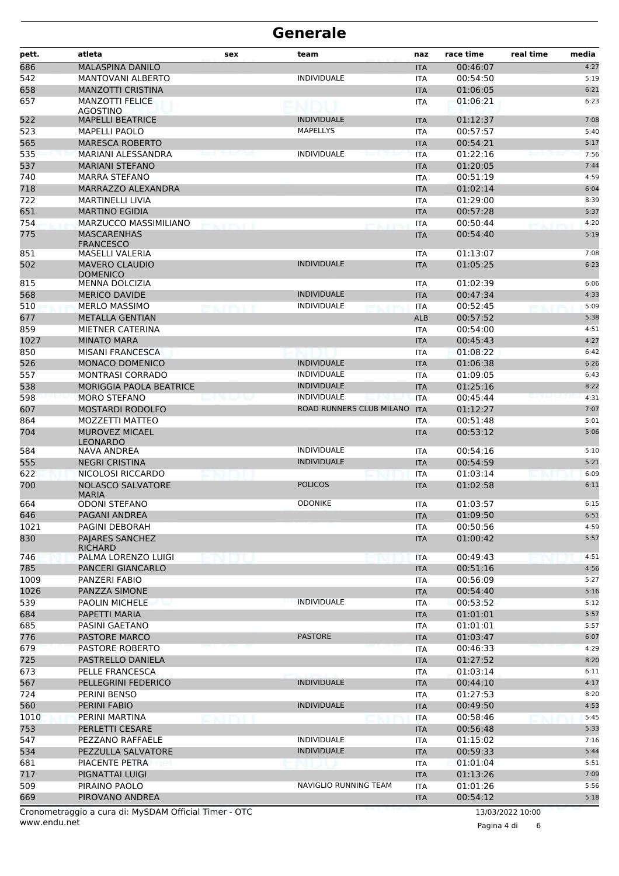| 686<br>MALASPINA DANILO<br>00:46:07<br><b>ITA</b><br>542<br><b>INDIVIDUALE</b><br><b>MANTOVANI ALBERTO</b><br>00:54:50<br>ITA<br>658<br><b>MANZOTTI CRISTINA</b><br><b>ITA</b><br>01:06:05<br><b>MANZOTTI FELICE</b><br>657<br>01:06:21<br>ITA<br><b>AGOSTINO</b><br><b>INDIVIDUALE</b><br>522<br>01:12:37<br><b>MAPELLI BEATRICE</b><br><b>ITA</b><br>523<br><b>MAPELLYS</b><br>00:57:57<br><b>MAPELLI PAOLO</b><br>ITA<br>565<br><b>MARESCA ROBERTO</b><br>00:54:21<br><b>ITA</b><br>535<br><b>INDIVIDUALE</b><br><b>MARIANI ALESSANDRA</b><br>01:22:16<br><b>ITA</b><br>537<br><b>MARIANI STEFANO</b><br>01:20:05<br><b>ITA</b><br>740<br><b>MARRA STEFANO</b><br>00:51:19<br><b>ITA</b><br>718<br>MARRAZZO ALEXANDRA<br>01:02:14<br><b>ITA</b><br>722<br><b>MARTINELLI LIVIA</b><br>01:29:00<br><b>ITA</b><br>651<br><b>MARTINO EGIDIA</b><br>00:57:28<br><b>ITA</b><br>754<br>MARZUCCO MASSIMILIANO<br>00:50:44<br><b>ITA</b><br>775<br><b>MASCARENHAS</b><br>00:54:40<br><b>ITA</b><br><b>FRANCESCO</b><br>851<br>01:13:07<br>MASELLI VALERIA<br><b>ITA</b><br><b>INDIVIDUALE</b><br>502<br><b>MAVERO CLAUDIO</b><br>01:05:25<br><b>ITA</b><br><b>DOMENICO</b><br>815<br>01:02:39<br><b>MENNA DOLCIZIA</b><br>ITA<br>568<br><b>INDIVIDUALE</b><br>00:47:34<br><b>MERICO DAVIDE</b><br><b>ITA</b><br>510<br><b>INDIVIDUALE</b><br><b>MERLO MASSIMO</b><br>00:52:45<br>ITA<br>677<br><b>METALLA GENTIAN</b><br>00:57:52<br><b>ALB</b><br>859<br>00:54:00<br>MIETNER CATERINA<br>ITA<br>1027<br><b>MINATO MARA</b><br>00:45:43<br><b>ITA</b><br>850<br><b>MISANI FRANCESCA</b><br>01:08:22<br>ITA<br>526<br>MONACO DOMENICO<br><b>INDIVIDUALE</b><br>01:06:38<br><b>ITA</b><br>557<br><b>MONTRASI CORRADO</b><br><b>INDIVIDUALE</b><br>01:09:05<br><b>ITA</b><br><b>INDIVIDUALE</b><br>538<br><b>MORIGGIA PAOLA BEATRICE</b><br>01:25:16<br><b>ITA</b><br>598<br><b>MORO STEFANO</b><br><b>INDIVIDUALE</b><br>00:45:44<br>an a bh<br><b>ITA</b><br>607<br><b>MOSTARDI RODOLFO</b><br>ROAD RUNNERS CLUB MILANO<br>01:12:27<br><b>ITA</b><br>864<br>MOZZETTI MATTEO<br>00:51:48<br>ITA<br>704<br><b>MUROVEZ MICAEL</b><br>00:53:12<br><b>ITA</b><br><b>LEONARDO</b><br><b>INDIVIDUALE</b><br>00:54:16<br>584<br>NAVA ANDREA<br>ITA<br><b>INDIVIDUALE</b><br>555<br><b>NEGRI CRISTINA</b><br><b>ITA</b><br>00:54:59<br>622<br>NICOLOSI RICCARDO<br>01:03:14<br><b>ITA</b><br>700<br><b>NOLASCO SALVATORE</b><br><b>POLICOS</b><br>01:02:58<br><b>ITA</b><br><b>MARIA</b><br><b>ODONI STEFANO</b><br><b>ODONIKE</b><br>664<br>01:03:57<br>ITA<br>646<br>01:09:50<br>PAGANI ANDREA<br><b>ITA</b><br>1021<br>PAGINI DEBORAH<br>00:50:56<br>ITA<br>830<br>PAJARES SANCHEZ<br>01:00:42<br><b>ITA</b><br><b>RICHARD</b><br>746<br>PALMA LORENZO LUIGI<br>00:49:43<br>ITA<br>785<br>PANCERI GIANCARLO<br><b>ITA</b><br>00:51:16<br>1009<br>PANZERI FABIO<br>00:56:09<br><b>ITA</b><br>1026<br>00:54:40<br>PANZZA SIMONE<br><b>ITA</b><br><b>INDIVIDUALE</b><br>539<br><b>PAOLIN MICHELE</b><br>00:53:52<br>ITA<br>684<br>PAPETTI MARIA<br><b>ITA</b><br>01:01:01<br>685<br>PASINI GAETANO<br>01:01:01<br>ITA<br>776<br>PASTORE MARCO<br><b>PASTORE</b><br>01:03:47<br><b>ITA</b><br>679<br>PASTORE ROBERTO<br>00:46:33<br>ITA<br>725<br>PASTRELLO DANIELA<br>01:27:52<br><b>ITA</b><br>673<br>PELLE FRANCESCA<br>01:03:14<br>ITA<br>567<br><b>INDIVIDUALE</b><br>PELLEGRINI FEDERICO<br><b>ITA</b><br>00:44:10<br>724<br>PERINI BENSO<br>01:27:53<br>ITA<br>560<br>PERINI FABIO<br><b>INDIVIDUALE</b><br><b>ITA</b><br>00:49:50<br>1010<br>00:58:46<br>PERINI MARTINA<br><b>ITA</b><br>753<br>PERLETTI CESARE<br>00:56:48<br><b>ITA</b><br>547<br><b>INDIVIDUALE</b><br>PEZZANO RAFFAELE<br>01:15:02<br>ITA<br>534<br>PEZZULLA SALVATORE<br><b>INDIVIDUALE</b><br><b>ITA</b><br>00:59:33<br>681<br>PIACENTE PETRA<br>01:01:04<br>ITA<br>717<br>PIGNATTAI LUIGI<br><b>ITA</b><br>01:13:26<br>509<br>NAVIGLIO RUNNING TEAM<br>PIRAINO PAOLO<br>01:01:26<br>ITA | pett. | atleta          | sex | team | naz        | race time | real time | media |
|-------------------------------------------------------------------------------------------------------------------------------------------------------------------------------------------------------------------------------------------------------------------------------------------------------------------------------------------------------------------------------------------------------------------------------------------------------------------------------------------------------------------------------------------------------------------------------------------------------------------------------------------------------------------------------------------------------------------------------------------------------------------------------------------------------------------------------------------------------------------------------------------------------------------------------------------------------------------------------------------------------------------------------------------------------------------------------------------------------------------------------------------------------------------------------------------------------------------------------------------------------------------------------------------------------------------------------------------------------------------------------------------------------------------------------------------------------------------------------------------------------------------------------------------------------------------------------------------------------------------------------------------------------------------------------------------------------------------------------------------------------------------------------------------------------------------------------------------------------------------------------------------------------------------------------------------------------------------------------------------------------------------------------------------------------------------------------------------------------------------------------------------------------------------------------------------------------------------------------------------------------------------------------------------------------------------------------------------------------------------------------------------------------------------------------------------------------------------------------------------------------------------------------------------------------------------------------------------------------------------------------------------------------------------------------------------------------------------------------------------------------------------------------------------------------------------------------------------------------------------------------------------------------------------------------------------------------------------------------------------------------------------------------------------------------------------------------------------------------------------------------------------------------------------------------------------------------------------------------------------------------------------------------------------------------------------------------------------------------------------------------------------------------------------------------------------------------------------------------------------------------------------------------------------------------------------------------------------------------------------------------------------------------------------------------------------------------------------------------------------------------------------------------------------------------------------------------------------------------------------------------------------------------------------------------------------------------|-------|-----------------|-----|------|------------|-----------|-----------|-------|
|                                                                                                                                                                                                                                                                                                                                                                                                                                                                                                                                                                                                                                                                                                                                                                                                                                                                                                                                                                                                                                                                                                                                                                                                                                                                                                                                                                                                                                                                                                                                                                                                                                                                                                                                                                                                                                                                                                                                                                                                                                                                                                                                                                                                                                                                                                                                                                                                                                                                                                                                                                                                                                                                                                                                                                                                                                                                                                                                                                                                                                                                                                                                                                                                                                                                                                                                                                                                                                                                                                                                                                                                                                                                                                                                                                                                                                                                                                                                                       |       |                 |     |      |            |           |           | 4:27  |
|                                                                                                                                                                                                                                                                                                                                                                                                                                                                                                                                                                                                                                                                                                                                                                                                                                                                                                                                                                                                                                                                                                                                                                                                                                                                                                                                                                                                                                                                                                                                                                                                                                                                                                                                                                                                                                                                                                                                                                                                                                                                                                                                                                                                                                                                                                                                                                                                                                                                                                                                                                                                                                                                                                                                                                                                                                                                                                                                                                                                                                                                                                                                                                                                                                                                                                                                                                                                                                                                                                                                                                                                                                                                                                                                                                                                                                                                                                                                                       |       |                 |     |      |            |           |           | 5:19  |
|                                                                                                                                                                                                                                                                                                                                                                                                                                                                                                                                                                                                                                                                                                                                                                                                                                                                                                                                                                                                                                                                                                                                                                                                                                                                                                                                                                                                                                                                                                                                                                                                                                                                                                                                                                                                                                                                                                                                                                                                                                                                                                                                                                                                                                                                                                                                                                                                                                                                                                                                                                                                                                                                                                                                                                                                                                                                                                                                                                                                                                                                                                                                                                                                                                                                                                                                                                                                                                                                                                                                                                                                                                                                                                                                                                                                                                                                                                                                                       |       |                 |     |      |            |           |           | 6:21  |
|                                                                                                                                                                                                                                                                                                                                                                                                                                                                                                                                                                                                                                                                                                                                                                                                                                                                                                                                                                                                                                                                                                                                                                                                                                                                                                                                                                                                                                                                                                                                                                                                                                                                                                                                                                                                                                                                                                                                                                                                                                                                                                                                                                                                                                                                                                                                                                                                                                                                                                                                                                                                                                                                                                                                                                                                                                                                                                                                                                                                                                                                                                                                                                                                                                                                                                                                                                                                                                                                                                                                                                                                                                                                                                                                                                                                                                                                                                                                                       |       |                 |     |      |            |           |           | 6:23  |
|                                                                                                                                                                                                                                                                                                                                                                                                                                                                                                                                                                                                                                                                                                                                                                                                                                                                                                                                                                                                                                                                                                                                                                                                                                                                                                                                                                                                                                                                                                                                                                                                                                                                                                                                                                                                                                                                                                                                                                                                                                                                                                                                                                                                                                                                                                                                                                                                                                                                                                                                                                                                                                                                                                                                                                                                                                                                                                                                                                                                                                                                                                                                                                                                                                                                                                                                                                                                                                                                                                                                                                                                                                                                                                                                                                                                                                                                                                                                                       |       |                 |     |      |            |           |           | 7:08  |
|                                                                                                                                                                                                                                                                                                                                                                                                                                                                                                                                                                                                                                                                                                                                                                                                                                                                                                                                                                                                                                                                                                                                                                                                                                                                                                                                                                                                                                                                                                                                                                                                                                                                                                                                                                                                                                                                                                                                                                                                                                                                                                                                                                                                                                                                                                                                                                                                                                                                                                                                                                                                                                                                                                                                                                                                                                                                                                                                                                                                                                                                                                                                                                                                                                                                                                                                                                                                                                                                                                                                                                                                                                                                                                                                                                                                                                                                                                                                                       |       |                 |     |      |            |           |           | 5:40  |
|                                                                                                                                                                                                                                                                                                                                                                                                                                                                                                                                                                                                                                                                                                                                                                                                                                                                                                                                                                                                                                                                                                                                                                                                                                                                                                                                                                                                                                                                                                                                                                                                                                                                                                                                                                                                                                                                                                                                                                                                                                                                                                                                                                                                                                                                                                                                                                                                                                                                                                                                                                                                                                                                                                                                                                                                                                                                                                                                                                                                                                                                                                                                                                                                                                                                                                                                                                                                                                                                                                                                                                                                                                                                                                                                                                                                                                                                                                                                                       |       |                 |     |      |            |           |           | 5:17  |
|                                                                                                                                                                                                                                                                                                                                                                                                                                                                                                                                                                                                                                                                                                                                                                                                                                                                                                                                                                                                                                                                                                                                                                                                                                                                                                                                                                                                                                                                                                                                                                                                                                                                                                                                                                                                                                                                                                                                                                                                                                                                                                                                                                                                                                                                                                                                                                                                                                                                                                                                                                                                                                                                                                                                                                                                                                                                                                                                                                                                                                                                                                                                                                                                                                                                                                                                                                                                                                                                                                                                                                                                                                                                                                                                                                                                                                                                                                                                                       |       |                 |     |      |            |           |           | 7:56  |
|                                                                                                                                                                                                                                                                                                                                                                                                                                                                                                                                                                                                                                                                                                                                                                                                                                                                                                                                                                                                                                                                                                                                                                                                                                                                                                                                                                                                                                                                                                                                                                                                                                                                                                                                                                                                                                                                                                                                                                                                                                                                                                                                                                                                                                                                                                                                                                                                                                                                                                                                                                                                                                                                                                                                                                                                                                                                                                                                                                                                                                                                                                                                                                                                                                                                                                                                                                                                                                                                                                                                                                                                                                                                                                                                                                                                                                                                                                                                                       |       |                 |     |      |            |           |           | 7:44  |
|                                                                                                                                                                                                                                                                                                                                                                                                                                                                                                                                                                                                                                                                                                                                                                                                                                                                                                                                                                                                                                                                                                                                                                                                                                                                                                                                                                                                                                                                                                                                                                                                                                                                                                                                                                                                                                                                                                                                                                                                                                                                                                                                                                                                                                                                                                                                                                                                                                                                                                                                                                                                                                                                                                                                                                                                                                                                                                                                                                                                                                                                                                                                                                                                                                                                                                                                                                                                                                                                                                                                                                                                                                                                                                                                                                                                                                                                                                                                                       |       |                 |     |      |            |           |           | 4:59  |
|                                                                                                                                                                                                                                                                                                                                                                                                                                                                                                                                                                                                                                                                                                                                                                                                                                                                                                                                                                                                                                                                                                                                                                                                                                                                                                                                                                                                                                                                                                                                                                                                                                                                                                                                                                                                                                                                                                                                                                                                                                                                                                                                                                                                                                                                                                                                                                                                                                                                                                                                                                                                                                                                                                                                                                                                                                                                                                                                                                                                                                                                                                                                                                                                                                                                                                                                                                                                                                                                                                                                                                                                                                                                                                                                                                                                                                                                                                                                                       |       |                 |     |      |            |           |           | 6:04  |
|                                                                                                                                                                                                                                                                                                                                                                                                                                                                                                                                                                                                                                                                                                                                                                                                                                                                                                                                                                                                                                                                                                                                                                                                                                                                                                                                                                                                                                                                                                                                                                                                                                                                                                                                                                                                                                                                                                                                                                                                                                                                                                                                                                                                                                                                                                                                                                                                                                                                                                                                                                                                                                                                                                                                                                                                                                                                                                                                                                                                                                                                                                                                                                                                                                                                                                                                                                                                                                                                                                                                                                                                                                                                                                                                                                                                                                                                                                                                                       |       |                 |     |      |            |           |           | 8:39  |
|                                                                                                                                                                                                                                                                                                                                                                                                                                                                                                                                                                                                                                                                                                                                                                                                                                                                                                                                                                                                                                                                                                                                                                                                                                                                                                                                                                                                                                                                                                                                                                                                                                                                                                                                                                                                                                                                                                                                                                                                                                                                                                                                                                                                                                                                                                                                                                                                                                                                                                                                                                                                                                                                                                                                                                                                                                                                                                                                                                                                                                                                                                                                                                                                                                                                                                                                                                                                                                                                                                                                                                                                                                                                                                                                                                                                                                                                                                                                                       |       |                 |     |      |            |           |           | 5:37  |
|                                                                                                                                                                                                                                                                                                                                                                                                                                                                                                                                                                                                                                                                                                                                                                                                                                                                                                                                                                                                                                                                                                                                                                                                                                                                                                                                                                                                                                                                                                                                                                                                                                                                                                                                                                                                                                                                                                                                                                                                                                                                                                                                                                                                                                                                                                                                                                                                                                                                                                                                                                                                                                                                                                                                                                                                                                                                                                                                                                                                                                                                                                                                                                                                                                                                                                                                                                                                                                                                                                                                                                                                                                                                                                                                                                                                                                                                                                                                                       |       |                 |     |      |            |           |           | 4:20  |
|                                                                                                                                                                                                                                                                                                                                                                                                                                                                                                                                                                                                                                                                                                                                                                                                                                                                                                                                                                                                                                                                                                                                                                                                                                                                                                                                                                                                                                                                                                                                                                                                                                                                                                                                                                                                                                                                                                                                                                                                                                                                                                                                                                                                                                                                                                                                                                                                                                                                                                                                                                                                                                                                                                                                                                                                                                                                                                                                                                                                                                                                                                                                                                                                                                                                                                                                                                                                                                                                                                                                                                                                                                                                                                                                                                                                                                                                                                                                                       |       |                 |     |      |            |           |           | 5:19  |
|                                                                                                                                                                                                                                                                                                                                                                                                                                                                                                                                                                                                                                                                                                                                                                                                                                                                                                                                                                                                                                                                                                                                                                                                                                                                                                                                                                                                                                                                                                                                                                                                                                                                                                                                                                                                                                                                                                                                                                                                                                                                                                                                                                                                                                                                                                                                                                                                                                                                                                                                                                                                                                                                                                                                                                                                                                                                                                                                                                                                                                                                                                                                                                                                                                                                                                                                                                                                                                                                                                                                                                                                                                                                                                                                                                                                                                                                                                                                                       |       |                 |     |      |            |           |           | 7:08  |
|                                                                                                                                                                                                                                                                                                                                                                                                                                                                                                                                                                                                                                                                                                                                                                                                                                                                                                                                                                                                                                                                                                                                                                                                                                                                                                                                                                                                                                                                                                                                                                                                                                                                                                                                                                                                                                                                                                                                                                                                                                                                                                                                                                                                                                                                                                                                                                                                                                                                                                                                                                                                                                                                                                                                                                                                                                                                                                                                                                                                                                                                                                                                                                                                                                                                                                                                                                                                                                                                                                                                                                                                                                                                                                                                                                                                                                                                                                                                                       |       |                 |     |      |            |           |           | 6:23  |
|                                                                                                                                                                                                                                                                                                                                                                                                                                                                                                                                                                                                                                                                                                                                                                                                                                                                                                                                                                                                                                                                                                                                                                                                                                                                                                                                                                                                                                                                                                                                                                                                                                                                                                                                                                                                                                                                                                                                                                                                                                                                                                                                                                                                                                                                                                                                                                                                                                                                                                                                                                                                                                                                                                                                                                                                                                                                                                                                                                                                                                                                                                                                                                                                                                                                                                                                                                                                                                                                                                                                                                                                                                                                                                                                                                                                                                                                                                                                                       |       |                 |     |      |            |           |           | 6:06  |
|                                                                                                                                                                                                                                                                                                                                                                                                                                                                                                                                                                                                                                                                                                                                                                                                                                                                                                                                                                                                                                                                                                                                                                                                                                                                                                                                                                                                                                                                                                                                                                                                                                                                                                                                                                                                                                                                                                                                                                                                                                                                                                                                                                                                                                                                                                                                                                                                                                                                                                                                                                                                                                                                                                                                                                                                                                                                                                                                                                                                                                                                                                                                                                                                                                                                                                                                                                                                                                                                                                                                                                                                                                                                                                                                                                                                                                                                                                                                                       |       |                 |     |      |            |           |           | 4:33  |
|                                                                                                                                                                                                                                                                                                                                                                                                                                                                                                                                                                                                                                                                                                                                                                                                                                                                                                                                                                                                                                                                                                                                                                                                                                                                                                                                                                                                                                                                                                                                                                                                                                                                                                                                                                                                                                                                                                                                                                                                                                                                                                                                                                                                                                                                                                                                                                                                                                                                                                                                                                                                                                                                                                                                                                                                                                                                                                                                                                                                                                                                                                                                                                                                                                                                                                                                                                                                                                                                                                                                                                                                                                                                                                                                                                                                                                                                                                                                                       |       |                 |     |      |            |           |           | 5:09  |
|                                                                                                                                                                                                                                                                                                                                                                                                                                                                                                                                                                                                                                                                                                                                                                                                                                                                                                                                                                                                                                                                                                                                                                                                                                                                                                                                                                                                                                                                                                                                                                                                                                                                                                                                                                                                                                                                                                                                                                                                                                                                                                                                                                                                                                                                                                                                                                                                                                                                                                                                                                                                                                                                                                                                                                                                                                                                                                                                                                                                                                                                                                                                                                                                                                                                                                                                                                                                                                                                                                                                                                                                                                                                                                                                                                                                                                                                                                                                                       |       |                 |     |      |            |           |           | 5:38  |
|                                                                                                                                                                                                                                                                                                                                                                                                                                                                                                                                                                                                                                                                                                                                                                                                                                                                                                                                                                                                                                                                                                                                                                                                                                                                                                                                                                                                                                                                                                                                                                                                                                                                                                                                                                                                                                                                                                                                                                                                                                                                                                                                                                                                                                                                                                                                                                                                                                                                                                                                                                                                                                                                                                                                                                                                                                                                                                                                                                                                                                                                                                                                                                                                                                                                                                                                                                                                                                                                                                                                                                                                                                                                                                                                                                                                                                                                                                                                                       |       |                 |     |      |            |           |           | 4:51  |
|                                                                                                                                                                                                                                                                                                                                                                                                                                                                                                                                                                                                                                                                                                                                                                                                                                                                                                                                                                                                                                                                                                                                                                                                                                                                                                                                                                                                                                                                                                                                                                                                                                                                                                                                                                                                                                                                                                                                                                                                                                                                                                                                                                                                                                                                                                                                                                                                                                                                                                                                                                                                                                                                                                                                                                                                                                                                                                                                                                                                                                                                                                                                                                                                                                                                                                                                                                                                                                                                                                                                                                                                                                                                                                                                                                                                                                                                                                                                                       |       |                 |     |      |            |           |           | 4:27  |
|                                                                                                                                                                                                                                                                                                                                                                                                                                                                                                                                                                                                                                                                                                                                                                                                                                                                                                                                                                                                                                                                                                                                                                                                                                                                                                                                                                                                                                                                                                                                                                                                                                                                                                                                                                                                                                                                                                                                                                                                                                                                                                                                                                                                                                                                                                                                                                                                                                                                                                                                                                                                                                                                                                                                                                                                                                                                                                                                                                                                                                                                                                                                                                                                                                                                                                                                                                                                                                                                                                                                                                                                                                                                                                                                                                                                                                                                                                                                                       |       |                 |     |      |            |           |           | 6:42  |
|                                                                                                                                                                                                                                                                                                                                                                                                                                                                                                                                                                                                                                                                                                                                                                                                                                                                                                                                                                                                                                                                                                                                                                                                                                                                                                                                                                                                                                                                                                                                                                                                                                                                                                                                                                                                                                                                                                                                                                                                                                                                                                                                                                                                                                                                                                                                                                                                                                                                                                                                                                                                                                                                                                                                                                                                                                                                                                                                                                                                                                                                                                                                                                                                                                                                                                                                                                                                                                                                                                                                                                                                                                                                                                                                                                                                                                                                                                                                                       |       |                 |     |      |            |           |           | 6:26  |
|                                                                                                                                                                                                                                                                                                                                                                                                                                                                                                                                                                                                                                                                                                                                                                                                                                                                                                                                                                                                                                                                                                                                                                                                                                                                                                                                                                                                                                                                                                                                                                                                                                                                                                                                                                                                                                                                                                                                                                                                                                                                                                                                                                                                                                                                                                                                                                                                                                                                                                                                                                                                                                                                                                                                                                                                                                                                                                                                                                                                                                                                                                                                                                                                                                                                                                                                                                                                                                                                                                                                                                                                                                                                                                                                                                                                                                                                                                                                                       |       |                 |     |      |            |           |           | 6:43  |
|                                                                                                                                                                                                                                                                                                                                                                                                                                                                                                                                                                                                                                                                                                                                                                                                                                                                                                                                                                                                                                                                                                                                                                                                                                                                                                                                                                                                                                                                                                                                                                                                                                                                                                                                                                                                                                                                                                                                                                                                                                                                                                                                                                                                                                                                                                                                                                                                                                                                                                                                                                                                                                                                                                                                                                                                                                                                                                                                                                                                                                                                                                                                                                                                                                                                                                                                                                                                                                                                                                                                                                                                                                                                                                                                                                                                                                                                                                                                                       |       |                 |     |      |            |           |           | 8:22  |
|                                                                                                                                                                                                                                                                                                                                                                                                                                                                                                                                                                                                                                                                                                                                                                                                                                                                                                                                                                                                                                                                                                                                                                                                                                                                                                                                                                                                                                                                                                                                                                                                                                                                                                                                                                                                                                                                                                                                                                                                                                                                                                                                                                                                                                                                                                                                                                                                                                                                                                                                                                                                                                                                                                                                                                                                                                                                                                                                                                                                                                                                                                                                                                                                                                                                                                                                                                                                                                                                                                                                                                                                                                                                                                                                                                                                                                                                                                                                                       |       |                 |     |      |            |           |           | 4:31  |
|                                                                                                                                                                                                                                                                                                                                                                                                                                                                                                                                                                                                                                                                                                                                                                                                                                                                                                                                                                                                                                                                                                                                                                                                                                                                                                                                                                                                                                                                                                                                                                                                                                                                                                                                                                                                                                                                                                                                                                                                                                                                                                                                                                                                                                                                                                                                                                                                                                                                                                                                                                                                                                                                                                                                                                                                                                                                                                                                                                                                                                                                                                                                                                                                                                                                                                                                                                                                                                                                                                                                                                                                                                                                                                                                                                                                                                                                                                                                                       |       |                 |     |      |            |           |           | 7:07  |
|                                                                                                                                                                                                                                                                                                                                                                                                                                                                                                                                                                                                                                                                                                                                                                                                                                                                                                                                                                                                                                                                                                                                                                                                                                                                                                                                                                                                                                                                                                                                                                                                                                                                                                                                                                                                                                                                                                                                                                                                                                                                                                                                                                                                                                                                                                                                                                                                                                                                                                                                                                                                                                                                                                                                                                                                                                                                                                                                                                                                                                                                                                                                                                                                                                                                                                                                                                                                                                                                                                                                                                                                                                                                                                                                                                                                                                                                                                                                                       |       |                 |     |      |            |           |           | 5:01  |
|                                                                                                                                                                                                                                                                                                                                                                                                                                                                                                                                                                                                                                                                                                                                                                                                                                                                                                                                                                                                                                                                                                                                                                                                                                                                                                                                                                                                                                                                                                                                                                                                                                                                                                                                                                                                                                                                                                                                                                                                                                                                                                                                                                                                                                                                                                                                                                                                                                                                                                                                                                                                                                                                                                                                                                                                                                                                                                                                                                                                                                                                                                                                                                                                                                                                                                                                                                                                                                                                                                                                                                                                                                                                                                                                                                                                                                                                                                                                                       |       |                 |     |      |            |           |           | 5:06  |
|                                                                                                                                                                                                                                                                                                                                                                                                                                                                                                                                                                                                                                                                                                                                                                                                                                                                                                                                                                                                                                                                                                                                                                                                                                                                                                                                                                                                                                                                                                                                                                                                                                                                                                                                                                                                                                                                                                                                                                                                                                                                                                                                                                                                                                                                                                                                                                                                                                                                                                                                                                                                                                                                                                                                                                                                                                                                                                                                                                                                                                                                                                                                                                                                                                                                                                                                                                                                                                                                                                                                                                                                                                                                                                                                                                                                                                                                                                                                                       |       |                 |     |      |            |           |           | 5:10  |
|                                                                                                                                                                                                                                                                                                                                                                                                                                                                                                                                                                                                                                                                                                                                                                                                                                                                                                                                                                                                                                                                                                                                                                                                                                                                                                                                                                                                                                                                                                                                                                                                                                                                                                                                                                                                                                                                                                                                                                                                                                                                                                                                                                                                                                                                                                                                                                                                                                                                                                                                                                                                                                                                                                                                                                                                                                                                                                                                                                                                                                                                                                                                                                                                                                                                                                                                                                                                                                                                                                                                                                                                                                                                                                                                                                                                                                                                                                                                                       |       |                 |     |      |            |           |           | 5:21  |
|                                                                                                                                                                                                                                                                                                                                                                                                                                                                                                                                                                                                                                                                                                                                                                                                                                                                                                                                                                                                                                                                                                                                                                                                                                                                                                                                                                                                                                                                                                                                                                                                                                                                                                                                                                                                                                                                                                                                                                                                                                                                                                                                                                                                                                                                                                                                                                                                                                                                                                                                                                                                                                                                                                                                                                                                                                                                                                                                                                                                                                                                                                                                                                                                                                                                                                                                                                                                                                                                                                                                                                                                                                                                                                                                                                                                                                                                                                                                                       |       |                 |     |      |            |           |           | 6:09  |
|                                                                                                                                                                                                                                                                                                                                                                                                                                                                                                                                                                                                                                                                                                                                                                                                                                                                                                                                                                                                                                                                                                                                                                                                                                                                                                                                                                                                                                                                                                                                                                                                                                                                                                                                                                                                                                                                                                                                                                                                                                                                                                                                                                                                                                                                                                                                                                                                                                                                                                                                                                                                                                                                                                                                                                                                                                                                                                                                                                                                                                                                                                                                                                                                                                                                                                                                                                                                                                                                                                                                                                                                                                                                                                                                                                                                                                                                                                                                                       |       |                 |     |      |            |           |           | 6:11  |
|                                                                                                                                                                                                                                                                                                                                                                                                                                                                                                                                                                                                                                                                                                                                                                                                                                                                                                                                                                                                                                                                                                                                                                                                                                                                                                                                                                                                                                                                                                                                                                                                                                                                                                                                                                                                                                                                                                                                                                                                                                                                                                                                                                                                                                                                                                                                                                                                                                                                                                                                                                                                                                                                                                                                                                                                                                                                                                                                                                                                                                                                                                                                                                                                                                                                                                                                                                                                                                                                                                                                                                                                                                                                                                                                                                                                                                                                                                                                                       |       |                 |     |      |            |           |           | 6:15  |
|                                                                                                                                                                                                                                                                                                                                                                                                                                                                                                                                                                                                                                                                                                                                                                                                                                                                                                                                                                                                                                                                                                                                                                                                                                                                                                                                                                                                                                                                                                                                                                                                                                                                                                                                                                                                                                                                                                                                                                                                                                                                                                                                                                                                                                                                                                                                                                                                                                                                                                                                                                                                                                                                                                                                                                                                                                                                                                                                                                                                                                                                                                                                                                                                                                                                                                                                                                                                                                                                                                                                                                                                                                                                                                                                                                                                                                                                                                                                                       |       |                 |     |      |            |           |           | 6:51  |
|                                                                                                                                                                                                                                                                                                                                                                                                                                                                                                                                                                                                                                                                                                                                                                                                                                                                                                                                                                                                                                                                                                                                                                                                                                                                                                                                                                                                                                                                                                                                                                                                                                                                                                                                                                                                                                                                                                                                                                                                                                                                                                                                                                                                                                                                                                                                                                                                                                                                                                                                                                                                                                                                                                                                                                                                                                                                                                                                                                                                                                                                                                                                                                                                                                                                                                                                                                                                                                                                                                                                                                                                                                                                                                                                                                                                                                                                                                                                                       |       |                 |     |      |            |           |           | 4:59  |
|                                                                                                                                                                                                                                                                                                                                                                                                                                                                                                                                                                                                                                                                                                                                                                                                                                                                                                                                                                                                                                                                                                                                                                                                                                                                                                                                                                                                                                                                                                                                                                                                                                                                                                                                                                                                                                                                                                                                                                                                                                                                                                                                                                                                                                                                                                                                                                                                                                                                                                                                                                                                                                                                                                                                                                                                                                                                                                                                                                                                                                                                                                                                                                                                                                                                                                                                                                                                                                                                                                                                                                                                                                                                                                                                                                                                                                                                                                                                                       |       |                 |     |      |            |           |           | 5:57  |
|                                                                                                                                                                                                                                                                                                                                                                                                                                                                                                                                                                                                                                                                                                                                                                                                                                                                                                                                                                                                                                                                                                                                                                                                                                                                                                                                                                                                                                                                                                                                                                                                                                                                                                                                                                                                                                                                                                                                                                                                                                                                                                                                                                                                                                                                                                                                                                                                                                                                                                                                                                                                                                                                                                                                                                                                                                                                                                                                                                                                                                                                                                                                                                                                                                                                                                                                                                                                                                                                                                                                                                                                                                                                                                                                                                                                                                                                                                                                                       |       |                 |     |      |            |           |           | 4:51  |
|                                                                                                                                                                                                                                                                                                                                                                                                                                                                                                                                                                                                                                                                                                                                                                                                                                                                                                                                                                                                                                                                                                                                                                                                                                                                                                                                                                                                                                                                                                                                                                                                                                                                                                                                                                                                                                                                                                                                                                                                                                                                                                                                                                                                                                                                                                                                                                                                                                                                                                                                                                                                                                                                                                                                                                                                                                                                                                                                                                                                                                                                                                                                                                                                                                                                                                                                                                                                                                                                                                                                                                                                                                                                                                                                                                                                                                                                                                                                                       |       |                 |     |      |            |           |           | 4:56  |
|                                                                                                                                                                                                                                                                                                                                                                                                                                                                                                                                                                                                                                                                                                                                                                                                                                                                                                                                                                                                                                                                                                                                                                                                                                                                                                                                                                                                                                                                                                                                                                                                                                                                                                                                                                                                                                                                                                                                                                                                                                                                                                                                                                                                                                                                                                                                                                                                                                                                                                                                                                                                                                                                                                                                                                                                                                                                                                                                                                                                                                                                                                                                                                                                                                                                                                                                                                                                                                                                                                                                                                                                                                                                                                                                                                                                                                                                                                                                                       |       |                 |     |      |            |           |           | 5:27  |
|                                                                                                                                                                                                                                                                                                                                                                                                                                                                                                                                                                                                                                                                                                                                                                                                                                                                                                                                                                                                                                                                                                                                                                                                                                                                                                                                                                                                                                                                                                                                                                                                                                                                                                                                                                                                                                                                                                                                                                                                                                                                                                                                                                                                                                                                                                                                                                                                                                                                                                                                                                                                                                                                                                                                                                                                                                                                                                                                                                                                                                                                                                                                                                                                                                                                                                                                                                                                                                                                                                                                                                                                                                                                                                                                                                                                                                                                                                                                                       |       |                 |     |      |            |           |           | 5:16  |
|                                                                                                                                                                                                                                                                                                                                                                                                                                                                                                                                                                                                                                                                                                                                                                                                                                                                                                                                                                                                                                                                                                                                                                                                                                                                                                                                                                                                                                                                                                                                                                                                                                                                                                                                                                                                                                                                                                                                                                                                                                                                                                                                                                                                                                                                                                                                                                                                                                                                                                                                                                                                                                                                                                                                                                                                                                                                                                                                                                                                                                                                                                                                                                                                                                                                                                                                                                                                                                                                                                                                                                                                                                                                                                                                                                                                                                                                                                                                                       |       |                 |     |      |            |           |           | 5:12  |
|                                                                                                                                                                                                                                                                                                                                                                                                                                                                                                                                                                                                                                                                                                                                                                                                                                                                                                                                                                                                                                                                                                                                                                                                                                                                                                                                                                                                                                                                                                                                                                                                                                                                                                                                                                                                                                                                                                                                                                                                                                                                                                                                                                                                                                                                                                                                                                                                                                                                                                                                                                                                                                                                                                                                                                                                                                                                                                                                                                                                                                                                                                                                                                                                                                                                                                                                                                                                                                                                                                                                                                                                                                                                                                                                                                                                                                                                                                                                                       |       |                 |     |      |            |           |           | 5:57  |
|                                                                                                                                                                                                                                                                                                                                                                                                                                                                                                                                                                                                                                                                                                                                                                                                                                                                                                                                                                                                                                                                                                                                                                                                                                                                                                                                                                                                                                                                                                                                                                                                                                                                                                                                                                                                                                                                                                                                                                                                                                                                                                                                                                                                                                                                                                                                                                                                                                                                                                                                                                                                                                                                                                                                                                                                                                                                                                                                                                                                                                                                                                                                                                                                                                                                                                                                                                                                                                                                                                                                                                                                                                                                                                                                                                                                                                                                                                                                                       |       |                 |     |      |            |           |           | 5:57  |
|                                                                                                                                                                                                                                                                                                                                                                                                                                                                                                                                                                                                                                                                                                                                                                                                                                                                                                                                                                                                                                                                                                                                                                                                                                                                                                                                                                                                                                                                                                                                                                                                                                                                                                                                                                                                                                                                                                                                                                                                                                                                                                                                                                                                                                                                                                                                                                                                                                                                                                                                                                                                                                                                                                                                                                                                                                                                                                                                                                                                                                                                                                                                                                                                                                                                                                                                                                                                                                                                                                                                                                                                                                                                                                                                                                                                                                                                                                                                                       |       |                 |     |      |            |           |           | 6:07  |
|                                                                                                                                                                                                                                                                                                                                                                                                                                                                                                                                                                                                                                                                                                                                                                                                                                                                                                                                                                                                                                                                                                                                                                                                                                                                                                                                                                                                                                                                                                                                                                                                                                                                                                                                                                                                                                                                                                                                                                                                                                                                                                                                                                                                                                                                                                                                                                                                                                                                                                                                                                                                                                                                                                                                                                                                                                                                                                                                                                                                                                                                                                                                                                                                                                                                                                                                                                                                                                                                                                                                                                                                                                                                                                                                                                                                                                                                                                                                                       |       |                 |     |      |            |           |           | 4:29  |
|                                                                                                                                                                                                                                                                                                                                                                                                                                                                                                                                                                                                                                                                                                                                                                                                                                                                                                                                                                                                                                                                                                                                                                                                                                                                                                                                                                                                                                                                                                                                                                                                                                                                                                                                                                                                                                                                                                                                                                                                                                                                                                                                                                                                                                                                                                                                                                                                                                                                                                                                                                                                                                                                                                                                                                                                                                                                                                                                                                                                                                                                                                                                                                                                                                                                                                                                                                                                                                                                                                                                                                                                                                                                                                                                                                                                                                                                                                                                                       |       |                 |     |      |            |           |           | 8:20  |
|                                                                                                                                                                                                                                                                                                                                                                                                                                                                                                                                                                                                                                                                                                                                                                                                                                                                                                                                                                                                                                                                                                                                                                                                                                                                                                                                                                                                                                                                                                                                                                                                                                                                                                                                                                                                                                                                                                                                                                                                                                                                                                                                                                                                                                                                                                                                                                                                                                                                                                                                                                                                                                                                                                                                                                                                                                                                                                                                                                                                                                                                                                                                                                                                                                                                                                                                                                                                                                                                                                                                                                                                                                                                                                                                                                                                                                                                                                                                                       |       |                 |     |      |            |           |           | 6:11  |
|                                                                                                                                                                                                                                                                                                                                                                                                                                                                                                                                                                                                                                                                                                                                                                                                                                                                                                                                                                                                                                                                                                                                                                                                                                                                                                                                                                                                                                                                                                                                                                                                                                                                                                                                                                                                                                                                                                                                                                                                                                                                                                                                                                                                                                                                                                                                                                                                                                                                                                                                                                                                                                                                                                                                                                                                                                                                                                                                                                                                                                                                                                                                                                                                                                                                                                                                                                                                                                                                                                                                                                                                                                                                                                                                                                                                                                                                                                                                                       |       |                 |     |      |            |           |           | 4:17  |
|                                                                                                                                                                                                                                                                                                                                                                                                                                                                                                                                                                                                                                                                                                                                                                                                                                                                                                                                                                                                                                                                                                                                                                                                                                                                                                                                                                                                                                                                                                                                                                                                                                                                                                                                                                                                                                                                                                                                                                                                                                                                                                                                                                                                                                                                                                                                                                                                                                                                                                                                                                                                                                                                                                                                                                                                                                                                                                                                                                                                                                                                                                                                                                                                                                                                                                                                                                                                                                                                                                                                                                                                                                                                                                                                                                                                                                                                                                                                                       |       |                 |     |      |            |           |           | 8:20  |
|                                                                                                                                                                                                                                                                                                                                                                                                                                                                                                                                                                                                                                                                                                                                                                                                                                                                                                                                                                                                                                                                                                                                                                                                                                                                                                                                                                                                                                                                                                                                                                                                                                                                                                                                                                                                                                                                                                                                                                                                                                                                                                                                                                                                                                                                                                                                                                                                                                                                                                                                                                                                                                                                                                                                                                                                                                                                                                                                                                                                                                                                                                                                                                                                                                                                                                                                                                                                                                                                                                                                                                                                                                                                                                                                                                                                                                                                                                                                                       |       |                 |     |      |            |           |           | 4:53  |
|                                                                                                                                                                                                                                                                                                                                                                                                                                                                                                                                                                                                                                                                                                                                                                                                                                                                                                                                                                                                                                                                                                                                                                                                                                                                                                                                                                                                                                                                                                                                                                                                                                                                                                                                                                                                                                                                                                                                                                                                                                                                                                                                                                                                                                                                                                                                                                                                                                                                                                                                                                                                                                                                                                                                                                                                                                                                                                                                                                                                                                                                                                                                                                                                                                                                                                                                                                                                                                                                                                                                                                                                                                                                                                                                                                                                                                                                                                                                                       |       |                 |     |      |            |           |           | 5:45  |
|                                                                                                                                                                                                                                                                                                                                                                                                                                                                                                                                                                                                                                                                                                                                                                                                                                                                                                                                                                                                                                                                                                                                                                                                                                                                                                                                                                                                                                                                                                                                                                                                                                                                                                                                                                                                                                                                                                                                                                                                                                                                                                                                                                                                                                                                                                                                                                                                                                                                                                                                                                                                                                                                                                                                                                                                                                                                                                                                                                                                                                                                                                                                                                                                                                                                                                                                                                                                                                                                                                                                                                                                                                                                                                                                                                                                                                                                                                                                                       |       |                 |     |      |            |           |           | 5:33  |
|                                                                                                                                                                                                                                                                                                                                                                                                                                                                                                                                                                                                                                                                                                                                                                                                                                                                                                                                                                                                                                                                                                                                                                                                                                                                                                                                                                                                                                                                                                                                                                                                                                                                                                                                                                                                                                                                                                                                                                                                                                                                                                                                                                                                                                                                                                                                                                                                                                                                                                                                                                                                                                                                                                                                                                                                                                                                                                                                                                                                                                                                                                                                                                                                                                                                                                                                                                                                                                                                                                                                                                                                                                                                                                                                                                                                                                                                                                                                                       |       |                 |     |      |            |           |           | 7:16  |
|                                                                                                                                                                                                                                                                                                                                                                                                                                                                                                                                                                                                                                                                                                                                                                                                                                                                                                                                                                                                                                                                                                                                                                                                                                                                                                                                                                                                                                                                                                                                                                                                                                                                                                                                                                                                                                                                                                                                                                                                                                                                                                                                                                                                                                                                                                                                                                                                                                                                                                                                                                                                                                                                                                                                                                                                                                                                                                                                                                                                                                                                                                                                                                                                                                                                                                                                                                                                                                                                                                                                                                                                                                                                                                                                                                                                                                                                                                                                                       |       |                 |     |      |            |           |           | 5:44  |
|                                                                                                                                                                                                                                                                                                                                                                                                                                                                                                                                                                                                                                                                                                                                                                                                                                                                                                                                                                                                                                                                                                                                                                                                                                                                                                                                                                                                                                                                                                                                                                                                                                                                                                                                                                                                                                                                                                                                                                                                                                                                                                                                                                                                                                                                                                                                                                                                                                                                                                                                                                                                                                                                                                                                                                                                                                                                                                                                                                                                                                                                                                                                                                                                                                                                                                                                                                                                                                                                                                                                                                                                                                                                                                                                                                                                                                                                                                                                                       |       |                 |     |      |            |           |           | 5:51  |
|                                                                                                                                                                                                                                                                                                                                                                                                                                                                                                                                                                                                                                                                                                                                                                                                                                                                                                                                                                                                                                                                                                                                                                                                                                                                                                                                                                                                                                                                                                                                                                                                                                                                                                                                                                                                                                                                                                                                                                                                                                                                                                                                                                                                                                                                                                                                                                                                                                                                                                                                                                                                                                                                                                                                                                                                                                                                                                                                                                                                                                                                                                                                                                                                                                                                                                                                                                                                                                                                                                                                                                                                                                                                                                                                                                                                                                                                                                                                                       |       |                 |     |      |            |           |           | 7:09  |
|                                                                                                                                                                                                                                                                                                                                                                                                                                                                                                                                                                                                                                                                                                                                                                                                                                                                                                                                                                                                                                                                                                                                                                                                                                                                                                                                                                                                                                                                                                                                                                                                                                                                                                                                                                                                                                                                                                                                                                                                                                                                                                                                                                                                                                                                                                                                                                                                                                                                                                                                                                                                                                                                                                                                                                                                                                                                                                                                                                                                                                                                                                                                                                                                                                                                                                                                                                                                                                                                                                                                                                                                                                                                                                                                                                                                                                                                                                                                                       |       |                 |     |      |            |           |           | 5:56  |
|                                                                                                                                                                                                                                                                                                                                                                                                                                                                                                                                                                                                                                                                                                                                                                                                                                                                                                                                                                                                                                                                                                                                                                                                                                                                                                                                                                                                                                                                                                                                                                                                                                                                                                                                                                                                                                                                                                                                                                                                                                                                                                                                                                                                                                                                                                                                                                                                                                                                                                                                                                                                                                                                                                                                                                                                                                                                                                                                                                                                                                                                                                                                                                                                                                                                                                                                                                                                                                                                                                                                                                                                                                                                                                                                                                                                                                                                                                                                                       | 669   | PIROVANO ANDREA |     |      | <b>ITA</b> | 00:54:12  |           | 5:18  |

www.endu.net Cronometraggio a cura di: MySDAM Official Timer - OTC 13/03/2022 10:00

Pagina 4 di 6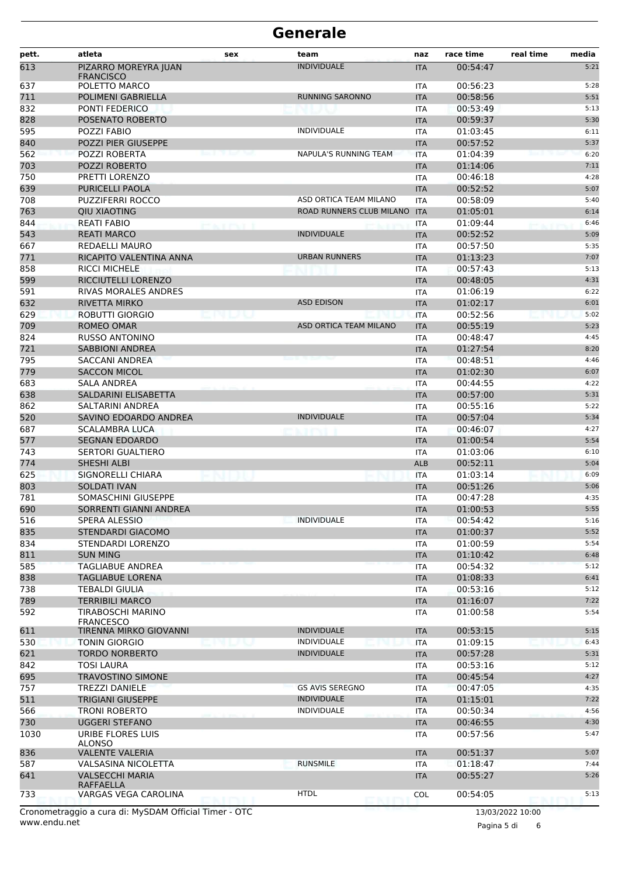| pett.      | atleta                                            | sex                      | team                                     | naz                      | race time            | real time<br>media |
|------------|---------------------------------------------------|--------------------------|------------------------------------------|--------------------------|----------------------|--------------------|
| 613        | PIZARRO MOREYRA JUAN                              |                          | <b>INDIVIDUALE</b>                       | <b>ITA</b>               | 00:54:47             | 5:21               |
|            | <b>FRANCISCO</b>                                  |                          |                                          |                          |                      |                    |
| 637<br>711 | POLETTO MARCO<br>POLIMENI GABRIELLA               |                          | <b>RUNNING SARONNO</b>                   | <b>ITA</b>               | 00:56:23<br>00:58:56 | 5:28<br>5:51       |
| 832        | PONTI FEDERICO                                    |                          |                                          | <b>ITA</b><br><b>ITA</b> | 00:53:49             | 5:13               |
| 828        | POSENATO ROBERTO                                  |                          |                                          | <b>ITA</b>               | 00:59:37             | 5:30               |
| 595        | POZZI FABIO                                       |                          | <b>INDIVIDUALE</b>                       | <b>ITA</b>               | 01:03:45             | 6:11               |
| 840        | POZZI PIER GIUSEPPE                               |                          |                                          | <b>ITA</b>               | 00:57:52             | 5:37               |
| 562        | POZZI ROBERTA                                     |                          | <b>NAPULA'S RUNNING TEAM</b>             | <b>ITA</b>               | 01:04:39             | 6:20               |
| 703        | POZZI ROBERTO                                     |                          |                                          | <b>ITA</b>               | 01:14:06             | 7:11               |
| 750        | PRETTI LORENZO                                    |                          |                                          | <b>ITA</b>               | 00:46:18             | 4:28               |
| 639        | <b>PURICELLI PAOLA</b>                            |                          |                                          | <b>ITA</b>               | 00:52:52             | 5:07               |
| 708        | <b>PUZZIFERRI ROCCO</b>                           |                          | ASD ORTICA TEAM MILANO                   | <b>ITA</b>               | 00:58:09             | 5:40               |
| 763        | <b>QIU XIAOTING</b>                               |                          | ROAD RUNNERS CLUB MILANO                 | <b>ITA</b>               | 01:05:01             | 6:14               |
| 844        | <b>REATI FABIO</b>                                | <b>ALCOHOL: THE COLL</b> |                                          | <b>ITA</b>               | 01:09:44             | 6:46               |
| 543        | <b>REATI MARCO</b>                                |                          | <b>INDIVIDUALE</b>                       | <b>ITA</b>               | 00:52:52             | 5:09               |
| 667        | <b>REDAELLI MAURO</b>                             |                          |                                          | ITA                      | 00:57:50             | 5:35               |
| 771        | RICAPITO VALENTINA ANNA                           |                          | <b>URBAN RUNNERS</b>                     | <b>ITA</b>               | 01:13:23             | 7:07               |
| 858        | <b>RICCI MICHELE</b>                              |                          |                                          | ITA                      | 00:57:43             | 5:13               |
| 599        | RICCIUTELLI LORENZO                               |                          |                                          | <b>ITA</b>               | 00:48:05             | 4:31               |
| 591        | <b>RIVAS MORALES ANDRES</b>                       |                          |                                          | ITA                      | 01:06:19             | 6:22               |
| 632        | <b>RIVETTA MIRKO</b>                              |                          | <b>ASD EDISON</b>                        | <b>ITA</b>               | 01:02:17             | 6:01               |
| 629        | <b>ROBUTTI GIORGIO</b>                            |                          |                                          | <b>ITA</b>               | 00:52:56             | 5:02               |
| 709        | <b>ROMEO OMAR</b>                                 |                          | ASD ORTICA TEAM MILANO                   | <b>ITA</b>               | 00:55:19             | 5:23               |
| 824        | <b>RUSSO ANTONINO</b>                             |                          |                                          | ITA                      | 00:48:47             | 4:45               |
| 721        | <b>SABBIONI ANDREA</b>                            |                          |                                          | <b>ITA</b>               | 01:27:54             | 8:20               |
| 795        | SACCANI ANDREA                                    |                          |                                          | ITA                      | 00:48:51             | 4:46               |
| 779        | <b>SACCON MICOL</b>                               |                          |                                          | <b>ITA</b>               | 01:02:30             | 6:07               |
| 683        | <b>SALA ANDREA</b>                                |                          |                                          | ITA                      | 00:44:55             | 4:22               |
| 638        | SALDARINI ELISABETTA                              |                          |                                          | <b>ITA</b>               | 00:57:00             | 5:31               |
| 862        | SALTARINI ANDREA                                  |                          |                                          | ITA                      | 00:55:16             | 5:22               |
| 520        | SAVINO EDOARDO ANDREA                             |                          | <b>INDIVIDUALE</b>                       | <b>ITA</b>               | 00:57:04             | 5:34               |
| 687<br>577 | <b>SCALAMBRA LUCA</b>                             |                          |                                          | ITA                      | 00:46:07             | 4:27<br>5:54       |
|            | <b>SEGNAN EDOARDO</b><br><b>SERTORI GUALTIERO</b> |                          |                                          | <b>ITA</b>               | 01:00:54<br>01:03:06 | 6:10               |
| 743<br>774 | <b>SHESHI ALBI</b>                                |                          |                                          | <b>ITA</b><br><b>ALB</b> | 00:52:11             | 5:04               |
| 625        | <b>SIGNORELLI CHIARA</b>                          |                          |                                          | <b>ITA</b>               | 01:03:14             | 6:09               |
| 803        | <b>SOLDATI IVAN</b>                               |                          |                                          | <b>ITA</b>               | 00:51:26             | 5:06               |
| 781        | SOMASCHINI GIUSEPPE                               |                          |                                          | ITA                      | 00:47:28             | 4:35               |
| 690        | SORRENTI GIANNI ANDREA                            |                          |                                          | <b>ITA</b>               | 01:00:53             | 5:55               |
| 516        | SPERA ALESSIO                                     |                          | <b>INDIVIDUALE</b>                       | ITA                      | 00:54:42             | 5:16               |
| 835        | <b>STENDARDI GIACOMO</b>                          |                          |                                          | <b>ITA</b>               | 01:00:37             | 5:52               |
| 834        | STENDARDI LORENZO                                 |                          |                                          | ITA                      | 01:00:59             | 5:54               |
| 811        | <b>SUN MING</b>                                   |                          |                                          | <b>ITA</b>               | 01:10:42             | 6:48               |
| 585        | TAGLIABUE ANDREA                                  |                          |                                          | <b>ITA</b>               | 00:54:32             | 5:12               |
| 838        | TAGLIABUE LORENA                                  |                          |                                          | <b>ITA</b>               | 01:08:33             | 6:41               |
| 738        | <b>TEBALDI GIULIA</b>                             |                          |                                          | ITA                      | 00:53:16             | 5:12               |
| 789        | <b>TERRIBILI MARCO</b>                            |                          |                                          | <b>ITA</b>               | 01:16:07             | 7:22               |
| 592        | TIRABOSCHI MARINO                                 |                          |                                          | ITA                      | 01:00:58             | 5:54               |
|            | <b>FRANCESCO</b>                                  |                          |                                          |                          |                      |                    |
| 611        | TIRENNA MIRKO GIOVANNI<br><b>TONIN GIORGIO</b>    |                          | <b>INDIVIDUALE</b><br><b>INDIVIDUALE</b> | <b>ITA</b>               | 00:53:15<br>01:09:15 | 5:15               |
| 530<br>621 | <b>TORDO NORBERTO</b>                             |                          | <b>INDIVIDUALE</b>                       | <b>ITA</b>               | 00:57:28             | 6:43<br>5:31       |
| 842        | TOSI LAURA                                        |                          |                                          | <b>ITA</b><br>ITA        | 00:53:16             | 5:12               |
| 695        | TRAVOSTINO SIMONE                                 |                          |                                          | <b>ITA</b>               | 00:45:54             | 4:27               |
| 757        | <b>TREZZI DANIELE</b>                             |                          | <b>GS AVIS SEREGNO</b>                   | ITA                      | 00:47:05             | 4:35               |
| 511        | <b>TRIGIANI GIUSEPPE</b>                          |                          | <b>INDIVIDUALE</b>                       | <b>ITA</b>               | 01:15:01             | 7:22               |
| 566        | <b>TRONI ROBERTO</b>                              |                          | <b>INDIVIDUALE</b>                       | ITA                      | 00:50:34             | 4:56               |
| 730        | UGGERI STEFANO                                    |                          |                                          | <b>ITA</b>               | 00:46:55             | 4:30               |
| 1030       | URIBE FLORES LUIS                                 |                          |                                          | ITA                      | 00:57:56             | 5:47               |
|            | <b>ALONSO</b>                                     |                          |                                          |                          |                      |                    |
| 836        | <b>VALENTE VALERIA</b>                            |                          |                                          | <b>ITA</b>               | 00:51:37             | 5:07               |
| 587        | VALSASINA NICOLETTA                               |                          | <b>RUNSMILE</b>                          | ITA                      | 01:18:47             | 7:44               |
| 641        | <b>VALSECCHI MARIA</b>                            |                          |                                          | <b>ITA</b>               | 00:55:27             | 5:26               |
| 733        | RAFFAELLA<br>VARGAS VEGA CAROLINA                 |                          | <b>HTDL</b>                              | <b>COL</b>               | 00:54:05             | 5:13               |
|            |                                                   |                          |                                          |                          |                      |                    |

www.endu.net Cronometraggio a cura di: MySDAM Official Timer - OTC 13/03/2022 10:00

Pagina 5 di 6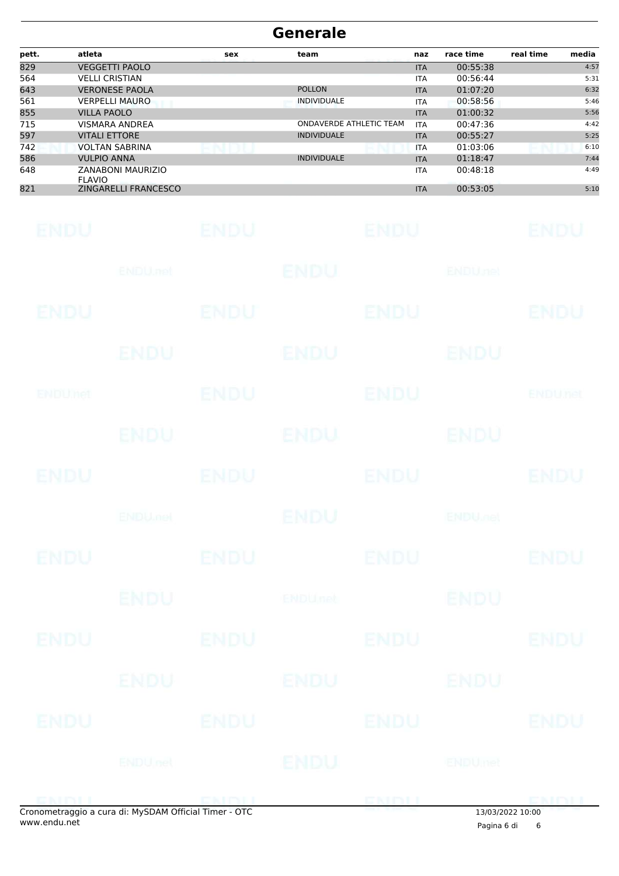| pett. | atleta                             | sex | team                    | naz        | race time | real time | media |
|-------|------------------------------------|-----|-------------------------|------------|-----------|-----------|-------|
| 829   | <b>VEGGETTI PAOLO</b>              |     |                         | <b>ITA</b> | 00:55:38  |           | 4:57  |
| 564   | <b>VELLI CRISTIAN</b>              |     |                         | <b>ITA</b> | 00:56:44  |           | 5:31  |
| 643   | <b>VERONESE PAOLA</b>              |     | <b>POLLON</b>           | <b>ITA</b> | 01:07:20  |           | 6:32  |
| 561   | <b>VERPELLI MAURO</b>              |     | <b>INDIVIDUALE</b>      | <b>ITA</b> | 00:58:56  |           | 5:46  |
| 855   | <b>VILLA PAOLO</b>                 |     |                         | <b>ITA</b> | 01:00:32  |           | 5:56  |
| 715   | <b>VISMARA ANDREA</b>              |     | ONDAVERDE ATHLETIC TEAM | <b>ITA</b> | 00:47:36  |           | 4:42  |
| 597   | <b>VITALI ETTORE</b>               |     | <b>INDIVIDUALE</b>      | <b>ITA</b> | 00:55:27  |           | 5:25  |
| 742   | <b>VOLTAN SABRINA</b>              |     |                         | <b>ITA</b> | 01:03:06  |           | 6:10  |
| 586   | <b>VULPIO ANNA</b>                 |     | <b>INDIVIDUALE</b>      | <b>ITA</b> | 01:18:47  |           | 7:44  |
| 648   | ZANABONI MAURIZIO<br><b>FLAVIO</b> |     |                         | <b>ITA</b> | 00:48:18  |           | 4:49  |
| 821   | ZINGARELLI FRANCESCO               |     |                         | <b>ITA</b> | 00:53:05  |           | 5:10  |

| <b>ENDU</b> |                                                     | <b>ENDU</b> |                | <b>ENDU</b> |                          | <b>ENDU</b> |
|-------------|-----------------------------------------------------|-------------|----------------|-------------|--------------------------|-------------|
|             | ENDU.net                                            |             | <b>ENDU</b>    |             | <b>ENDUnet</b>           |             |
| ENDU        |                                                     | ENDU        |                | <b>ENDU</b> |                          | <b>ENDU</b> |
|             | ENDU                                                |             | <b>ENDU</b>    |             | ENDU                     |             |
| ENDUMet     |                                                     | <b>ENDU</b> |                | <b>ENDU</b> |                          | ENDUnet     |
|             | <b>ENDU</b>                                         |             | ENDU           |             | <b>ENDU</b>              |             |
| <b>ENDU</b> |                                                     | <b>ENDU</b> |                | <b>ENDU</b> |                          | <b>ENDU</b> |
|             | <b>ENDUmet</b>                                      |             | ENDU           |             | <b>ENDU<sub>JO</sub></b> |             |
| ENDU        |                                                     | <b>ENDU</b> |                | <b>ENDU</b> |                          | <b>ENDU</b> |
|             | <b>ENDU</b>                                         |             | <b>ENDUnet</b> |             | <b>ENDU</b>              |             |
| ENDU        |                                                     | <b>ENDU</b> |                | <b>ENDU</b> |                          | <b>ENDU</b> |
|             | ENDIU                                               |             | <b>ENDU</b>    |             | <b>ENDU</b>              |             |
| ENDU        |                                                     | <b>ENDU</b> |                | <b>ENDU</b> |                          | <b>ENDU</b> |
|             | <b>ENDU</b> nel                                     |             | <b>ENDU</b>    |             | ENDUmet                  |             |
| ENIBIL      | onometraggio a cura di: MySDAM Official Timer - OTC |             |                | ENDU        | 13/03/2022 10:00         | <b>CMDU</b> |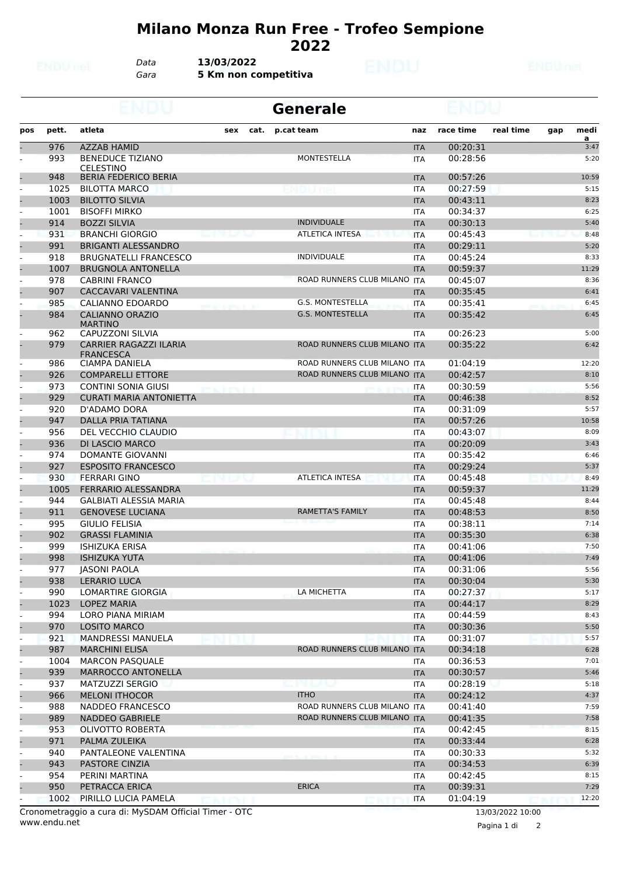## **Milano Monza Run Free - Trofeo Sempione 2022**

*Data* **13/03/2022**

*Gara* **5 Km non competitiva**

|                          |       |                                                   |                             |      | <b>Generale</b>              |            |           |           |     |                        |  |
|--------------------------|-------|---------------------------------------------------|-----------------------------|------|------------------------------|------------|-----------|-----------|-----|------------------------|--|
| pos                      | pett. | atleta                                            | sex                         | cat. | p.cat team                   | naz        | race time | real time | gap | medi<br>$\overline{a}$ |  |
|                          | 976   | <b>AZZAB HAMID</b>                                |                             |      |                              | <b>ITA</b> | 00:20:31  |           |     | 3:47                   |  |
|                          | 993   | <b>BENEDUCE TIZIANO</b><br><b>CELESTINO</b>       |                             |      | MONTESTELLA                  | <b>ITA</b> | 00:28:56  |           |     | 5:20                   |  |
|                          | 948   | <b>BERIA FEDERICO BERIA</b>                       |                             |      |                              | <b>ITA</b> | 00:57:26  |           |     | 10:59                  |  |
| $\overline{a}$           | 1025  | <b>BILOTTA MARCO</b>                              |                             |      |                              | ITA        | 00:27:59  |           |     | 5:15                   |  |
|                          | 1003  | <b>BILOTTO SILVIA</b>                             |                             |      |                              | <b>ITA</b> | 00:43:11  |           |     | 8:23                   |  |
|                          | 1001  | <b>BISOFFI MIRKO</b>                              |                             |      |                              | <b>ITA</b> | 00:34:37  |           |     | 6:25                   |  |
|                          | 914   | <b>BOZZI SILVIA</b>                               |                             |      | <b>INDIVIDUALE</b>           | <b>ITA</b> | 00:30:13  |           |     | 5:40                   |  |
| $\overline{a}$           | 931   | <b>BRANCHI GIORGIO</b>                            | <b>Love II Market Start</b> |      | <b>ATLETICA INTESA</b>       | <b>ITA</b> | 00:45:43  |           |     | 8:48                   |  |
|                          | 991   | <b>BRIGANTI ALESSANDRO</b>                        |                             |      |                              | <b>ITA</b> | 00:29:11  |           |     | 5:20                   |  |
| $\overline{a}$           | 918   | <b>BRUGNATELLI FRANCESCO</b>                      |                             |      | <b>INDIVIDUALE</b>           | ITA        | 00:45:24  |           |     | 8:33                   |  |
|                          | 1007  | <b>BRUGNOLA ANTONELLA</b>                         |                             |      |                              | <b>ITA</b> | 00:59:37  |           |     | 11:29                  |  |
|                          | 978   | <b>CABRINI FRANCO</b>                             |                             |      | ROAD RUNNERS CLUB MILANO ITA |            | 00:45:07  |           |     | 8:36                   |  |
|                          | 907   | CACCAVARI VALENTINA                               |                             |      |                              | <b>ITA</b> | 00:35:45  |           |     | 6:41                   |  |
|                          | 985   | CALIANNO EDOARDO                                  |                             |      | G.S. MONTESTELLA             | <b>ITA</b> | 00:35:41  |           |     | 6:45                   |  |
|                          | 984   | <b>CALIANNO ORAZIO</b><br><b>MARTINO</b>          |                             |      | <b>G.S. MONTESTELLA</b>      | <b>ITA</b> | 00:35:42  |           |     | 6:45                   |  |
|                          | 962   | <b>CAPUZZONI SILVIA</b>                           |                             |      |                              | <b>ITA</b> | 00:26:23  |           |     | 5:00                   |  |
|                          | 979   | <b>CARRIER RAGAZZI ILARIA</b><br><b>FRANCESCA</b> |                             |      | ROAD RUNNERS CLUB MILANO ITA |            | 00:35:22  |           |     | 6:42                   |  |
|                          | 986   | CIAMPA DANIELA                                    |                             |      | ROAD RUNNERS CLUB MILANO ITA |            | 01:04:19  |           |     | 12:20                  |  |
|                          | 926   | <b>COMPARELLI ETTORE</b>                          |                             |      | ROAD RUNNERS CLUB MILANO ITA |            | 00:42:57  |           |     | 8:10                   |  |
|                          | 973   | <b>CONTINI SONIA GIUSI</b>                        |                             |      |                              | ITA        | 00:30:59  |           |     | 5:56                   |  |
|                          | 929   | <b>CURATI MARIA ANTONIETTA</b>                    |                             |      |                              | <b>ITA</b> | 00:46:38  |           |     | 8:52                   |  |
| $\overline{a}$           | 920   | D'ADAMO DORA                                      |                             |      |                              | <b>ITA</b> | 00:31:09  |           |     | 5:57                   |  |
|                          | 947   | <b>DALLA PRIA TATIANA</b>                         |                             |      |                              | <b>ITA</b> | 00:57:26  |           |     | 10:58                  |  |
|                          | 956   | DEL VECCHIO CLAUDIO                               |                             |      |                              | <b>ITA</b> | 00:43:07  |           |     | 8:09                   |  |
|                          | 936   | <b>DI LASCIO MARCO</b>                            |                             |      |                              | <b>ITA</b> | 00:20:09  |           |     | 3:43                   |  |
|                          | 974   | <b>DOMANTE GIOVANNI</b>                           |                             |      |                              | <b>ITA</b> | 00:35:42  |           |     | 6:46                   |  |
|                          | 927   | <b>ESPOSITO FRANCESCO</b>                         |                             |      |                              | <b>ITA</b> | 00:29:24  |           |     | 5:37                   |  |
| $\overline{a}$           | 930   | <b>FERRARI GINO</b>                               |                             |      | <b>ATLETICA INTESA</b>       | <b>ITA</b> | 00:45:48  |           |     | 8:49                   |  |
|                          | 1005  | FERRARIO ALESSANDRA                               |                             |      |                              | <b>ITA</b> | 00:59:37  |           |     | 11:29                  |  |
|                          | 944   | GALBIATI ALESSIA MARIA                            |                             |      |                              | ITA        | 00:45:48  |           |     | 8:44                   |  |
|                          | 911   | <b>GENOVESE LUCIANA</b>                           |                             |      | <b>RAMETTA'S FAMILY</b>      | <b>ITA</b> | 00:48:53  |           |     | 8:50                   |  |
|                          | 995   | <b>GIULIO FELISIA</b>                             |                             |      |                              | <b>ITA</b> | 00:38:11  |           |     | 7:14                   |  |
|                          | 902   | <b>GRASSI FLAMINIA</b>                            |                             |      |                              | <b>ITA</b> | 00:35:30  |           |     | 6:38                   |  |
|                          | 999   | <b>ISHIZUKA ERISA</b>                             |                             |      |                              | <b>ITA</b> | 00:41:06  |           |     | 7:50                   |  |
|                          | 998   | <b>ISHIZUKA YUTA</b>                              |                             |      |                              | <b>ITA</b> | 00:41:06  |           |     | 7:49                   |  |
|                          | 977   | <b>JASONI PAOLA</b>                               |                             |      |                              | ITA        | 00:31:06  |           |     | 5:56                   |  |
|                          | 938   | <b>LERARIO LUCA</b>                               |                             |      |                              | <b>ITA</b> | 00:30:04  |           |     | 5:30                   |  |
|                          | 990   | LOMARTIRE GIORGIA                                 |                             |      | LA MICHETTA                  | ITA        | 00:27:37  |           |     | 5:17                   |  |
|                          | 1023  | LOPEZ MARIA                                       |                             |      |                              | <b>ITA</b> | 00:44:17  |           |     | 8:29                   |  |
| $\overline{\phantom{a}}$ | 994   | <b>LORO PIANA MIRIAM</b>                          |                             |      |                              | <b>ITA</b> | 00:44:59  |           |     | 8:43                   |  |
|                          | 970   | <b>LOSITO MARCO</b>                               |                             |      |                              | <b>ITA</b> | 00:30:36  |           |     | 5:50                   |  |
| $\overline{\phantom{a}}$ | 921   | <b>MANDRESSI MANUELA</b>                          |                             |      |                              | <b>ITA</b> | 00:31:07  |           |     | 5:57                   |  |
|                          | 987   | <b>MARCHINI ELISA</b>                             |                             |      | ROAD RUNNERS CLUB MILANO ITA |            | 00:34:18  |           |     | 6:28                   |  |
|                          | 1004  | <b>MARCON PASQUALE</b>                            |                             |      |                              | ITA        | 00:36:53  |           |     | 7:01                   |  |
|                          | 939   | MARROCCO ANTONELLA                                |                             |      |                              | <b>ITA</b> | 00:30:57  |           |     | 5:46                   |  |
| $\overline{\phantom{a}}$ | 937   | MATZUZZI SERGIO                                   |                             |      | n la                         | ITA        | 00:28:19  |           |     | 5:18                   |  |
|                          | 966   | <b>MELONI ITHOCOR</b>                             |                             |      | <b>ITHO</b>                  | <b>ITA</b> | 00:24:12  |           |     | 4:37                   |  |
|                          | 988   | NADDEO FRANCESCO                                  |                             |      | ROAD RUNNERS CLUB MILANO ITA |            | 00:41:40  |           |     | 7:59                   |  |
|                          | 989   | <b>NADDEO GABRIELE</b>                            |                             |      | ROAD RUNNERS CLUB MILANO ITA |            | 00:41:35  |           |     | 7:58                   |  |
|                          | 953   | OLIVOTTO ROBERTA                                  |                             |      |                              |            | 00:42:45  |           |     | 8:15                   |  |
|                          | 971   | PALMA ZULEIKA                                     |                             |      |                              | <b>ITA</b> | 00:33:44  |           |     | 6:28                   |  |
|                          |       |                                                   |                             |      |                              | <b>ITA</b> |           |           |     | 5:32                   |  |
| $\blacksquare$           | 940   | PANTALEONE VALENTINA                              |                             |      |                              | ITA        | 00:30:33  |           |     |                        |  |
|                          | 943   | PASTORE CINZIA                                    |                             |      |                              | <b>ITA</b> | 00:34:53  |           |     | 6:39                   |  |
|                          | 954   | PERINI MARTINA                                    |                             |      | <b>ERICA</b>                 | ITA        | 00:42:45  |           |     | 8:15                   |  |
|                          | 950   | PETRACCA ERICA                                    |                             |      |                              | <b>ITA</b> | 00:39:31  |           |     | 7:29                   |  |
|                          | 1002  | PIRILLO LUCIA PAMELA<br>CDAMOCH 1T                |                             |      |                              | ITA        | 01:04:19  |           |     | 12:20                  |  |

www.endu.net Cronometraggio a cura di: MySDAM Official Timer - OTC 13/03/2022 10:00

Pagina 1 di 2